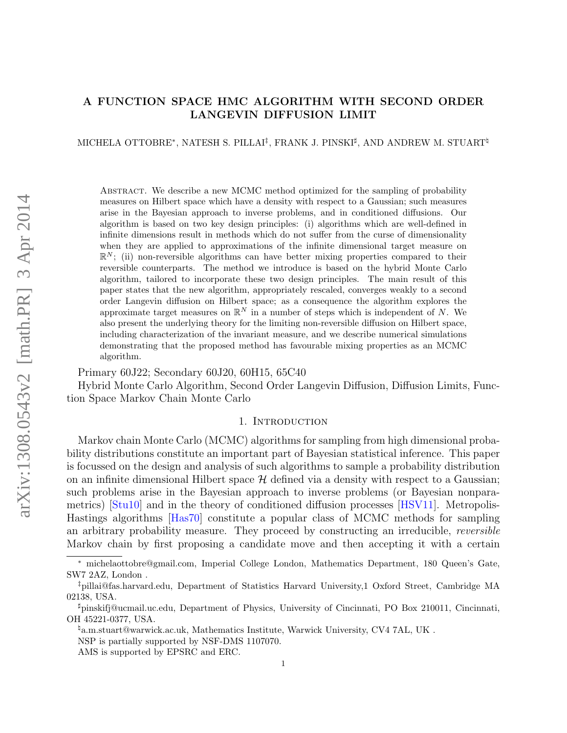# A FUNCTION SPACE HMC ALGORITHM WITH SECOND ORDER LANGEVIN DIFFUSION LIMIT

### MICHELA OTTOBRE\*, NATESH S. PILLAI‡, FRANK J. PINSKI‡, AND ANDREW M. STUART<sup>‡</sup>

Abstract. We describe a new MCMC method optimized for the sampling of probability measures on Hilbert space which have a density with respect to a Gaussian; such measures arise in the Bayesian approach to inverse problems, and in conditioned diffusions. Our algorithm is based on two key design principles: (i) algorithms which are well-defined in infinite dimensions result in methods which do not suffer from the curse of dimensionality when they are applied to approximations of the infinite dimensional target measure on  $\mathbb{R}^N$ ; (ii) non-reversible algorithms can have better mixing properties compared to their reversible counterparts. The method we introduce is based on the hybrid Monte Carlo algorithm, tailored to incorporate these two design principles. The main result of this paper states that the new algorithm, appropriately rescaled, converges weakly to a second order Langevin diffusion on Hilbert space; as a consequence the algorithm explores the approximate target measures on  $\mathbb{R}^N$  in a number of steps which is independent of N. We also present the underlying theory for the limiting non-reversible diffusion on Hilbert space, including characterization of the invariant measure, and we describe numerical simulations demonstrating that the proposed method has favourable mixing properties as an MCMC algorithm.

Primary 60J22; Secondary 60J20, 60H15, 65C40

Hybrid Monte Carlo Algorithm, Second Order Langevin Diffusion, Diffusion Limits, Function Space Markov Chain Monte Carlo

#### 1. INTRODUCTION

Markov chain Monte Carlo (MCMC) algorithms for sampling from high dimensional probability distributions constitute an important part of Bayesian statistical inference. This paper is focussed on the design and analysis of such algorithms to sample a probability distribution on an infinite dimensional Hilbert space  $\mathcal H$  defined via a density with respect to a Gaussian; such problems arise in the Bayesian approach to inverse problems (or Bayesian nonparametrics) [\[Stu10\]](#page-40-0) and in the theory of conditioned diffusion processes [\[HSV11\]](#page-39-0). Metropolis-Hastings algorithms [\[Has70\]](#page-39-1) constitute a popular class of MCMC methods for sampling an arbitrary probability measure. They proceed by constructing an irreducible, reversible Markov chain by first proposing a candidate move and then accepting it with a certain

<sup>∗</sup> michelaottobre@gmail.com, Imperial College London, Mathematics Department, 180 Queen's Gate, SW7 2AZ, London .

<sup>‡</sup>pillai@fas.harvard.edu, Department of Statistics Harvard University,1 Oxford Street, Cambridge MA 02138, USA.

 $\sharp$ pinskifj@ucmail.uc.edu, Department of Physics, University of Cincinnati, PO Box 210011, Cincinnati, OH 45221-0377, USA.

 $\frac{1}{2}a.m.$ stuart@warwick.ac.uk, Mathematics Institute, Warwick University, CV4 7AL, UK.

NSP is partially supported by NSF-DMS 1107070.

AMS is supported by EPSRC and ERC.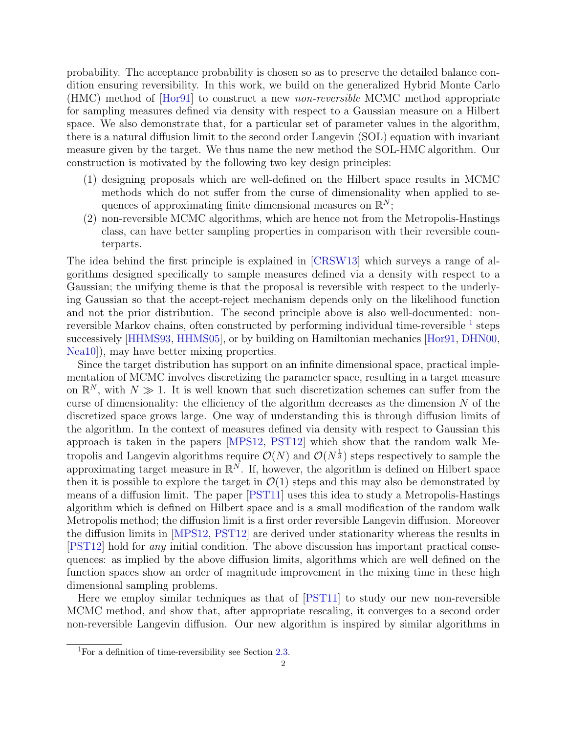probability. The acceptance probability is chosen so as to preserve the detailed balance condition ensuring reversibility. In this work, we build on the generalized Hybrid Monte Carlo (HMC) method of [\[Hor91\]](#page-39-2) to construct a new non-reversible MCMC method appropriate for sampling measures defined via density with respect to a Gaussian measure on a Hilbert space. We also demonstrate that, for a particular set of parameter values in the algorithm, there is a natural diffusion limit to the second order Langevin (SOL) equation with invariant measure given by the target. We thus name the new method the SOL-HMC algorithm. Our construction is motivated by the following two key design principles:

- (1) designing proposals which are well-defined on the Hilbert space results in MCMC methods which do not suffer from the curse of dimensionality when applied to sequences of approximating finite dimensional measures on  $\mathbb{R}^N$ ;
- (2) non-reversible MCMC algorithms, which are hence not from the Metropolis-Hastings class, can have better sampling properties in comparison with their reversible counterparts.

The idea behind the first principle is explained in [\[CRSW13\]](#page-39-3) which surveys a range of algorithms designed specifically to sample measures defined via a density with respect to a Gaussian; the unifying theme is that the proposal is reversible with respect to the underlying Gaussian so that the accept-reject mechanism depends only on the likelihood function and not the prior distribution. The second principle above is also well-documented: nonreversible Markov chains, often constructed by performing individual time-reversible  $^1$  $^1$  steps successively [\[HHMS93,](#page-39-4) [HHMS05\]](#page-39-5), or by building on Hamiltonian mechanics [\[Hor91,](#page-39-2) [DHN00,](#page-39-6) [Nea10\]](#page-39-7)), may have better mixing properties.

Since the target distribution has support on an infinite dimensional space, practical implementation of MCMC involves discretizing the parameter space, resulting in a target measure on  $\mathbb{R}^N$ , with  $N \gg 1$ . It is well known that such discretization schemes can suffer from the curse of dimensionality: the efficiency of the algorithm decreases as the dimension  $N$  of the discretized space grows large. One way of understanding this is through diffusion limits of the algorithm. In the context of measures defined via density with respect to Gaussian this approach is taken in the papers [\[MPS12,](#page-39-8) [PST12\]](#page-40-1) which show that the random walk Metropolis and Langevin algorithms require  $\mathcal{O}(N)$  and  $\mathcal{O}(N^{\frac{1}{3}})$  steps respectively to sample the approximating target measure in  $\mathbb{R}^N$ . If, however, the algorithm is defined on Hilbert space then it is possible to explore the target in  $\mathcal{O}(1)$  steps and this may also be demonstrated by means of a diffusion limit. The paper [\[PST11\]](#page-40-2) uses this idea to study a Metropolis-Hastings algorithm which is defined on Hilbert space and is a small modification of the random walk Metropolis method; the diffusion limit is a first order reversible Langevin diffusion. Moreover the diffusion limits in [\[MPS12,](#page-39-8) [PST12\]](#page-40-1) are derived under stationarity whereas the results in [\[PST12\]](#page-40-1) hold for any initial condition. The above discussion has important practical consequences: as implied by the above diffusion limits, algorithms which are well defined on the function spaces show an order of magnitude improvement in the mixing time in these high dimensional sampling problems.

Here we employ similar techniques as that of [\[PST11\]](#page-40-2) to study our new non-reversible MCMC method, and show that, after appropriate rescaling, it converges to a second order non-reversible Langevin diffusion. Our new algorithm is inspired by similar algorithms in

<span id="page-1-0"></span><sup>&</sup>lt;sup>1</sup>For a definition of time-reversibility see Section [2.3.](#page-6-0)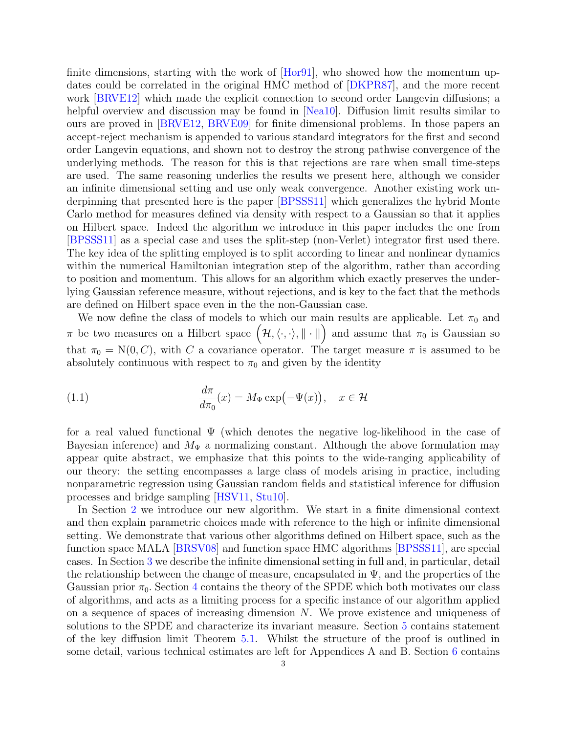finite dimensions, starting with the work of [\[Hor91\]](#page-39-2), who showed how the momentum updates could be correlated in the original HMC method of [\[DKPR87\]](#page-39-9), and the more recent work [\[BRVE12\]](#page-39-10) which made the explicit connection to second order Langevin diffusions; a helpful overview and discussion may be found in [\[Nea10\]](#page-39-7). Diffusion limit results similar to ours are proved in [\[BRVE12,](#page-39-10) [BRVE09\]](#page-39-11) for finite dimensional problems. In those papers an accept-reject mechanism is appended to various standard integrators for the first and second order Langevin equations, and shown not to destroy the strong pathwise convergence of the underlying methods. The reason for this is that rejections are rare when small time-steps are used. The same reasoning underlies the results we present here, although we consider an infinite dimensional setting and use only weak convergence. Another existing work underpinning that presented here is the paper [\[BPSSS11\]](#page-39-12) which generalizes the hybrid Monte Carlo method for measures defined via density with respect to a Gaussian so that it applies on Hilbert space. Indeed the algorithm we introduce in this paper includes the one from [\[BPSSS11\]](#page-39-12) as a special case and uses the split-step (non-Verlet) integrator first used there. The key idea of the splitting employed is to split according to linear and nonlinear dynamics within the numerical Hamiltonian integration step of the algorithm, rather than according to position and momentum. This allows for an algorithm which exactly preserves the underlying Gaussian reference measure, without rejections, and is key to the fact that the methods are defined on Hilbert space even in the the non-Gaussian case.

We now define the class of models to which our main results are applicable. Let  $\pi_0$  and  $\pi$  be two measures on a Hilbert space  $(\mathcal{H},\langle\cdot,\cdot\rangle,\|\cdot\|)$  and assume that  $\pi_0$  is Gaussian so that  $\pi_0 = N(0, C)$ , with C a covariance operator. The target measure  $\pi$  is assumed to be absolutely continuous with respect to  $\pi_0$  and given by the identity

<span id="page-2-0"></span>(1.1) 
$$
\frac{d\pi}{d\pi_0}(x) = M_{\Psi} \exp(-\Psi(x)), \quad x \in \mathcal{H}
$$

for a real valued functional Ψ (which denotes the negative log-likelihood in the case of Bayesian inference) and  $M_{\Psi}$  a normalizing constant. Although the above formulation may appear quite abstract, we emphasize that this points to the wide-ranging applicability of our theory: the setting encompasses a large class of models arising in practice, including nonparametric regression using Gaussian random fields and statistical inference for diffusion processes and bridge sampling [\[HSV11,](#page-39-0) [Stu10\]](#page-40-0).

In Section [2](#page-3-0) we introduce our new algorithm. We start in a finite dimensional context and then explain parametric choices made with reference to the high or infinite dimensional setting. We demonstrate that various other algorithms defined on Hilbert space, such as the function space MALA [\[BRSV08\]](#page-39-13) and function space HMC algorithms [\[BPSSS11\]](#page-39-12), are special cases. In Section [3](#page-9-0) we describe the infinite dimensional setting in full and, in particular, detail the relationship between the change of measure, encapsulated in  $\Psi$ , and the properties of the Gaussian prior  $\pi_0$ . Section [4](#page-12-0) contains the theory of the SPDE which both motivates our class of algorithms, and acts as a limiting process for a specific instance of our algorithm applied on a sequence of spaces of increasing dimension  $N$ . We prove existence and uniqueness of solutions to the SPDE and characterize its invariant measure. Section [5](#page-15-0) contains statement of the key diffusion limit Theorem [5.1.](#page-17-0) Whilst the structure of the proof is outlined in some detail, various technical estimates are left for Appendices A and B. Section [6](#page-26-0) contains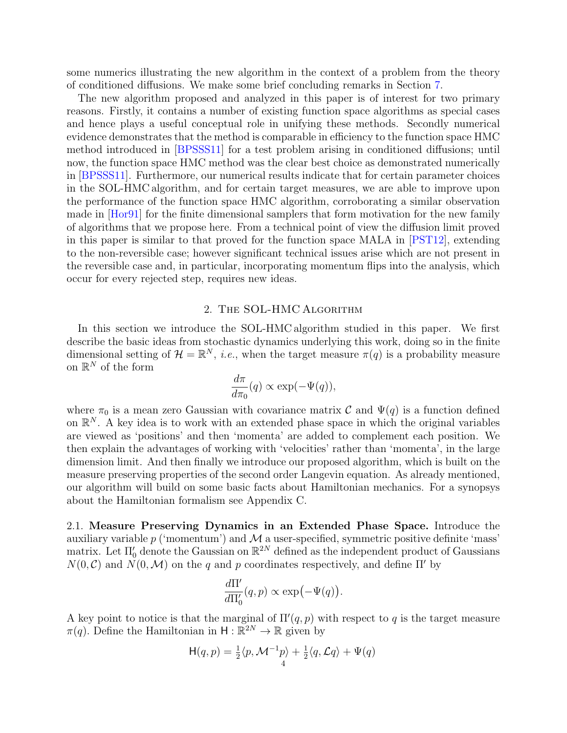some numerics illustrating the new algorithm in the context of a problem from the theory of conditioned diffusions. We make some brief concluding remarks in Section [7.](#page-28-0)

The new algorithm proposed and analyzed in this paper is of interest for two primary reasons. Firstly, it contains a number of existing function space algorithms as special cases and hence plays a useful conceptual role in unifying these methods. Secondly numerical evidence demonstrates that the method is comparable in efficiency to the function space HMC method introduced in [\[BPSSS11\]](#page-39-12) for a test problem arising in conditioned diffusions; until now, the function space HMC method was the clear best choice as demonstrated numerically in [\[BPSSS11\]](#page-39-12). Furthermore, our numerical results indicate that for certain parameter choices in the SOL-HMC algorithm, and for certain target measures, we are able to improve upon the performance of the function space HMC algorithm, corroborating a similar observation made in [\[Hor91\]](#page-39-2) for the finite dimensional samplers that form motivation for the new family of algorithms that we propose here. From a technical point of view the diffusion limit proved in this paper is similar to that proved for the function space MALA in [\[PST12\]](#page-40-1), extending to the non-reversible case; however significant technical issues arise which are not present in the reversible case and, in particular, incorporating momentum flips into the analysis, which occur for every rejected step, requires new ideas.

#### 2. The SOL-HMC Algorithm

<span id="page-3-0"></span>In this section we introduce the SOL-HMC algorithm studied in this paper. We first describe the basic ideas from stochastic dynamics underlying this work, doing so in the finite dimensional setting of  $\mathcal{H} = \mathbb{R}^N$ , *i.e.*, when the target measure  $\pi(q)$  is a probability measure on  $\mathbb{R}^N$  of the form

$$
\frac{d\pi}{d\pi_0}(q) \propto \exp(-\Psi(q)),
$$

where  $\pi_0$  is a mean zero Gaussian with covariance matrix C and  $\Psi(q)$  is a function defined on  $\mathbb{R}^N$ . A key idea is to work with an extended phase space in which the original variables are viewed as 'positions' and then 'momenta' are added to complement each position. We then explain the advantages of working with 'velocities' rather than 'momenta', in the large dimension limit. And then finally we introduce our proposed algorithm, which is built on the measure preserving properties of the second order Langevin equation. As already mentioned, our algorithm will build on some basic facts about Hamiltonian mechanics. For a synopsys about the Hamiltonian formalism see Appendix C.

2.1. Measure Preserving Dynamics in an Extended Phase Space. Introduce the auxiliary variable  $p$  ('momentum') and  $\mathcal M$  a user-specified, symmetric positive definite 'mass' matrix. Let  $\Pi_0'$  denote the Gaussian on  $\mathbb{R}^{2N}$  defined as the independent product of Gaussians  $N(0, \mathcal{C})$  and  $N(0, \mathcal{M})$  on the q and p coordinates respectively, and define  $\Pi'$  by

$$
\frac{d\Pi'}{d\Pi'_0}(q,p)\propto \exp(-\Psi(q)).
$$

A key point to notice is that the marginal of  $\Pi'(q, p)$  with respect to q is the target measure  $\pi(q)$ . Define the Hamiltonian in  $H : \mathbb{R}^{2N} \to \mathbb{R}$  given by

$$
H(q, p) = \frac{1}{2} \langle p, \mathcal{M}^{-1} p \rangle + \frac{1}{2} \langle q, \mathcal{L} q \rangle + \Psi(q)
$$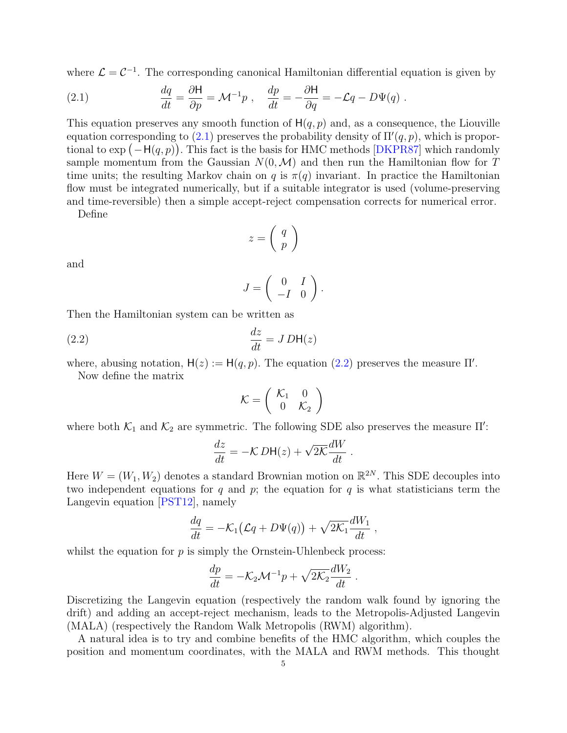where  $\mathcal{L} = \mathcal{C}^{-1}$ . The corresponding canonical Hamiltonian differential equation is given by

<span id="page-4-0"></span>(2.1) 
$$
\frac{dq}{dt} = \frac{\partial H}{\partial p} = \mathcal{M}^{-1}p \ , \quad \frac{dp}{dt} = -\frac{\partial H}{\partial q} = -\mathcal{L}q - D\Psi(q) \ .
$$

This equation preserves any smooth function of  $H(q, p)$  and, as a consequence, the Liouville equation corresponding to  $(2.1)$  preserves the probability density of  $\Pi'(q, p)$ , which is proportional to  $\exp(-H(q, p))$ . This fact is the basis for HMC methods [\[DKPR87\]](#page-39-9) which randomly sample momentum from the Gaussian  $N(0, \mathcal{M})$  and then run the Hamiltonian flow for T time units; the resulting Markov chain on q is  $\pi(q)$  invariant. In practice the Hamiltonian flow must be integrated numerically, but if a suitable integrator is used (volume-preserving and time-reversible) then a simple accept-reject compensation corrects for numerical error.

Define

$$
z = \left(\begin{array}{c} q \\ p \end{array}\right)
$$

and

$$
J=\left(\begin{array}{cc} 0 & I \\ -I & 0 \end{array}\right).
$$

Then the Hamiltonian system can be written as

<span id="page-4-1"></span>(2.2) 
$$
\frac{dz}{dt} = JDH(z)
$$

where, abusing notation,  $H(z) := H(q, p)$ . The equation [\(2.2\)](#page-4-1) preserves the measure  $\Pi'$ .

Now define the matrix

$$
\mathcal{K} = \left(\begin{array}{cc} \mathcal{K}_1 & 0 \\ 0 & \mathcal{K}_2 \end{array}\right)
$$

where both  $\mathcal{K}_1$  and  $\mathcal{K}_2$  are symmetric. The following SDE also preserves the measure  $\Pi'$ :

$$
\frac{dz}{dt} = -\mathcal{K}\,D\mathsf{H}(z) + \sqrt{2\mathcal{K}}\frac{dW}{dt} \;.
$$

Here  $W = (W_1, W_2)$  denotes a standard Brownian motion on  $\mathbb{R}^{2N}$ . This SDE decouples into two independent equations for q and p; the equation for q is what statisticians term the Langevin equation [\[PST12\]](#page-40-1), namely

$$
\frac{dq}{dt} = -\mathcal{K}_1(\mathcal{L}q + D\Psi(q)) + \sqrt{2\mathcal{K}_1}\frac{dW_1}{dt},
$$

whilst the equation for  $p$  is simply the Ornstein-Uhlenbeck process:

$$
\frac{dp}{dt} = -\mathcal{K}_2 \mathcal{M}^{-1} p + \sqrt{2\mathcal{K}_2} \frac{dW_2}{dt}.
$$

Discretizing the Langevin equation (respectively the random walk found by ignoring the drift) and adding an accept-reject mechanism, leads to the Metropolis-Adjusted Langevin (MALA) (respectively the Random Walk Metropolis (RWM) algorithm).

A natural idea is to try and combine benefits of the HMC algorithm, which couples the position and momentum coordinates, with the MALA and RWM methods. This thought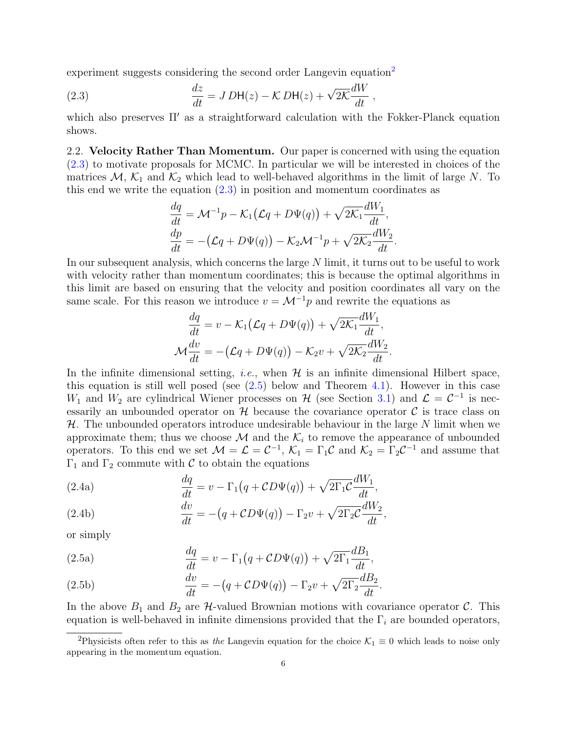experiment suggests considering the second order Langevin equation<sup>[2](#page-5-0)</sup>

<span id="page-5-1"></span>(2.3) 
$$
\frac{dz}{dt} = J D H(z) - K D H(z) + \sqrt{2K} \frac{dW}{dt},
$$

which also preserves  $\Pi'$  as a straightforward calculation with the Fokker-Planck equation shows.

<span id="page-5-4"></span>2.2. Velocity Rather Than Momentum. Our paper is concerned with using the equation [\(2.3\)](#page-5-1) to motivate proposals for MCMC. In particular we will be interested in choices of the matrices  $M$ ,  $K_1$  and  $K_2$  which lead to well-behaved algorithms in the limit of large N. To this end we write the equation [\(2.3\)](#page-5-1) in position and momentum coordinates as

$$
\frac{dq}{dt} = \mathcal{M}^{-1}p - \mathcal{K}_1(\mathcal{L}q + D\Psi(q)) + \sqrt{2\mathcal{K}_1}\frac{dW_1}{dt},
$$
  

$$
\frac{dp}{dt} = -(\mathcal{L}q + D\Psi(q)) - \mathcal{K}_2\mathcal{M}^{-1}p + \sqrt{2\mathcal{K}_2}\frac{dW_2}{dt}.
$$

In our subsequent analysis, which concerns the large N limit, it turns out to be useful to work with velocity rather than momentum coordinates; this is because the optimal algorithms in this limit are based on ensuring that the velocity and position coordinates all vary on the same scale. For this reason we introduce  $v = \mathcal{M}^{-1}p$  and rewrite the equations as

<span id="page-5-3"></span>
$$
\frac{dq}{dt} = v - \mathcal{K}_1(\mathcal{L}q + D\Psi(q)) + \sqrt{2\mathcal{K}_1}\frac{dW_1}{dt},
$$
  

$$
\mathcal{M}\frac{dv}{dt} = -(\mathcal{L}q + D\Psi(q)) - \mathcal{K}_2v + \sqrt{2\mathcal{K}_2}\frac{dW_2}{dt}.
$$

In the infinite dimensional setting, *i.e.*, when  $\mathcal{H}$  is an infinite dimensional Hilbert space, this equation is still well posed (see  $(2.5)$  below and Theorem [4.1\)](#page-12-1). However in this case  $W_1$  and  $W_2$  are cylindrical Wiener processes on H (see Section [3.1\)](#page-9-1) and  $\mathcal{L} = \mathcal{C}^{-1}$  is necessarily an unbounded operator on  $H$  because the covariance operator  $C$  is trace class on  $H$ . The unbounded operators introduce undesirable behaviour in the large N limit when we approximate them; thus we choose  $\mathcal M$  and the  $\mathcal K_i$  to remove the appearance of unbounded operators. To this end we set  $\mathcal{M} = \mathcal{L} = \mathcal{C}^{-1}$ ,  $\mathcal{K}_1 = \Gamma_1 \mathcal{C}$  and  $\mathcal{K}_2 = \Gamma_2 \mathcal{C}^{-1}$  and assume that Γ<sub>1</sub> and Γ<sub>2</sub> commute with C to obtain the equations

(2.4a) 
$$
\frac{dq}{dt} = v - \Gamma_1 (q + CD\Psi(q)) + \sqrt{2\Gamma_1 C} \frac{dW_1}{dt},
$$

(2.4b) 
$$
\frac{dv}{dt} = -(q + CD\Psi(q)) - \Gamma_2 v + \sqrt{2\Gamma_2 C} \frac{dW_2}{dt},
$$

<span id="page-5-2"></span>or simply

(2.5a) 
$$
\frac{dq}{dt} = v - \Gamma_1 (q + CD\Psi(q)) + \sqrt{2\Gamma_1} \frac{dB_1}{dt},
$$

(2.5b) 
$$
\frac{dv}{dt} = -(q + CD\Psi(q)) - \Gamma_2 v + \sqrt{2\Gamma_2} \frac{dB_2}{dt}.
$$

In the above  $B_1$  and  $B_2$  are H-valued Brownian motions with covariance operator C. This equation is well-behaved in infinite dimensions provided that the  $\Gamma_i$  are bounded operators,

<span id="page-5-0"></span><sup>&</sup>lt;sup>2</sup>Physicists often refer to this as the Langevin equation for the choice  $\mathcal{K}_1 \equiv 0$  which leads to noise only appearing in the momentum equation.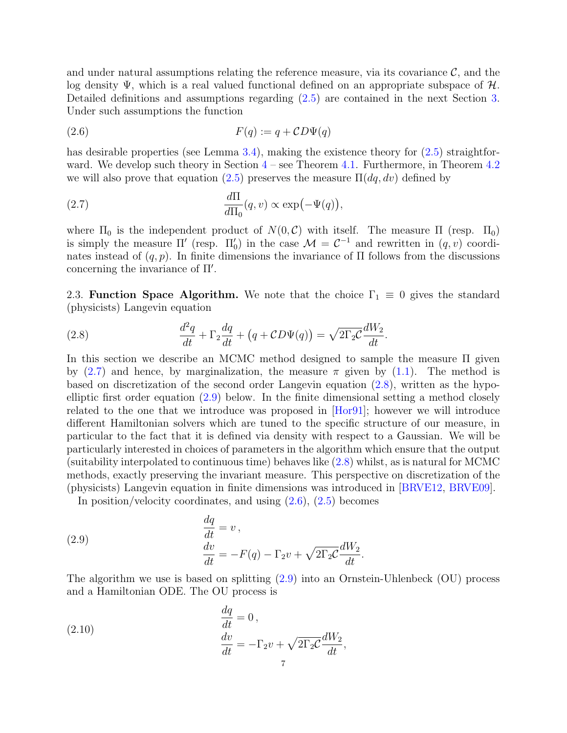and under natural assumptions relating the reference measure, via its covariance  $\mathcal{C}$ , and the log density  $\Psi$ , which is a real valued functional defined on an appropriate subspace of  $H$ . Detailed definitions and assumptions regarding [\(2.5\)](#page-5-2) are contained in the next Section [3.](#page-9-0) Under such assumptions the function

<span id="page-6-4"></span>
$$
(2.6) \tF(q) := q + CD\Psi(q)
$$

has desirable properties (see Lemma [3.4\)](#page-12-2), making the existence theory for  $(2.5)$  straightforward. We develop such theory in Section  $4$  – see Theorem [4.1.](#page-12-1) Furthermore, in Theorem [4.2](#page-13-0) we will also prove that equation [\(2.5\)](#page-5-2) preserves the measure  $\Pi(dq, dv)$  defined by

<span id="page-6-1"></span>(2.7) 
$$
\frac{d\Pi}{d\Pi_0}(q, v) \propto \exp(-\Psi(q)),
$$

where  $\Pi_0$  is the independent product of  $N(0, \mathcal{C})$  with itself. The measure  $\Pi$  (resp.  $\Pi_0$ ) is simply the measure  $\Pi'$  (resp.  $\Pi'_0$ ) in the case  $\mathcal{M} = \mathcal{C}^{-1}$  and rewritten in  $(q, v)$  coordinates instead of  $(q, p)$ . In finite dimensions the invariance of  $\Pi$  follows from the discussions concerning the invariance of  $\Pi'$ .

<span id="page-6-0"></span>2.3. Function Space Algorithm. We note that the choice  $\Gamma_1 \equiv 0$  gives the standard (physicists) Langevin equation

<span id="page-6-2"></span>(2.8) 
$$
\frac{d^2q}{dt} + \Gamma_2 \frac{dq}{dt} + (q + CD\Psi(q)) = \sqrt{2\Gamma_2}C\frac{dW_2}{dt}.
$$

In this section we describe an MCMC method designed to sample the measure Π given by [\(2.7\)](#page-6-1) and hence, by marginalization, the measure  $\pi$  given by [\(1.1\)](#page-2-0). The method is based on discretization of the second order Langevin equation [\(2.8\)](#page-6-2), written as the hypoelliptic first order equation [\(2.9\)](#page-6-3) below. In the finite dimensional setting a method closely related to the one that we introduce was proposed in [\[Hor91\]](#page-39-2); however we will introduce different Hamiltonian solvers which are tuned to the specific structure of our measure, in particular to the fact that it is defined via density with respect to a Gaussian. We will be particularly interested in choices of parameters in the algorithm which ensure that the output (suitability interpolated to continuous time) behaves like [\(2.8\)](#page-6-2) whilst, as is natural for MCMC methods, exactly preserving the invariant measure. This perspective on discretization of the (physicists) Langevin equation in finite dimensions was introduced in [\[BRVE12,](#page-39-10) [BRVE09\]](#page-39-11).

In position/velocity coordinates, and using [\(2.6\)](#page-6-4), [\(2.5\)](#page-5-2) becomes

<span id="page-6-3"></span>(2.9) 
$$
\begin{aligned}\n\frac{dq}{dt} &= v, \\
\frac{dv}{dt} &= -F(q) - \Gamma_2 v + \sqrt{2\Gamma_2 c} \frac{dW_2}{dt}.\n\end{aligned}
$$

The algorithm we use is based on splitting [\(2.9\)](#page-6-3) into an Ornstein-Uhlenbeck (OU) process and a Hamiltonian ODE. The OU process is

<span id="page-6-5"></span>(2.10) 
$$
\begin{aligned}\n\frac{dq}{dt} &= 0, \\
\frac{dv}{dt} &= -\Gamma_2 v + \sqrt{2\Gamma_2 C} \frac{dW_2}{dt},\n\end{aligned}
$$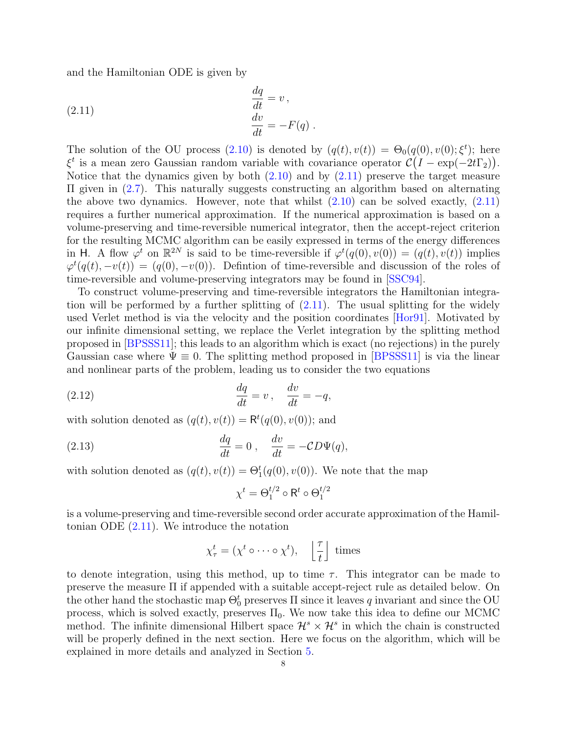and the Hamiltonian ODE is given by

<span id="page-7-0"></span>(2.11) 
$$
\begin{aligned}\n\frac{dq}{dt} &= v, \\
\frac{dv}{dt} &= -F(q).\n\end{aligned}
$$

The solution of the OU process [\(2.10\)](#page-6-5) is denoted by  $(q(t), v(t)) = \Theta_0(q(0), v(0); \xi^t)$ ; here  $\xi^t$  is a mean zero Gaussian random variable with covariance operator  $\mathcal{C}(I - \exp(-2t\Gamma_2)).$ Notice that the dynamics given by both  $(2.10)$  and by  $(2.11)$  preserve the target measure Π given in [\(2.7\)](#page-6-1). This naturally suggests constructing an algorithm based on alternating the above two dynamics. However, note that whilst  $(2.10)$  can be solved exactly,  $(2.11)$ requires a further numerical approximation. If the numerical approximation is based on a volume-preserving and time-reversible numerical integrator, then the accept-reject criterion for the resulting MCMC algorithm can be easily expressed in terms of the energy differences in H. A flow  $\varphi^t$  on  $\mathbb{R}^{2N}$  is said to be time-reversible if  $\varphi^t(q(0), v(0)) = (q(t), v(t))$  implies  $\varphi^t(q(t), -v(t)) = (q(0), -v(0))$ . Defintion of time-reversible and discussion of the roles of time-reversible and volume-preserving integrators may be found in [\[SSC94\]](#page-40-3).

To construct volume-preserving and time-reversible integrators the Hamiltonian integration will be performed by a further splitting of [\(2.11\)](#page-7-0). The usual splitting for the widely used Verlet method is via the velocity and the position coordinates [\[Hor91\]](#page-39-2). Motivated by our infinite dimensional setting, we replace the Verlet integration by the splitting method proposed in [\[BPSSS11\]](#page-39-12); this leads to an algorithm which is exact (no rejections) in the purely Gaussian case where  $\Psi \equiv 0$ . The splitting method proposed in [\[BPSSS11\]](#page-39-12) is via the linear and nonlinear parts of the problem, leading us to consider the two equations

(2.12) 
$$
\frac{dq}{dt} = v, \quad \frac{dv}{dt} = -q,
$$

with solution denoted as  $(q(t), v(t)) = \mathsf{R}^{t}(q(0), v(0))$ ; and

(2.13) 
$$
\frac{dq}{dt} = 0, \quad \frac{dv}{dt} = -CD\Psi(q),
$$

with solution denoted as  $(q(t), v(t)) = \Theta_1^t(q(0), v(0))$ . We note that the map

$$
\chi^t = \Theta_1^{t/2} \circ \mathsf{R}^t \circ \Theta_1^{t/2}
$$

is a volume-preserving and time-reversible second order accurate approximation of the Hamiltonian ODE [\(2.11\)](#page-7-0). We introduce the notation

$$
\chi^t_\tau = (\chi^t \circ \cdots \circ \chi^t), \quad \left\lfloor \frac{\tau}{t} \right\rfloor \text{ times}
$$

to denote integration, using this method, up to time  $\tau$ . This integrator can be made to preserve the measure Π if appended with a suitable accept-reject rule as detailed below. On the other hand the stochastic map  $\Theta_0^t$  preserves  $\Pi$  since it leaves q invariant and since the OU process, which is solved exactly, preserves  $\Pi_0$ . We now take this idea to define our MCMC method. The infinite dimensional Hilbert space  $\mathcal{H}^s \times \mathcal{H}^s$  in which the chain is constructed will be properly defined in the next section. Here we focus on the algorithm, which will be explained in more details and analyzed in Section [5.](#page-15-0)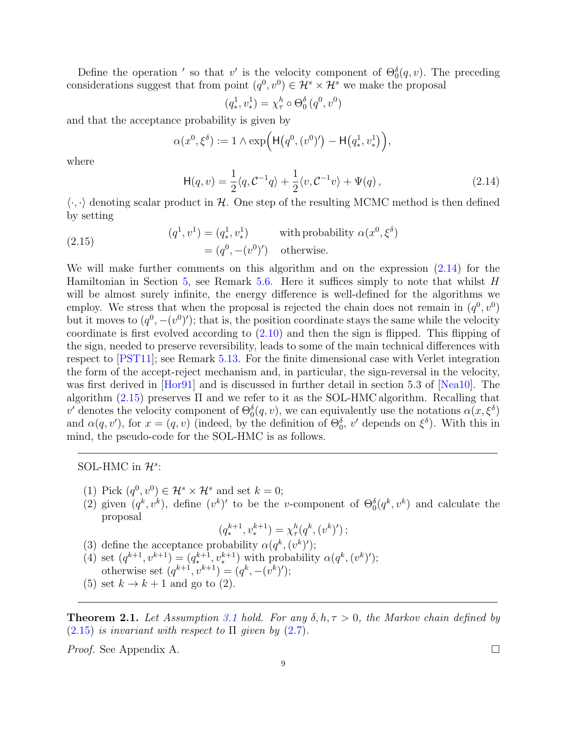Define the operation ' so that v' is the velocity component of  $\Theta_0^{\delta}(q, v)$ . The preceding considerations suggest that from point  $(q^0, v^0) \in \mathcal{H}^s \times \mathcal{H}^s$  we make the proposal

<span id="page-8-0"></span>
$$
(q_*^1, v_*^1) = \chi_\tau^h \circ \Theta_0^\delta(q^0, v^0)
$$

and that the acceptance probability is given by

$$
\alpha(x^0, \xi^{\delta}) := 1 \wedge \exp\Big(\mathsf{H}(q^0, (v^0)') - \mathsf{H}(q^1_*, v^1_*)\Big),
$$

where

$$
\mathsf{H}(q,v) = \frac{1}{2} \langle q, \mathcal{C}^{-1}q \rangle + \frac{1}{2} \langle v, \mathcal{C}^{-1}v \rangle + \Psi(q) , \qquad (2.14)
$$

 $\langle \cdot, \cdot \rangle$  denoting scalar product in H. One step of the resulting MCMC method is then defined by setting

<span id="page-8-1"></span>(2.15) 
$$
(q1, v1) = (q1, v1) \text{ with probability } \alpha(x0, \xi\delta)
$$

$$
= (q0, -(v0)') \text{ otherwise.}
$$

We will make further comments on this algorithm and on the expression [\(2.14\)](#page-8-0) for the Hamiltonian in Section [5,](#page-15-0) see Remark [5.6.](#page-18-0) Here it suffices simply to note that whilst  $H$ will be almost surely infinite, the energy difference is well-defined for the algorithms we employ. We stress that when the proposal is rejected the chain does not remain in  $(q^0, v^0)$ but it moves to  $(q^0, -(v^0)')$ ; that is, the position coordinate stays the same while the velocity coordinate is first evolved according to [\(2.10\)](#page-6-5) and then the sign is flipped. This flipping of the sign, needed to preserve reversibility, leads to some of the main technical differences with respect to [\[PST11\]](#page-40-2); see Remark [5.13.](#page-23-0) For the finite dimensional case with Verlet integration the form of the accept-reject mechanism and, in particular, the sign-reversal in the velocity, was first derived in [\[Hor91\]](#page-39-2) and is discussed in further detail in section 5.3 of [\[Nea10\]](#page-39-7). The algorithm  $(2.15)$  preserves  $\Pi$  and we refer to it as the SOL-HMC algorithm. Recalling that v' denotes the velocity component of  $\Theta_0^{\delta}(q, v)$ , we can equivalently use the notations  $\alpha(x, \xi^{\delta})$ and  $\alpha(q, v')$ , for  $x = (q, v)$  (indeed, by the definition of  $\Theta_0^{\delta}$ ,  $v'$  depends on  $\xi^{\delta}$ ). With this in mind, the pseudo-code for the SOL-HMC is as follows.

# SOL-HMC in  $\mathcal{H}^s$ :

- (1) Pick  $(q^0, v^0) \in \mathcal{H}^s \times \mathcal{H}^s$  and set  $k = 0$ ;
- (2) given  $(q^k, v^k)$ , define  $(v^k)'$  to be the v-component of  $\Theta_0^{\delta}(q^k, v^k)$  and calculate the proposal

$$
(q_*^{k+1}, v_*^{k+1}) = \chi_\tau^h(q^k, (v^k)')
$$
;

- (3) define the acceptance probability  $\alpha(q^k, (v^k)')$ ;
- (4) set  $(q^{k+1}, v^{k+1}) = (q^{k+1}, v^{k+1})$  with probability  $\alpha(q^k, (v^k)')$ ; otherwise set  $(q^{k+1}, v^{k+1}) = (q^k, -(v^k)')$ ;
- (5) set  $k \to k+1$  and go to (2).

<span id="page-8-2"></span>**Theorem 2.1.** Let Assumption [3.1](#page-11-0) hold. For any  $\delta, h, \tau > 0$ , the Markov chain defined by  $(2.15)$  is invariant with respect to  $\Pi$  given by  $(2.7)$ .

*Proof.* See Appendix A.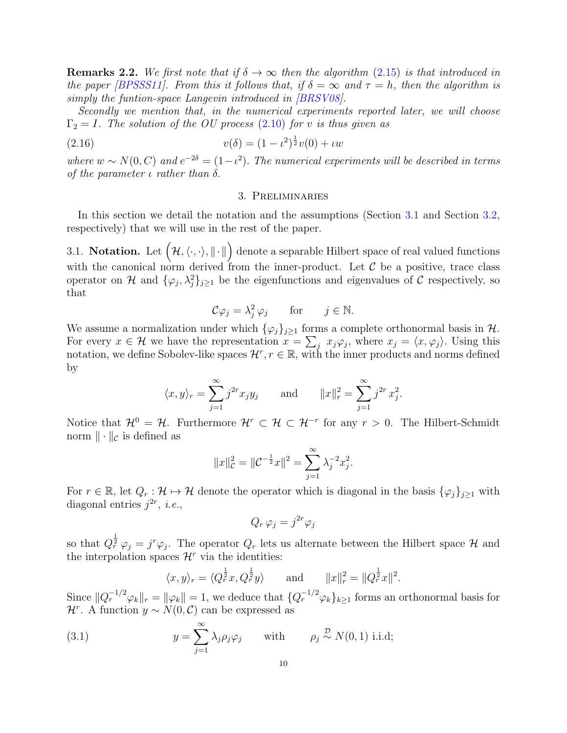<span id="page-9-3"></span>**Remarks 2.2.** We first note that if  $\delta \to \infty$  then the algorithm [\(2.15\)](#page-8-1) is that introduced in the paper [\[BPSSS11\]](#page-39-12). From this it follows that, if  $\delta = \infty$  and  $\tau = h$ , then the algorithm is simply the funtion-space Langevin introduced in [\[BRSV08\]](#page-39-13).

Secondly we mention that, in the numerical experiments reported later, we will choose  $\Gamma_2 = I$ . The solution of the OU process [\(2.10\)](#page-6-5) for v is thus given as

(2.16) 
$$
v(\delta) = (1 - \iota^2)^{\frac{1}{2}} v(0) + \iota w
$$

where  $w \sim N(0, C)$  and  $e^{-2\delta} = (1 - \iota^2)$ . The numerical experiments will be described in terms of the parameter  $\iota$  rather than  $\delta$ .

#### <span id="page-9-4"></span>3. Preliminaries

<span id="page-9-0"></span>In this section we detail the notation and the assumptions (Section [3.1](#page-9-1) and Section [3.2,](#page-11-1) respectively) that we will use in the rest of the paper.

<span id="page-9-1"></span>3.1. Notation. Let  $(\mathcal{H},\langle\cdot,\cdot\rangle,\|\cdot\|)$  denote a separable Hilbert space of real valued functions with the canonical norm derived from the inner-product. Let  $C$  be a positive, trace class operator on H and  $\{\varphi_j, \lambda_j^2\}_{j\geq 1}$  be the eigenfunctions and eigenvalues of C respectively, so that

$$
\mathcal{C}\varphi_j = \lambda_j^2 \,\varphi_j \qquad \text{for} \qquad j \in \mathbb{N}.
$$

We assume a normalization under which  $\{\varphi_j\}_{j\geq 1}$  forms a complete orthonormal basis in  $\mathcal{H}$ . For every  $x \in \mathcal{H}$  we have the representation  $x = \sum_j x_j \varphi_j$ , where  $x_j = \langle x, \varphi_j \rangle$ . Using this notation, we define Sobolev-like spaces  $\mathcal{H}^r$ ,  $r \in \mathbb{R}$ , with the inner products and norms defined by

$$
\langle x, y \rangle_r = \sum_{j=1}^{\infty} j^{2r} x_j y_j
$$
 and  $||x||_r^2 = \sum_{j=1}^{\infty} j^{2r} x_j^2$ .

Notice that  $\mathcal{H}^0 = \mathcal{H}$ . Furthermore  $\mathcal{H}^r \subset \mathcal{H} \subset \mathcal{H}^{-r}$  for any  $r > 0$ . The Hilbert-Schmidt norm  $\|\cdot\|_{\mathcal{C}}$  is defined as

$$
||x||_{\mathcal{C}}^2 = ||\mathcal{C}^{-\frac{1}{2}}x||^2 = \sum_{j=1}^{\infty} \lambda_j^{-2} x_j^2.
$$

For  $r \in \mathbb{R}$ , let  $Q_r : \mathcal{H} \mapsto \mathcal{H}$  denote the operator which is diagonal in the basis  $\{\varphi_i\}_{i\geq 1}$  with diagonal entries  $j^{2r}$ , *i.e.*,

$$
Q_r \,\varphi_j = j^{2r} \varphi_j
$$

so that  $Q_r^{\frac{1}{2}}\varphi_j = j^r \varphi_j$ . The operator  $Q_r$  lets us alternate between the Hilbert space  $\mathcal H$  and the interpolation spaces  $\mathcal{H}^r$  via the identities:

$$
\langle x, y \rangle_r = \langle Q_r^{\frac{1}{2}} x, Q_r^{\frac{1}{2}} y \rangle
$$
 and  $||x||_r^2 = ||Q_r^{\frac{1}{2}} x||^2$ .

Since  $||Q_r^{-1/2}\varphi_k||_r = ||\varphi_k|| = 1$ , we deduce that  $\{Q_r^{-1/2}\varphi_k\}_{k\geq 1}$  forms an orthonormal basis for  $\mathcal{H}^r$ . A function  $y \sim N(0, \mathcal{C})$  can be expressed as

<span id="page-9-2"></span>(3.1) 
$$
y = \sum_{j=1}^{\infty} \lambda_j \rho_j \varphi_j \quad \text{with} \quad \rho_j \stackrel{\mathcal{D}}{\sim} N(0, 1) \text{ i.i.d};
$$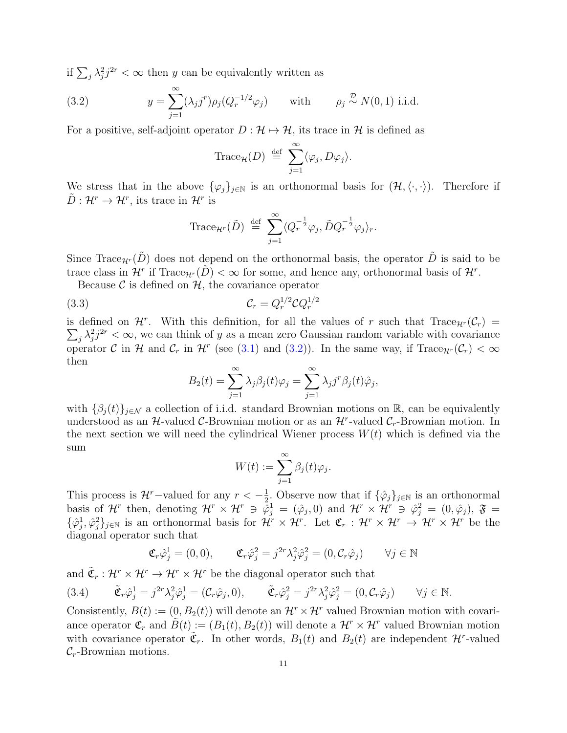if  $\sum_j \lambda_j^2 j^{2r} < \infty$  then y can be equivalently written as

<span id="page-10-0"></span>(3.2) 
$$
y = \sum_{j=1}^{\infty} (\lambda_j j^r) \rho_j (Q_r^{-1/2} \varphi_j) \quad \text{with} \quad \rho_j \stackrel{\mathcal{D}}{\sim} N(0, 1) \text{ i.i.d.}
$$

For a positive, self-adjoint operator  $D : \mathcal{H} \mapsto \mathcal{H}$ , its trace in  $\mathcal{H}$  is defined as

Trace<sub>H</sub>(D) 
$$
\stackrel{\text{def}}{=} \sum_{j=1}^{\infty} \langle \varphi_j, D\varphi_j \rangle
$$
.

We stress that in the above  $\{\varphi_j\}_{j\in\mathbb{N}}$  is an orthonormal basis for  $(\mathcal{H},\langle\cdot,\cdot\rangle)$ . Therefore if  $\tilde{D}: \mathcal{H}^r \to \mathcal{H}^r$ , its trace in  $\mathcal{H}^r$  is

Trace
$$
_{\mathcal{H}^r}(\tilde{D}) \stackrel{\text{def}}{=} \sum_{j=1}^{\infty} \langle Q_r^{-\frac{1}{2}} \varphi_j, \tilde{D} Q_r^{-\frac{1}{2}} \varphi_j \rangle_r.
$$

Since Trace<sub>H<sup>r</sub>( $\tilde{D}$ ) does not depend on the orthonormal basis, the operator  $\tilde{D}$  is said to be</sub></sup> trace class in  $\mathcal{H}^r$  if Trace $_{\mathcal{H}^r}(\tilde{D}) < \infty$  for some, and hence any, orthonormal basis of  $\mathcal{H}^r$ .

Because  $\mathcal C$  is defined on  $\mathcal H$ , the covariance operator

$$
C_r = Q_r^{1/2} C Q_r^{1/2}
$$

is defined on  $\mathcal{H}^r$ . With this definition, for all the values of r such that  $\text{Trace}_{\mathcal{H}^r}(\mathcal{C}_r)$  $\sum_j \lambda_j^2 j^{2r} < \infty$ , we can think of y as a mean zero Gaussian random variable with covariance operator C in H and  $\mathcal{C}_r$  in H<sup>t</sup> (see [\(3.1\)](#page-9-2) and [\(3.2\)](#page-10-0)). In the same way, if Trace<sub>H<sup>r</sub></sup>( $\mathcal{C}_r$ ) <  $\infty$ </sub> then

<span id="page-10-1"></span>
$$
B_2(t) = \sum_{j=1}^{\infty} \lambda_j \beta_j(t) \varphi_j = \sum_{j=1}^{\infty} \lambda_j j^r \beta_j(t) \hat{\varphi}_j,
$$

with  $\{\beta_i(t)\}_{i\in\mathcal{N}}$  a collection of i.i.d. standard Brownian motions on R, can be equivalently understood as an  $H$ -valued C-Brownian motion or as an  $H^r$ -valued  $C_r$ -Brownian motion. In the next section we will need the cylindrical Wiener process  $W(t)$  which is defined via the sum

$$
W(t) := \sum_{j=1}^{\infty} \beta_j(t)\varphi_j.
$$

This process is  $\mathcal{H}^r$ -valued for any  $r < -\frac{1}{2}$  $\frac{1}{2}$ . Observe now that if  $\{\hat{\varphi}_j\}_{j\in\mathbb{N}}$  is an orthonormal basis of H<sup>r</sup> then, denoting  $\mathcal{H}^r \times \mathcal{H}^r \ni \tilde{\varphi}_j^1 = (\hat{\varphi}_j, 0)$  and  $\mathcal{H}^r \times \mathcal{H}^r \ni \hat{\varphi}_j^2 = (0, \hat{\varphi}_j)$ ,  $\mathfrak{F} =$  $\{\hat{\varphi}_j^1,\hat{\varphi}_j^2\}_{j\in\mathbb{N}}$  is an orthonormal basis for  $\mathcal{H}^r\times\mathcal{H}^r$ . Let  $\mathfrak{C}_r:\mathcal{H}^r\times\mathcal{H}^r\to\mathcal{H}^r\times\mathcal{H}^r$  be the diagonal operator such that

$$
\mathfrak{C}_{r}\hat{\varphi}_{j}^{1} = (0,0), \qquad \mathfrak{C}_{r}\hat{\varphi}_{j}^{2} = j^{2r}\lambda_{j}^{2}\hat{\varphi}_{j}^{2} = (0,\mathcal{C}_{r}\hat{\varphi}_{j}) \qquad \forall j \in \mathbb{N}
$$

and  $\tilde{\mathfrak{C}}_r : \mathcal{H}^r \times \mathcal{H}^r \to \mathcal{H}^r \times \mathcal{H}^r$  be the diagonal operator such that

<span id="page-10-2"></span>
$$
(3.4) \quad \tilde{\mathfrak{C}}_r \hat{\varphi}_j^1 = j^{2r} \lambda_j^2 \hat{\varphi}_j^1 = (\mathcal{C}_r \hat{\varphi}_j, 0), \quad \tilde{\mathfrak{C}}_r \hat{\varphi}_j^2 = j^{2r} \lambda_j^2 \hat{\varphi}_j^2 = (0, \mathcal{C}_r \hat{\varphi}_j) \quad \forall j \in \mathbb{N}.
$$

Consistently,  $B(t) := (0, B_2(t))$  will denote an  $\mathcal{H}^r \times \mathcal{H}^r$  valued Brownian motion with covariance operator  $\mathfrak{C}_r$  and  $\tilde{B}(t) := (B_1(t), B_2(t))$  will denote a  $\mathcal{H}^r \times \mathcal{H}^r$  valued Brownian motion with covariance operator  $\tilde{\mathfrak{C}}_r$ . In other words,  $B_1(t)$  and  $B_2(t)$  are independent  $\mathcal{H}^r$ -valued  $\mathcal{C}_r$ -Brownian motions.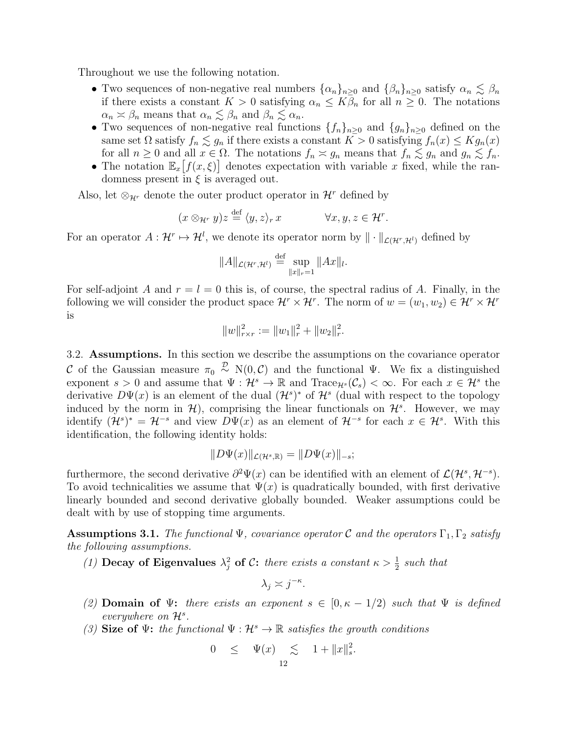Throughout we use the following notation.

- Two sequences of non-negative real numbers  $\{\alpha_n\}_{n\geq 0}$  and  $\{\beta_n\}_{n\geq 0}$  satisfy  $\alpha_n \lesssim \beta_n$ if there exists a constant  $K > 0$  satisfying  $\alpha_n \leq K\beta_n$  for all  $n \geq 0$ . The notations  $\alpha_n \asymp \beta_n$  means that  $\alpha_n \lesssim \beta_n$  and  $\beta_n \lesssim \alpha_n$ .
- Two sequences of non-negative real functions  $\{f_n\}_{n\geq 0}$  and  $\{g_n\}_{n\geq 0}$  defined on the same set  $\Omega$  satisfy  $f_n \lesssim g_n$  if there exists a constant  $K > 0$  satisfying  $f_n(x) \leq Kg_n(x)$ for all  $n \geq 0$  and all  $x \in \Omega$ . The notations  $f_n \approx g_n$  means that  $f_n \lesssim g_n$  and  $g_n \lesssim f_n$ .
- The notation  $\mathbb{E}_x[f(x,\xi)]$  denotes expectation with variable x fixed, while the randomness present in  $\xi$  is averaged out.

Also, let  $\otimes_{\mathcal{H}^r}$  denote the outer product operator in  $\mathcal{H}^r$  defined by

$$
(x \otimes_{\mathcal{H}^r} y)z \stackrel{\text{def}}{=} \langle y, z \rangle_r x \qquad \forall x, y, z \in \mathcal{H}^r.
$$

For an operator  $A: \mathcal{H}^r \mapsto \mathcal{H}^l$ , we denote its operator norm by  $\|\cdot\|_{\mathcal{L}(\mathcal{H}^r,\mathcal{H}^l)}$  defined by

$$
||A||_{\mathcal{L}(\mathcal{H}^r,\mathcal{H}^l)} \stackrel{\text{def}}{=} \sup_{||x||_r=1} ||Ax||_l.
$$

For self-adjoint A and  $r = l = 0$  this is, of course, the spectral radius of A. Finally, in the following we will consider the product space  $\mathcal{H}^r \times \mathcal{H}^r$ . The norm of  $w = (w_1, w_2) \in \mathcal{H}^r \times \mathcal{H}^r$ is

$$
||w||_{r \times r}^{2} := ||w_1||_{r}^{2} + ||w_2||_{r}^{2}.
$$

<span id="page-11-1"></span>3.2. Assumptions. In this section we describe the assumptions on the covariance operator C of the Gaussian measure  $\pi_0 \stackrel{\mathcal{D}}{\sim} N(0,\mathcal{C})$  and the functional  $\Psi$ . We fix a distinguished exponent  $s > 0$  and assume that  $\Psi : \mathcal{H}^s \to \mathbb{R}$  and Trace<sub> $\mathcal{H}^s(\mathcal{C}_s) < \infty$ . For each  $x \in \mathcal{H}^s$  the</sub> derivative  $D\Psi(x)$  is an element of the dual  $(\mathcal{H}^s)^*$  of  $\mathcal{H}^s$  (dual with respect to the topology induced by the norm in  $\mathcal{H}$ , comprising the linear functionals on  $\mathcal{H}^s$ . However, we may identify  $(\mathcal{H}^s)^* = \mathcal{H}^{-s}$  and view  $D\Psi(x)$  as an element of  $\mathcal{H}^{-s}$  for each  $x \in \mathcal{H}^s$ . With this identification, the following identity holds:

$$
||D\Psi(x)||_{\mathcal{L}(\mathcal{H}^s,\mathbb{R})} = ||D\Psi(x)||_{-s};
$$

furthermore, the second derivative  $\partial^2 \Psi(x)$  can be identified with an element of  $\mathcal{L}(\mathcal{H}^s, \mathcal{H}^{-s})$ . To avoid technicalities we assume that  $\Psi(x)$  is quadratically bounded, with first derivative linearly bounded and second derivative globally bounded. Weaker assumptions could be dealt with by use of stopping time arguments.

<span id="page-11-0"></span>**Assumptions 3.1.** The functional  $\Psi$ , covariance operator C and the operators  $\Gamma_1$ ,  $\Gamma_2$  satisfy the following assumptions.

(1) Decay of Eigenvalues  $\lambda_j^2$  of C: there exists a constant  $\kappa > \frac{1}{2}$  such that

$$
\lambda_j \asymp j^{-\kappa}.
$$

- (2) Domain of  $\Psi$ : there exists an exponent  $s \in [0, \kappa 1/2)$  such that  $\Psi$  is defined everywhere on  $\mathcal{H}^s$ .
- (3) Size of  $\Psi$ : the functional  $\Psi : \mathcal{H}^s \to \mathbb{R}$  satisfies the growth conditions

$$
0 \leq \Psi(x) \leq 1 + \|x\|_{s}^{2}.
$$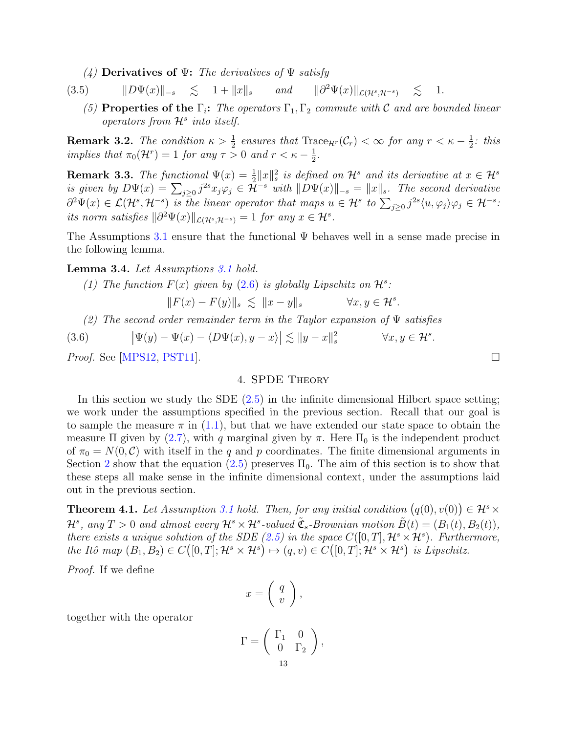(4) Derivatives of  $\Psi$ : The derivatives of  $\Psi$  satisfy

<span id="page-12-5"></span>(3.5)  $\|D\Psi(x)\|_{-s} \leq 1 + \|x\|_{s}$  and  $\|\partial^2 \Psi(x)\|_{\mathcal{L}(\mathcal{H}^s, \mathcal{H}^{-s})} \leq 1.$ 

(5) Properties of the  $\Gamma_i$ : The operators  $\Gamma_1, \Gamma_2$  commute with C and are bounded linear operators from  $\mathcal{H}^s$  into itself.

<span id="page-12-3"></span>**Remark 3.2.** The condition  $\kappa > \frac{1}{2}$  ensures that  $\text{Trace}_{\mathcal{H}^r}(\mathcal{C}_r) < \infty$  for any  $r < \kappa - \frac{1}{2}$  $rac{1}{2}$ : this implies that  $\pi_0(\mathcal{H}^r) = 1$  for any  $\tau > 0$  and  $r < \kappa - \frac{1}{2}$  $\frac{1}{2}$ .

**Remark 3.3.** The functional  $\Psi(x) = \frac{1}{2} ||x||^2$  is defined on  $\mathcal{H}^s$  and its derivative at  $x \in \mathcal{H}^s$ is given by  $D\Psi(x) = \sum_{j\geq 0} j^{2s} x_j \varphi_j \in \mathcal{H}^{-s}$  with  $||D\Psi(x)||_{-s} = ||x||_s$ . The second derivative  $\partial^2 \Psi(x) \in \mathcal{L}(\mathcal{H}^s, \mathcal{H}^{-s})$  is the linear operator that maps  $u \in \mathcal{H}^s$  to  $\sum_{j\geq 0} j^{2s} \langle u, \varphi_j \rangle \varphi_j \in \mathcal{H}^{-s}$ . its norm satisfies  $\|\partial^2 \Psi(x)\|_{\mathcal{L}(\mathcal{H}^s,\mathcal{H}^{-s})}=1$  for any  $x \in \mathcal{H}^s$ .

The Assumptions [3.1](#page-11-0) ensure that the functional  $\Psi$  behaves well in a sense made precise in the following lemma.

<span id="page-12-2"></span>Lemma 3.4. Let Assumptions [3.1](#page-11-0) hold.

(1) The function  $F(x)$  given by [\(2.6\)](#page-6-4) is globally Lipschitz on  $\mathcal{H}^s$ :

$$
||F(x) - F(y)||_{s} \le ||x - y||_{s} \qquad \forall x, y \in \mathcal{H}^{s}.
$$

(2) The second order remainder term in the Taylor expansion of  $\Psi$  satisfies

<span id="page-12-4"></span>(3.6) 
$$
\left|\Psi(y) - \Psi(x) - \langle D\Psi(x), y - x \rangle\right| \lesssim \|y - x\|_{s}^{2} \qquad \forall x, y \in \mathcal{H}^{s}.
$$

<span id="page-12-0"></span>*Proof.* See [\[MPS12,](#page-39-8) [PST11\]](#page-40-2).

# 4. SPDE Theory

In this section we study the SDE  $(2.5)$  in the infinite dimensional Hilbert space setting; we work under the assumptions specified in the previous section. Recall that our goal is to sample the measure  $\pi$  in [\(1.1\)](#page-2-0), but that we have extended our state space to obtain the measure  $\Pi$  given by [\(2.7\)](#page-6-1), with q marginal given by  $\pi$ . Here  $\Pi_0$  is the independent product of  $\pi_0 = N(0, \mathcal{C})$  with itself in the q and p coordinates. The finite dimensional arguments in Section [2](#page-3-0) show that the equation  $(2.5)$  preserves  $\Pi_0$ . The aim of this section is to show that these steps all make sense in the infinite dimensional context, under the assumptions laid out in the previous section.

<span id="page-12-1"></span>**Theorem 4.1.** Let Assumption [3.1](#page-11-0) hold. Then, for any initial condition  $(q(0), v(0)) \in \mathcal{H}^s \times$  $\mathcal{H}^s$ , any  $T > 0$  and almost every  $\mathcal{H}^s \times \mathcal{H}^s$ -valued  $\tilde{\mathfrak{C}}_s$ -Brownian motion  $\tilde{B}(t) = (B_1(t), B_2(t)),$ there exists a unique solution of the SDE [\(2.5\)](#page-5-2) in the space  $C([0,T], \mathcal{H}^s \times \mathcal{H}^s)$ . Furthermore, the Itô map  $(B_1, B_2) \in C([0, T]; \mathcal{H}^s \times \mathcal{H}^s) \mapsto (q, v) \in C([0, T]; \mathcal{H}^s \times \mathcal{H}^s)$  is Lipschitz.

Proof. If we define

$$
x = \left(\begin{array}{c} q \\ v \end{array}\right),
$$

together with the operator

$$
\Gamma = \left( \begin{array}{cc} \Gamma_1 & 0 \\ 0 & \Gamma_2 \end{array} \right),
$$
  

$$
\frac{13}{13}
$$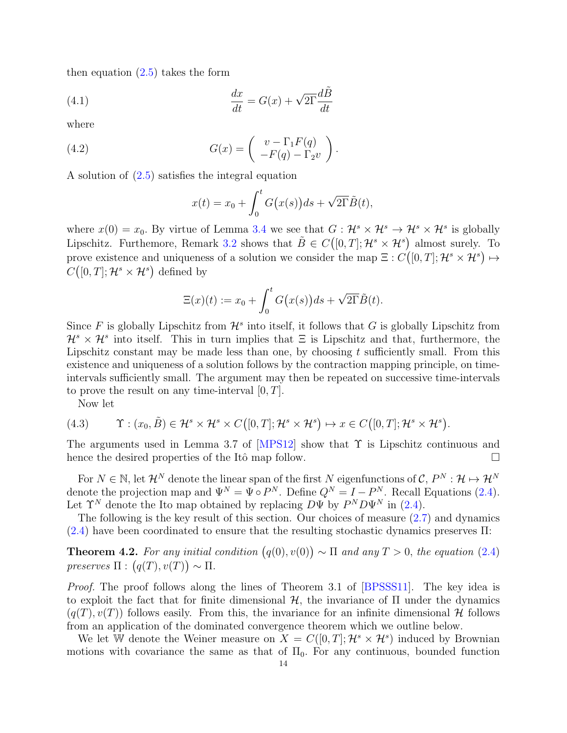then equation  $(2.5)$  takes the form

<span id="page-13-1"></span>(4.1) 
$$
\frac{dx}{dt} = G(x) + \sqrt{2\Gamma} \frac{d\tilde{B}}{dt}
$$

where

(4.2) 
$$
G(x) = \begin{pmatrix} v - \Gamma_1 F(q) \\ -F(q) - \Gamma_2 v \end{pmatrix}.
$$

A solution of [\(2.5\)](#page-5-2) satisfies the integral equation

<span id="page-13-3"></span>
$$
x(t) = x_0 + \int_0^t G(x(s))ds + \sqrt{2\Gamma}\tilde{B}(t),
$$

where  $x(0) = x_0$ . By virtue of Lemma [3.4](#page-12-2) we see that  $G: \mathcal{H}^s \times \mathcal{H}^s \to \mathcal{H}^s \times \mathcal{H}^s$  is globally Lipschitz. Furthemore, Remark [3.2](#page-12-3) shows that  $\tilde{B} \in C([0,T]; \mathcal{H}^s \times \mathcal{H}^s)$  almost surely. To prove existence and uniqueness of a solution we consider the map  $\Xi$  :  $C([0,T]; \mathcal{H}^s \times \mathcal{H}^s) \mapsto$  $C([0,T];\mathcal{H}^s\times\mathcal{H}^s)$  defined by

$$
\Xi(x)(t) := x_0 + \int_0^t G(x(s))ds + \sqrt{2\Gamma}\tilde{B}(t).
$$

Since F is globally Lipschitz from  $\mathcal{H}^s$  into itself, it follows that G is globally Lipschitz from  $\mathcal{H}^s \times \mathcal{H}^s$  into itself. This in turn implies that  $\Xi$  is Lipschitz and that, furthermore, the Lipschitz constant may be made less than one, by choosing  $t$  sufficiently small. From this existence and uniqueness of a solution follows by the contraction mapping principle, on timeintervals sufficiently small. The argument may then be repeated on successive time-intervals to prove the result on any time-interval  $[0, T]$ .

Now let

<span id="page-13-2"></span>(4.3) 
$$
\Upsilon : (x_0, \tilde{B}) \in \mathcal{H}^s \times \mathcal{H}^s \times C([0, T]; \mathcal{H}^s \times \mathcal{H}^s) \mapsto x \in C([0, T]; \mathcal{H}^s \times \mathcal{H}^s).
$$

The arguments used in Lemma 3.7 of  $[MPS12]$  show that  $\Upsilon$  is Lipschitz continuous and hence the desired properties of the Itô map follow.

For  $N \in \mathbb{N}$ , let  $\mathcal{H}^N$  denote the linear span of the first N eigenfunctions of  $\mathcal{C}, P^N : \mathcal{H} \mapsto \mathcal{H}^N$ denote the projection map and  $\Psi^N = \Psi \circ P^N$ . Define  $Q^N = I - P^N$ . Recall Equations [\(2.4\)](#page-5-3). Let  $\Upsilon^N$  denote the Ito map obtained by replacing  $D\Psi$  by  $P^ND\Psi^N$  in [\(2.4\)](#page-5-3).

The following is the key result of this section. Our choices of measure  $(2.7)$  and dynamics  $(2.4)$  have been coordinated to ensure that the resulting stochastic dynamics preserves  $\Pi$ :

<span id="page-13-0"></span>**Theorem 4.2.** For any initial condition  $(q(0), v(0)) \sim \Pi$  and any  $T > 0$ , the equation [\(2.4\)](#page-5-3) preserves  $\Pi : (q(T), v(T)) \sim \Pi$ .

Proof. The proof follows along the lines of Theorem 3.1 of [\[BPSSS11\]](#page-39-12). The key idea is to exploit the fact that for finite dimensional  $H$ , the invariance of  $\Pi$  under the dynamics  $(q(T), v(T))$  follows easily. From this, the invariance for an infinite dimensional H follows from an application of the dominated convergence theorem which we outline below.

We let W denote the Weiner measure on  $X = C([0, T]; \mathcal{H}^s \times \mathcal{H}^s)$  induced by Brownian motions with covariance the same as that of  $\Pi_0$ . For any continuous, bounded function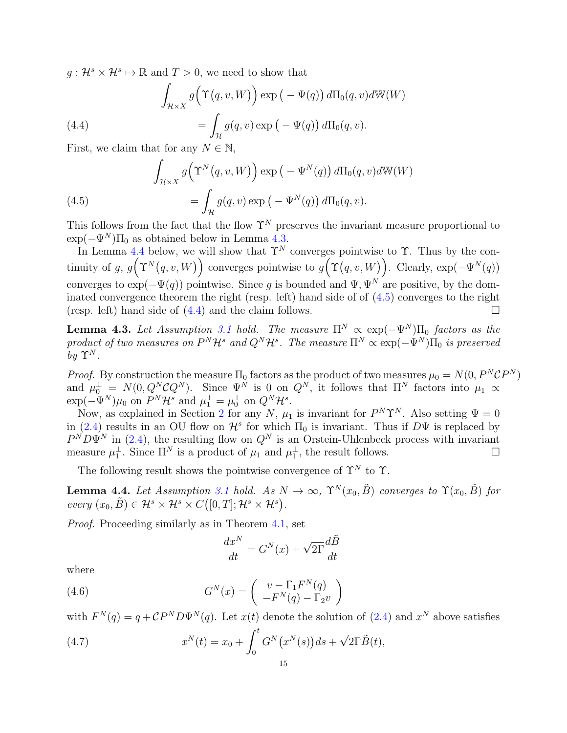$g: \mathcal{H}^s \times \mathcal{H}^s \mapsto \mathbb{R}$  and  $T > 0$ , we need to show that

<span id="page-14-3"></span>(4.4)  

$$
\int_{\mathcal{H}\times X} g\Big(\Upsilon\big(q,v,W\big)\Big) \exp\big(-\Psi(q)\big) d\Pi_0(q,v) d\mathbb{W}(W)
$$

$$
= \int_{\mathcal{H}} g(q,v) \exp\big(-\Psi(q)\big) d\Pi_0(q,v).
$$

First, we claim that for any  $N \in \mathbb{N}$ ,

<span id="page-14-2"></span>(4.5) 
$$
\int_{\mathcal{H}\times X} g\Big(\Upsilon^N(q,v,W)\Big) \exp\big(-\Psi^N(q)\big) d\Pi_0(q,v) d\mathbb{W}(W)
$$

$$
= \int_{\mathcal{H}} g(q,v) \exp\big(-\Psi^N(q)\big) d\Pi_0(q,v).
$$

This follows from the fact that the flow  $\Upsilon^N$  preserves the invariant measure proportional to  $\exp(-\Psi^N)\Pi_0$  as obtained below in Lemma [4.3.](#page-14-0)

In Lemma [4.4](#page-14-1) below, we will show that  $\Upsilon^N$  converges pointwise to  $\Upsilon$ . Thus by the continuity of g,  $g(\Upsilon^N(q, v, W))$  converges pointwise to  $g(\Upsilon(q, v, W))$ . Clearly,  $\exp(-\Psi^N(q))$ converges to  $\exp(-\Psi(q))$  pointwise. Since g is bounded and  $\Psi$ ,  $\Psi^N$  are positive, by the dominated convergence theorem the right (resp. left) hand side of of [\(4.5\)](#page-14-2) converges to the right (resp. left) hand side of  $(4.4)$  and the claim follows.

<span id="page-14-0"></span>**Lemma 4.3.** Let Assumption [3.1](#page-11-0) hold. The measure  $\Pi^N \propto \exp(-\Psi^N) \Pi_0$  factors as the product of two measures on  $P^N\mathcal{H}^s$  and  $Q^N\mathcal{H}^s$ . The measure  $\Pi^N\propto \exp(-\Psi^N)\Pi_0$  is preserved by  $\Upsilon^N$ .

*Proof.* By construction the measure  $\Pi_0$  factors as the product of two measures  $\mu_0 = N(0, P^N \mathcal{C} P^N)$ and  $\mu_0^{\perp} = N(0, Q_N^N C Q^N)$ . Since  $\Psi^N$  is 0 on  $Q^N$ , it follows that  $\Pi^N$  factors into  $\mu_1 \propto$  $\exp(-\Psi^N)\mu_0$  on  $P^N\mathcal{H}^s$  and  $\mu_1^{\perp} = \mu_0^{\perp}$  on  $Q^N\mathcal{H}^s$ .

Now, as explained in Section [2](#page-3-0) for any N,  $\mu_1$  is invariant for  $P^N\Upsilon^N$ . Also setting  $\Psi = 0$ in [\(2.4\)](#page-5-3) results in an OU flow on  $\mathcal{H}^s$  for which  $\Pi_0$  is invariant. Thus if  $D\Psi$  is replaced by  $P^N D \Psi^N$  in [\(2.4\)](#page-5-3), the resulting flow on  $Q^N$  is an Orstein-Uhlenbeck process with invariant measure  $\mu_1^{\perp}$ . Since  $\Pi^N$  is a product of  $\mu_1$  and  $\mu_1^{\perp}$ , the result follows.

The following result shows the pointwise convergence of  $\Upsilon^N$  to  $\Upsilon$ .

<span id="page-14-1"></span>**Lemma 4.4.** Let Assumption [3.1](#page-11-0) hold. As  $N \to \infty$ ,  $\Upsilon^N(x_0, \tilde{B})$  converges to  $\Upsilon(x_0, \tilde{B})$  for every  $(x_0, \tilde{B}) \in \mathcal{H}^s \times \mathcal{H}^s \times C([0,T]; \mathcal{H}^s \times \mathcal{H}^s).$ 

Proof. Proceeding similarly as in Theorem [4.1,](#page-12-1) set

$$
\frac{dx^N}{dt} = G^N(x) + \sqrt{2\Gamma} \frac{d\tilde{B}}{dt}
$$

where

(4.6) 
$$
G^{N}(x) = \begin{pmatrix} v - \Gamma_1 F^{N}(q) \\ -F^{N}(q) - \Gamma_2 v \end{pmatrix}
$$

with  $F^{N}(q) = q + \mathcal{C}P^{N}D\Psi^{N}(q)$ . Let  $x(t)$  denote the solution of  $(2.4)$  and  $x^{N}$  above satisfies

<span id="page-14-4"></span>(4.7) 
$$
x^{N}(t) = x_{0} + \int_{0}^{t} G^{N}(x^{N}(s))ds + \sqrt{2\Gamma}\tilde{B}(t),
$$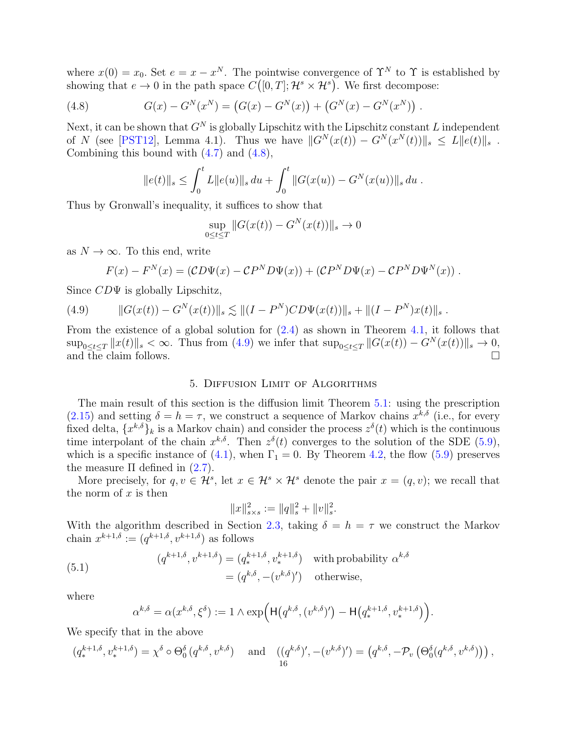where  $x(0) = x_0$ . Set  $e = x - x^N$ . The pointwise convergence of  $\Upsilon^N$  to  $\Upsilon$  is established by showing that  $e \to 0$  in the path space  $C([0,T]; \mathcal{H}^s \times \mathcal{H}^s)$ . We first decompose:

<span id="page-15-1"></span>(4.8) 
$$
G(x) - G^{N}(x^{N}) = (G(x) - G^{N}(x)) + (G^{N}(x) - G^{N}(x^{N}))
$$

Next, it can be shown that  $G^N$  is globally Lipschitz with the Lipschitz constant L independent of N (see [\[PST12\]](#page-40-1), Lemma 4.1). Thus we have  $||G^{N}(x(t)) - G^{N}(x^{N}(t))||_{s} \le L||e(t)||_{s}$ . Combining this bound with [\(4.7\)](#page-14-4) and [\(4.8\)](#page-15-1),

$$
||e(t)||_{s} \leq \int_{0}^{t} L||e(u)||_{s} du + \int_{0}^{t} ||G(x(u)) - G^{N}(x(u))||_{s} du.
$$

Thus by Gronwall's inequality, it suffices to show that

$$
\sup_{0 \le t \le T} \|G(x(t)) - G^N(x(t))\|_{s} \to 0
$$

as  $N \to \infty$ . To this end, write

$$
F(x) - FN(x) = (CD\Psi(x) - CPND\Psi(x)) + (CPND\Psi(x) - CPND\PsiN(x)).
$$

Since  $CD\Psi$  is globally Lipschitz,

<span id="page-15-2"></span>(4.9) 
$$
||G(x(t)) - G^{N}(x(t))||_{s} \lesssim ||(I - P^{N})CD\Psi(x(t))||_{s} + ||(I - P^{N})x(t)||_{s}.
$$

From the existence of a global solution for [\(2.4\)](#page-5-3) as shown in Theorem [4.1,](#page-12-1) it follows that  $\sup_{0 \leq t \leq T} ||x(t)||_s < \infty$ . Thus from [\(4.9\)](#page-15-2) we infer that  $\sup_{0 \leq t \leq T} ||G(x(t)) - G^N(x(t))||_s \to 0$ , and the claim follows. and the claim follows.

#### 5. Diffusion Limit of Algorithms

<span id="page-15-0"></span>The main result of this section is the diffusion limit Theorem [5.1:](#page-17-0) using the prescription  $(2.15)$  and setting  $\delta = h = \tau$ , we construct a sequence of Markov chains  $x^{k,\delta}$  (i.e., for every fixed delta,  $\{x^{k,\delta}\}_k$  is a Markov chain) and consider the process  $z^{\delta}(t)$  which is the continuous time interpolant of the chain  $x^{k,\delta}$ . Then  $z^{\delta}(t)$  converges to the solution of the SDE [\(5.9\)](#page-17-1), which is a specific instance of [\(4.1\)](#page-13-1), when  $\Gamma_1 = 0$ . By Theorem [4.2,](#page-13-0) the flow [\(5.9\)](#page-17-1) preserves the measure  $\Pi$  defined in  $(2.7)$ .

More precisely, for  $q, v \in \mathcal{H}^s$ , let  $x \in \mathcal{H}^s \times \mathcal{H}^s$  denote the pair  $x = (q, v)$ ; we recall that the norm of  $x$  is then

$$
||x||_{s \times s}^2 := ||q||_s^2 + ||v||_s^2.
$$

With the algorithm described in Section [2.3,](#page-6-0) taking  $\delta = h = \tau$  we construct the Markov chain  $x^{k+1,\delta} := (q^{k+1,\delta}, v^{k+1,\delta})$  as follows

<span id="page-15-3"></span>(5.1) 
$$
(q^{k+1,\delta}, v^{k+1,\delta}) = (q^{k+1,\delta}, v^{k+1,\delta}) \text{ with probability } \alpha^{k,\delta}
$$

$$
= (q^{k,\delta}, -(v^{k,\delta})') \text{ otherwise,}
$$

where

$$
\alpha^{k,\delta} = \alpha(x^{k,\delta}, \xi^{\delta}) := 1 \wedge \exp\Big(\mathsf{H}\big(q^{k,\delta}, (v^{k,\delta})'\big) - \mathsf{H}\big(q_*^{k+1,\delta}, v_*^{k+1,\delta}\big)\Big).
$$

We specify that in the above

$$
(q_*^{k+1,\delta}, v_*^{k+1,\delta}) = \chi^{\delta} \circ \Theta_0^{\delta} (q^{k,\delta}, v^{k,\delta}) \quad \text{and} \quad ((q^{k,\delta})', -(v^{k,\delta})') = (q^{k,\delta}, -\mathcal{P}_v \left( \Theta_0^{\delta} (q^{k,\delta}, v^{k,\delta}) \right)),
$$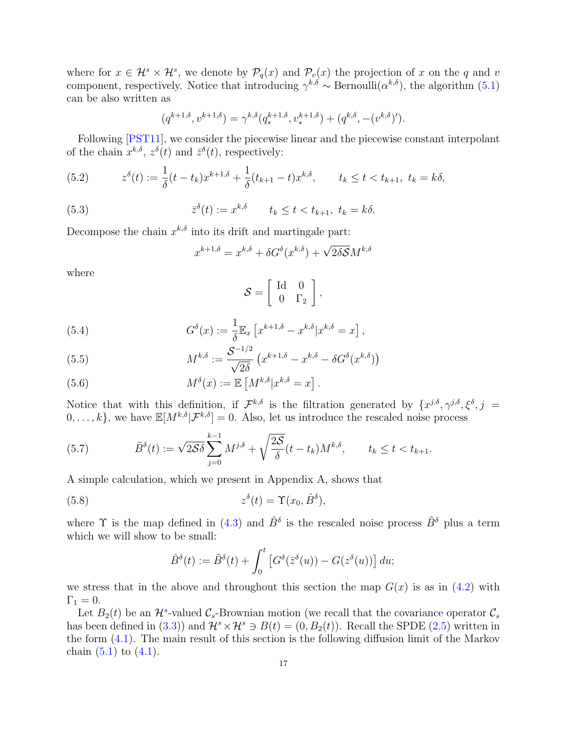where for  $x \in \mathcal{H}^s \times \mathcal{H}^s$ , we denote by  $\mathcal{P}_q(x)$  and  $\mathcal{P}_v(x)$  the projection of x on the q and v component, respectively. Notice that introducing  $\gamma^{k,\delta} \sim \text{Bernoulli}(\alpha^{k,\delta})$ , the algorithm  $(5.1)$ can be also written as

$$
(q^{k+1,\delta}, v^{k+1,\delta}) = \gamma^{k,\delta}(q^{k+1,\delta}, v^{k+1,\delta}) + (q^{k,\delta}, -(v^{k,\delta})').
$$

Following [\[PST11\]](#page-40-2), we consider the piecewise linear and the piecewise constant interpolant of the chain  $x^{k,\delta}$ ,  $z^{\delta}(t)$  and  $\bar{z}^{\delta}(t)$ , respectively:

<span id="page-16-0"></span>(5.2) 
$$
z^{\delta}(t) := \frac{1}{\delta}(t - t_k)x^{k+1,\delta} + \frac{1}{\delta}(t_{k+1} - t)x^{k,\delta}, \qquad t_k \le t < t_{k+1}, \ t_k = k\delta,
$$

<span id="page-16-5"></span>(5.3) 
$$
\overline{z}^{\delta}(t) := x^{k,\delta} \qquad t_k \leq t < t_{k+1}, \ t_k = k\delta.
$$

Decompose the chain  $x^{k,\delta}$  into its drift and martingale part:

$$
x^{k+1,\delta} = x^{k,\delta} + \delta G^{\delta}(x^{k,\delta}) + \sqrt{2\delta S}M^{k,\delta}
$$

where

$$
\mathcal{S} = \left[ \begin{array}{cc} \text{Id} & 0 \\ 0 & \Gamma_2 \end{array} \right],
$$

<span id="page-16-2"></span>(5.4) 
$$
G^{\delta}(x) := \frac{1}{\delta} \mathbb{E}_x \left[ x^{k+1,\delta} - x^{k,\delta} | x^{k,\delta} = x \right],
$$

<span id="page-16-3"></span>(5.5) 
$$
M^{k,\delta} := \frac{\mathcal{S}^{-1/2}}{\sqrt{2\delta}} \left( x^{k+1,\delta} - x^{k,\delta} - \delta G^{\delta}(x^{k,\delta}) \right)
$$

<span id="page-16-6"></span>(5.6) 
$$
M^{\delta}(x) := \mathbb{E}\left[M^{k,\delta}|x^{k,\delta} = x\right].
$$

Notice that with this definition, if  $\mathcal{F}^{k,\delta}$  is the filtration generated by  $\{x^{j,\delta}, \gamma^{j,\delta}, \xi^{\delta}, j =$  $[0, \ldots, k]$ , we have  $\mathbb{E}[M^{k,\delta}|\mathcal{F}^{k,\delta}] = 0$ . Also, let us introduce the rescaled noise process

<span id="page-16-1"></span>(5.7) 
$$
\tilde{B}^{\delta}(t) := \sqrt{2\mathcal{S}\delta} \sum_{j=0}^{k-1} M^{j,\delta} + \sqrt{\frac{2\mathcal{S}}{\delta}} (t - t_k) M^{k,\delta}, \qquad t_k \le t < t_{k+1}.
$$

A simple calculation, which we present in Appendix A, shows that

<span id="page-16-4"></span>(5.8) 
$$
z^{\delta}(t) = \Upsilon(x_0, \hat{B}^{\delta}),
$$

where  $\Upsilon$  is the map defined in [\(4.3\)](#page-13-2) and  $\hat{B}^{\delta}$  is the rescaled noise process  $\tilde{B}^{\delta}$  plus a term which we will show to be small:

$$
\hat{B}^{\delta}(t) := \tilde{B}^{\delta}(t) + \int_0^t \left[ G^{\delta}(\bar{z}^{\delta}(u)) - G(z^{\delta}(u)) \right] du;
$$

we stress that in the above and throughout this section the map  $G(x)$  is as in [\(4.2\)](#page-13-3) with  $\Gamma_1 = 0.$ 

Let  $B_2(t)$  be an  $\mathcal{H}^s$ -valued  $\mathcal{C}_s$ -Brownian motion (we recall that the covariance operator  $\mathcal{C}_s$ has been defined in [\(3.3\)](#page-10-1)) and  $\mathcal{H}^s \times \mathcal{H}^s \ni B(t) = (0, B_2(t))$ . Recall the SPDE [\(2.5\)](#page-5-2) written in the form [\(4.1\)](#page-13-1). The main result of this section is the following diffusion limit of the Markov chain  $(5.1)$  to  $(4.1)$ .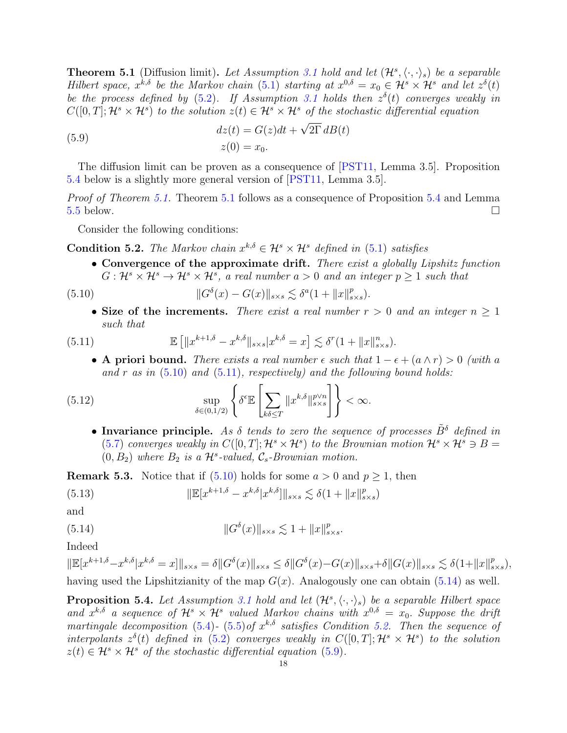<span id="page-17-0"></span>**Theorem 5.1** (Diffusion limit). Let Assumption [3.1](#page-11-0) hold and let  $(\mathcal{H}^s, \langle \cdot, \cdot \rangle_s)$  be a separable Hilbert space,  $x^{k,\delta}$  be the Markov chain [\(5.1\)](#page-15-3) starting at  $x^{0,\delta} = x_0 \in \mathcal{H}^s \times \mathcal{H}^s$  and let  $z^{\delta}(t)$ be the process defined by [\(5.2\)](#page-16-0). If Assumption [3.1](#page-11-0) holds then  $z^{\delta}(t)$  converges weakly in  $C([0,T];\mathcal{H}^s\times\mathcal{H}^s)$  to the solution  $z(t)\in\mathcal{H}^s\times\mathcal{H}^s$  of the stochastic differential equation

<span id="page-17-1"></span>(5.9)  

$$
dz(t) = G(z)dt + \sqrt{2\Gamma} dB(t)
$$

$$
z(0) = x_0.
$$

The diffusion limit can be proven as a consequence of [\[PST11,](#page-40-2) Lemma 3.5]. Proposition [5.4](#page-17-2) below is a slightly more general version of [\[PST11,](#page-40-2) Lemma 3.5].

Proof of Theorem [5.1.](#page-17-0) Theorem [5.1](#page-17-0) follows as a consequence of Proposition [5.4](#page-17-2) and Lemma  $5.5$  below.

Consider the following conditions:

<span id="page-17-6"></span>**Condition 5.2.** The Markov chain  $x^{k,\delta} \in \mathcal{H}^s \times \mathcal{H}^s$  defined in [\(5.1\)](#page-15-3) satisfies

• Convergence of the approximate drift. There exist a globally Lipshitz function  $G: \mathcal{H}^s \times \mathcal{H}^s \to \mathcal{H}^s \times \mathcal{H}^s$ , a real number  $a > 0$  and an integer  $p \ge 1$  such that

<span id="page-17-3"></span>(5.10) 
$$
||G^{\delta}(x) - G(x)||_{s \times s} \lesssim \delta^{a} (1 + ||x||_{s \times s}^{p}).
$$

• Size of the increments. There exist a real number  $r > 0$  and an integer  $n \geq 1$ such that

<span id="page-17-4"></span>(5.11) 
$$
\mathbb{E}\left[\|x^{k+1,\delta}-x^{k,\delta}\|_{s\times s}|x^{k,\delta}=x\right] \lesssim \delta^{r}(1+\|x\|_{s\times s}^{n}).
$$

• A priori bound. There exists a real number  $\epsilon$  such that  $1 - \epsilon + (a \wedge r) > 0$  (with a and r as in  $(5.10)$  and  $(5.11)$ , respectively) and the following bound holds:

<span id="page-17-7"></span>(5.12) 
$$
\sup_{\delta \in (0,1/2)} \left\{ \delta^{\epsilon} \mathbb{E} \left[ \sum_{k\delta \leq T} ||x^{k,\delta}||_{s \times s}^{p\vee n} \right] \right\} < \infty.
$$

• Invariance principle. As  $\delta$  tends to zero the sequence of processes  $\tilde{B}^{\delta}$  defined in [\(5.7\)](#page-16-1) converges weakly in  $C([0,T];\mathcal{H}^s\times\mathcal{H}^s)$  to the Brownian motion  $\mathcal{H}^s\times\mathcal{H}^s\ni B=$  $(0, B_2)$  where  $B_2$  is a  $\mathcal{H}^s$ -valued,  $\mathcal{C}_s$ -Brownian motion.

**Remark 5.3.** Notice that if  $(5.10)$  holds for some  $a > 0$  and  $p \ge 1$ , then

(5.13) 
$$
\|\mathbb{E}[x^{k+1,\delta} - x^{k,\delta}|x^{k,\delta}]\|_{s \times s} \lesssim \delta(1 + \|x\|_{s \times s}^p)
$$

and

<span id="page-17-5"></span>(5.14) 
$$
||G^{\delta}(x)||_{s \times s} \lesssim 1 + ||x||_{s \times s}^{p}.
$$

Indeed

 $\|\mathbb{E}[x^{k+1,\delta}-x^{k,\delta}|x^{k,\delta}=x]\|_{s\times s}=\delta\|G^\delta(x)\|_{s\times s}\leq \delta\|G^\delta(x)-G(x)\|_{s\times s}+\delta\|G(x)\|_{s\times s}\lesssim \delta(1+\|x\|_s^p)$  $_{s\times s}^{p}$ ), having used the Lipshitzianity of the map  $G(x)$ . Analogously one can obtain [\(5.14\)](#page-17-5) as well.

<span id="page-17-2"></span>**Proposition 5.4.** Let Assumption [3.1](#page-11-0) hold and let  $(\mathcal{H}^s, \langle \cdot, \cdot \rangle_s)$  be a separable Hilbert space and  $x^{k,\delta}$  a sequence of  $\mathcal{H}^s \times \mathcal{H}^s$  valued Markov chains with  $x^{0,\delta} = x_0$ . Suppose the drift martingale decomposition [\(5.4\)](#page-16-2)- [\(5.5\)](#page-16-3) of  $x^{k,\delta}$  satisfies Condition [5.2.](#page-17-6) Then the sequence of interpolants  $z^{\delta}(t)$  defined in [\(5.2\)](#page-16-0) converges weakly in  $C([0,T];\mathcal{H}^{s}\times\mathcal{H}^{s})$  to the solution  $z(t) \in \mathcal{H}^s \times \mathcal{H}^s$  of the stochastic differential equation [\(5.9\)](#page-17-1).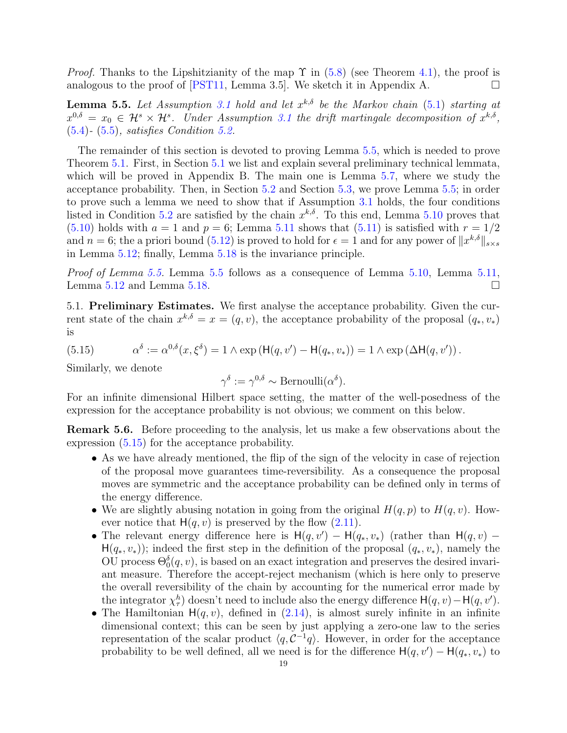*Proof.* Thanks to the Lipshitzianity of the map  $\Upsilon$  in [\(5.8\)](#page-16-4) (see Theorem [4.1\)](#page-12-1), the proof is analogous to the proof of [\[PST11,](#page-40-2) Lemma 3.5]. We sketch it in Appendix A.

<span id="page-18-1"></span>**Lemma 5.5.** Let Assumption [3.1](#page-11-0) hold and let  $x^{k,\delta}$  be the Markov chain [\(5.1\)](#page-15-3) starting at  $x^{0,\delta} = x_0 \in \mathcal{H}^s \times \mathcal{H}^s$ . Under Assumption [3.1](#page-11-0) the drift martingale decomposition of  $x^{k,\delta}$ , [\(5.4\)](#page-16-2)- [\(5.5\)](#page-16-3), satisfies Condition [5.2.](#page-17-6)

The remainder of this section is devoted to proving Lemma [5.5,](#page-18-1) which is needed to prove Theorem [5.1.](#page-17-0) First, in Section [5.1](#page-18-2) we list and explain several preliminary technical lemmata, which will be proved in Appendix B. The main one is Lemma [5.7,](#page-19-0) where we study the acceptance probability. Then, in Section [5.2](#page-20-0) and Section [5.3,](#page-25-0) we prove Lemma [5.5;](#page-18-1) in order to prove such a lemma we need to show that if Assumption [3.1](#page-11-0) holds, the four conditions listed in Condition [5.2](#page-17-6) are satisfied by the chain  $x^{k,\delta}$ . To this end, Lemma [5.10](#page-20-1) proves that [\(5.10\)](#page-17-3) holds with  $a = 1$  and  $p = 6$ ; Lemma [5.11](#page-22-0) shows that [\(5.11\)](#page-17-4) is satisfied with  $r = 1/2$ and  $n = 6$ ; the a priori bound  $(5.12)$  is proved to hold for  $\epsilon = 1$  and for any power of  $||x^{k,\delta}||_{s \times s}$ in Lemma [5.12;](#page-23-1) finally, Lemma [5.18](#page-25-1) is the invariance principle.

Proof of Lemma [5.5.](#page-18-1) Lemma [5.5](#page-18-1) follows as a consequence of Lemma [5.10,](#page-20-1) Lemma [5.11,](#page-22-0) Lemma [5.12](#page-23-1) and Lemma [5.18.](#page-25-1)

<span id="page-18-2"></span>5.1. Preliminary Estimates. We first analyse the acceptance probability. Given the current state of the chain  $x^{k,\delta} = x = (q, v)$ , the acceptance probability of the proposal  $(q_*, v_*)$ is

<span id="page-18-3"></span>(5.15) 
$$
\alpha^{\delta} := \alpha^{0,\delta}(x,\xi^{\delta}) = 1 \wedge \exp(H(q,v') - H(q_*,v_*)) = 1 \wedge \exp(\Delta H(q,v')).
$$

Similarly, we denote

$$
\gamma^{\delta} := \gamma^{0,\delta} \sim \text{Bernoulli}(\alpha^{\delta}).
$$

For an infinite dimensional Hilbert space setting, the matter of the well-posedness of the expression for the acceptance probability is not obvious; we comment on this below.

<span id="page-18-0"></span>Remark 5.6. Before proceeding to the analysis, let us make a few observations about the expression [\(5.15\)](#page-18-3) for the acceptance probability.

- As we have already mentioned, the flip of the sign of the velocity in case of rejection of the proposal move guarantees time-reversibility. As a consequence the proposal moves are symmetric and the acceptance probability can be defined only in terms of the energy difference.
- We are slightly abusing notation in going from the original  $H(q, p)$  to  $H(q, v)$ . However notice that  $H(q, v)$  is preserved by the flow  $(2.11)$ .
- The relevant energy difference here is  $H(q, v') H(q_*, v_*)$  (rather than  $H(q, v)$   $H(q_*, v_*)$ ; indeed the first step in the definition of the proposal  $(q_*, v_*)$ , namely the OU process  $\Theta_0^{\delta}(q, v)$ , is based on an exact integration and preserves the desired invariant measure. Therefore the accept-reject mechanism (which is here only to preserve the overall reversibility of the chain by accounting for the numerical error made by the integrator  $\chi^h_{\tau}$  doesn't need to include also the energy difference  $H(q, v) - H(q, v')$ .
- The Hamiltonian  $H(q, v)$ , defined in  $(2.14)$ , is almost surely infinite in an infinite dimensional context; this can be seen by just applying a zero-one law to the series representation of the scalar product  $\langle q, C^{-1}q \rangle$ . However, in order for the acceptance probability to be well defined, all we need is for the difference  $H(q, v') - H(q_*, v_*)$  to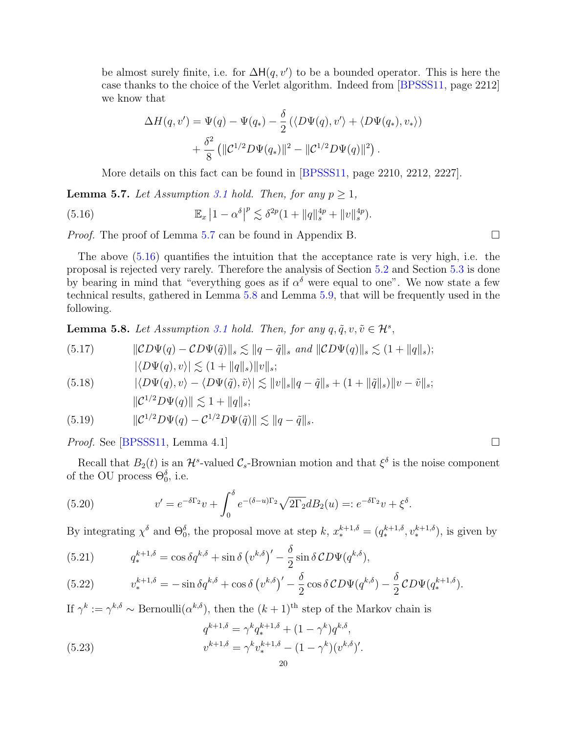be almost surely finite, i.e. for  $\Delta H(q, v')$  to be a bounded operator. This is here the case thanks to the choice of the Verlet algorithm. Indeed from [\[BPSSS11,](#page-39-12) page 2212] we know that

$$
\Delta H(q, v') = \Psi(q) - \Psi(q_*) - \frac{\delta}{2} (\langle D\Psi(q), v' \rangle + \langle D\Psi(q_*), v_* \rangle)
$$

$$
+ \frac{\delta^2}{8} (\|\mathcal{C}^{1/2}D\Psi(q_*)\|^2 - \|\mathcal{C}^{1/2}D\Psi(q)\|^2).
$$

More details on this fact can be found in [\[BPSSS11,](#page-39-12) page 2210, 2212, 2227].

<span id="page-19-0"></span>**Lemma 5.7.** Let Assumption [3.1](#page-11-0) hold. Then, for any  $p \geq 1$ ,

<span id="page-19-1"></span>(5.16) 
$$
\mathbb{E}_x |1 - \alpha^{\delta}|^p \lesssim \delta^{2p} (1 + ||q||_s^{4p} + ||v||_s^{4p}).
$$

Proof. The proof of Lemma [5.7](#page-19-0) can be found in Appendix B.

The above [\(5.16\)](#page-19-1) quantifies the intuition that the acceptance rate is very high, i.e. the proposal is rejected very rarely. Therefore the analysis of Section [5.2](#page-20-0) and Section [5.3](#page-25-0) is done by bearing in mind that "everything goes as if  $\alpha^{\delta}$  were equal to one". We now state a few technical results, gathered in Lemma [5.8](#page-19-2) and Lemma [5.9,](#page-20-2) that will be frequently used in the following.

<span id="page-19-2"></span>**Lemma 5.8.** Let Assumption [3.1](#page-11-0) hold. Then, for any  $q, \tilde{q}, v, \tilde{v} \in \mathcal{H}^s$ ,

<span id="page-19-6"></span>(5.17) 
$$
\|CD\Psi(q) - CD\Psi(\tilde{q})\|_{s} \lesssim \|q - \tilde{q}\|_{s} \text{ and } \|CD\Psi(q)\|_{s} \lesssim (1 + \|q\|_{s});
$$

$$
|\langle D\Psi(q), v \rangle| \lesssim (1 + \|q\|_{s}) \|v\|_{s};
$$

<span id="page-19-8"></span>(5.18) 
$$
|\langle D\Psi(q), v\rangle - \langle D\Psi(\tilde{q}), \tilde{v}\rangle| \lesssim ||v||_{s}||q - \tilde{q}||_{s} + (1 + ||\tilde{q}||_{s})||v - \tilde{v}||_{s};
$$

$$
||\mathcal{C}^{1/2}D\Psi(q)|| \lesssim 1 + ||q||_{s};
$$

<span id="page-19-7"></span>(5.19) 
$$
\|C^{1/2}D\Psi(q) - C^{1/2}D\Psi(\tilde{q})\| \lesssim \|q - \tilde{q}\|_{s}.
$$

*Proof.* See [\[BPSSS11,](#page-39-12) Lemma 4.1]

Recall that  $B_2(t)$  is an  $\mathcal{H}^s$ -valued  $\mathcal{C}_s$ -Brownian motion and that  $\xi^{\delta}$  is the noise component of the OU process  $\Theta_0^{\delta}$ , i.e.

<span id="page-19-4"></span>(5.20) 
$$
v' = e^{-\delta \Gamma_2} v + \int_0^{\delta} e^{-(\delta - u)\Gamma_2} \sqrt{2\Gamma_2} dB_2(u) =: e^{-\delta \Gamma_2} v + \xi^{\delta}.
$$

By integrating  $\chi^{\delta}$  and  $\Theta_0^{\delta}$ , the proposal move at step k,  $x_*^{k+1,\delta} = (q_*^{k+1,\delta}, v_*^{k+1,\delta})$ , is given by

<span id="page-19-5"></span>(5.21) 
$$
q_*^{k+1,\delta} = \cos \delta q^{k,\delta} + \sin \delta \left( v^{k,\delta} \right)' - \frac{\delta}{2} \sin \delta CD\Psi(q^{k,\delta}),
$$

(5.22) 
$$
v_*^{k+1,\delta} = -\sin \delta q^{k,\delta} + \cos \delta (v^{k,\delta})' - \frac{\delta}{2} \cos \delta CD\Psi(q^{k,\delta}) - \frac{\delta}{2} CD\Psi(q_*^{k+1,\delta}).
$$

If  $\gamma^k := \gamma^{k,\delta} \sim \text{Bernoulli}(\alpha^{k,\delta})$ , then the  $(k+1)$ <sup>th</sup> step of the Markov chain is

<span id="page-19-3"></span>(5.23) 
$$
q^{k+1,\delta} = \gamma^k q_*^{k+1,\delta} + (1 - \gamma^k) q^{k,\delta},
$$

$$
v^{k+1,\delta} = \gamma^k v_*^{k+1,\delta} - (1 - \gamma^k) (v^{k,\delta})'.
$$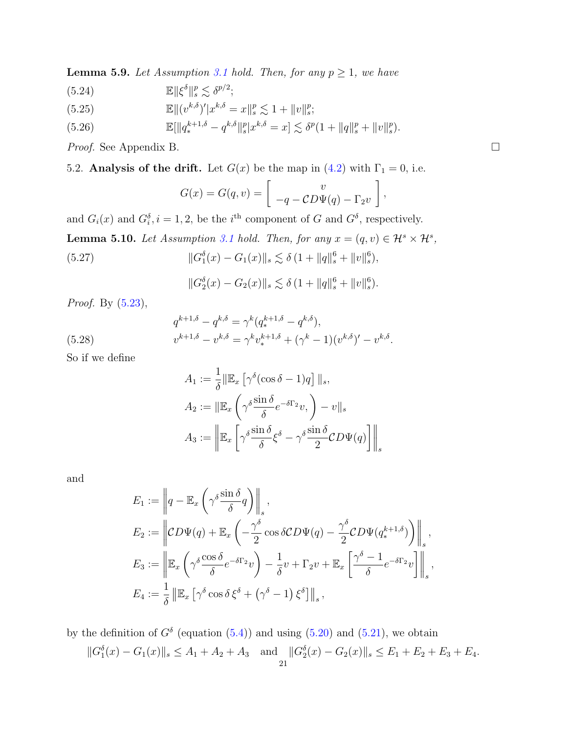<span id="page-20-2"></span>**Lemma 5.9.** Let Assumption [3.1](#page-11-0) hold. Then, for any  $p \ge 1$ , we have

<span id="page-20-3"></span>(5.24) 
$$
\mathbb{E} \|\xi^{\delta}\|_{s}^{p} \lesssim \delta^{p/2};
$$

<span id="page-20-7"></span>(5.25) 
$$
\mathbb{E}||(v^{k,\delta})'|x^{k,\delta} = x||_s^p \lesssim 1 + ||v||_s^p;
$$

<span id="page-20-5"></span>(5.26) 
$$
\mathbb{E}[\|q_*^{k+1,\delta} - q^{k,\delta}\|_s^p |x^{k,\delta} = x] \lesssim \delta^p (1 + \|q\|_s^p + \|v\|_s^p).
$$

Proof. See Appendix B.

<span id="page-20-0"></span>5.2. Analysis of the drift. Let  $G(x)$  be the map in [\(4.2\)](#page-13-3) with  $\Gamma_1 = 0$ , i.e.

$$
G(x) = G(q, v) = \begin{bmatrix} v \\ -q - CD\Psi(q) - \Gamma_2 v \end{bmatrix},
$$

and  $G_i(x)$  and  $G_i^{\delta}$ ,  $i = 1, 2$ , be the  $i^{\text{th}}$  component of G and  $G^{\delta}$ , respectively.

<span id="page-20-4"></span><span id="page-20-1"></span>**Lemma 5.10.** Let Assumption [3.1](#page-11-0) hold. Then, for any  $x = (q, v) \in \mathcal{H}^s \times \mathcal{H}^s$ , (5.27)  $\|G_1^{\delta}(x) - G_1(x)\|_{s} \lesssim \delta (1 + \|q\|_{s}^{6} + \|v\|_{s}^{6}),$ 

$$
||G_2^{\delta}(x) - G_2(x)||_s \lesssim \delta (1 + ||q||_s^6 + ||v||_s^6).
$$

Proof. By [\(5.23\)](#page-19-3),

<span id="page-20-6"></span>(5.28) 
$$
q^{k+1,\delta} - q^{k,\delta} = \gamma^k (q^{k+1,\delta}_* - q^{k,\delta}),
$$

$$
v^{k+1,\delta} - v^{k,\delta} = \gamma^k v^{k+1,\delta}_* + (\gamma^k - 1)(v^{k,\delta})' - v^{k,\delta}.
$$

So if we define

$$
A_1 := \frac{1}{\delta} ||\mathbb{E}_x \left[ \gamma^{\delta} (\cos \delta - 1) q \right] ||_s,
$$
  
\n
$$
A_2 := ||\mathbb{E}_x \left( \gamma^{\delta} \frac{\sin \delta}{\delta} e^{-\delta \Gamma_2} v, \right) - v ||_s
$$
  
\n
$$
A_3 := \left\Vert \mathbb{E}_x \left[ \gamma^{\delta} \frac{\sin \delta}{\delta} \xi^{\delta} - \gamma^{\delta} \frac{\sin \delta}{2} CD \Psi(q) \right] \right\Vert_s
$$

and

$$
E_1 := \left\| q - \mathbb{E}_x \left( \gamma^{\delta} \frac{\sin \delta}{\delta} q \right) \right\|_s,
$$
  
\n
$$
E_2 := \left\| CD\Psi(q) + \mathbb{E}_x \left( -\frac{\gamma^{\delta}}{2} \cos \delta CD\Psi(q) - \frac{\gamma^{\delta}}{2} CD\Psi(q_*^{k+1,\delta}) \right) \right\|_s,
$$
  
\n
$$
E_3 := \left\| \mathbb{E}_x \left( \gamma^{\delta} \frac{\cos \delta}{\delta} e^{-\delta \Gamma_2} v \right) - \frac{1}{\delta} v + \Gamma_2 v + \mathbb{E}_x \left[ \frac{\gamma^{\delta} - 1}{\delta} e^{-\delta \Gamma_2} v \right] \right\|_s,
$$
  
\n
$$
E_4 := \frac{1}{\delta} \left\| \mathbb{E}_x \left[ \gamma^{\delta} \cos \delta \xi^{\delta} + (\gamma^{\delta} - 1) \xi^{\delta} \right] \right\|_s,
$$

by the definition of  $G^{\delta}$  (equation [\(5.4\)](#page-16-2)) and using [\(5.20\)](#page-19-4) and [\(5.21\)](#page-19-5), we obtain  $||G_1^{\delta}(x) - G_1(x)||_s \leq A_1 + A_2 + A_3$  and  $||G_2^{\delta}(x) - G_2(x)||_s \leq E_1 + E_2 + E_3 + E_4$ .

$$
21\quad
$$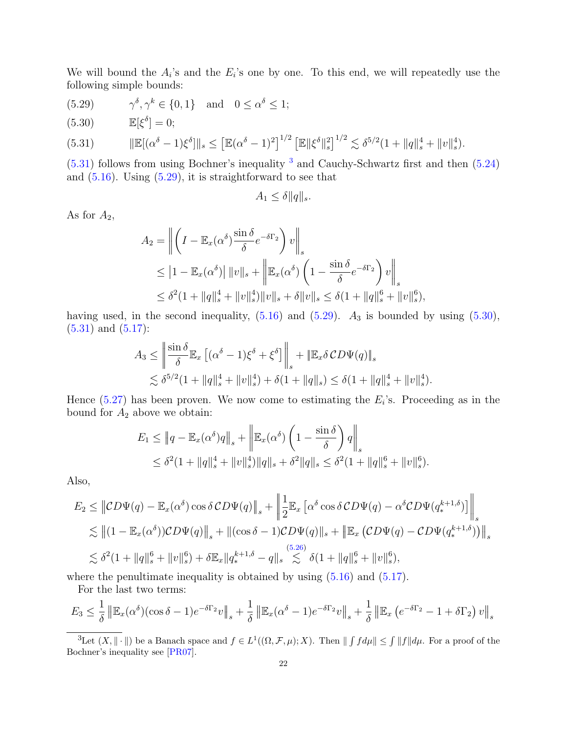We will bound the  $A_i$ 's and the  $E_i$ 's one by one. To this end, we will repeatedly use the following simple bounds:

<span id="page-21-2"></span>(5.29) 
$$
\gamma^{\delta}, \gamma^{k} \in \{0, 1\}
$$
 and  $0 \le \alpha^{\delta} \le 1$ ;

<span id="page-21-3"></span>(5.30)  $\mathbb{E}[\xi^{\delta}] = 0;$ 

<span id="page-21-0"></span>
$$
(5.31) \t\t\t\t\t\|\mathbb{E}[(\alpha^{\delta}-1)\xi^{\delta}]\|_{s} \leq \left[\mathbb{E}(\alpha^{\delta}-1)^{2}\right]^{1/2}\left[\mathbb{E}\|\xi^{\delta}\|_{s}^{2}\right]^{1/2} \lesssim \delta^{5/2}(1+\|q\|_{s}^{4}+\|v\|_{s}^{4}).
$$

 $(5.31)$  follows from using Bochner's inequality  $3$  and Cauchy-Schwartz first and then  $(5.24)$ and  $(5.16)$ . Using  $(5.29)$ , it is straightforward to see that

$$
A_1 \le \delta ||q||_s.
$$

As for  $A_2$ ,

$$
A_2 = \left\| \left( I - \mathbb{E}_x(\alpha^\delta) \frac{\sin \delta}{\delta} e^{-\delta \Gamma_2} \right) v \right\|_s
$$
  
\n
$$
\leq |1 - \mathbb{E}_x(\alpha^\delta)| ||v||_s + \left\| \mathbb{E}_x(\alpha^\delta) \left( 1 - \frac{\sin \delta}{\delta} e^{-\delta \Gamma_2} \right) v \right\|_s
$$
  
\n
$$
\leq \delta^2 (1 + ||q||_s^4 + ||v||_s^4) ||v||_s + \delta ||v||_s \leq \delta (1 + ||q||_s^6 + ||v||_s^6),
$$

having used, in the second inequality,  $(5.16)$  and  $(5.29)$ .  $A_3$  is bounded by using  $(5.30)$ ,  $(5.31)$  and  $(5.17)$ :

$$
A_3 \le \left\| \frac{\sin \delta}{\delta} \mathbb{E}_x \left[ (\alpha^{\delta} - 1) \xi^{\delta} + \xi^{\delta} \right] \right\|_s + \left\| \mathbb{E}_x \delta \mathcal{CD} \Psi(q) \right\|_s
$$
  

$$
\lesssim \delta^{5/2} (1 + \|q\|_s^4 + \|v\|_s^4) + \delta (1 + \|q\|_s) \le \delta (1 + \|q\|_s^4 + \|v\|_s^4).
$$

Hence  $(5.27)$  has been proven. We now come to estimating the  $E_i$ 's. Proceeding as in the bound for  $A_2$  above we obtain:

$$
E_1 \le ||q - \mathbb{E}_x(\alpha^{\delta})q||_s + \left\|\mathbb{E}_x(\alpha^{\delta})\left(1 - \frac{\sin \delta}{\delta}\right)q\right\|_s
$$
  
\$\leq \delta^2(1 + ||q||\_s^4 + ||v||\_s^4)||q||\_s + \delta^2||q||\_s \leq \delta^2(1 + ||q||\_s^6 + ||v||\_s^6).

Also,

$$
E_2 \leq \left\| CD\Psi(q) - \mathbb{E}_x(\alpha^{\delta}) \cos \delta CD\Psi(q) \right\|_s + \left\| \frac{1}{2} \mathbb{E}_x \left[ \alpha^{\delta} \cos \delta CD\Psi(q) - \alpha^{\delta} CD\Psi(q_*^{k+1,\delta}) \right] \right\|_s
$$
  
\$\lesssim \left\| (1 - \mathbb{E}\_x(\alpha^{\delta})) CD\Psi(q) \right\|\_s + \left\| (\cos \delta - 1) CD\Psi(q) \right\|\_s + \left\| \mathbb{E}\_x \left( CD\Psi(q) - CD\Psi(q\_\*^{k+1,\delta}) \right) \right\|\_s\$  
\$\lesssim \delta^2 (1 + \|q\|\_s^6 + \|v\|\_s^6) + \delta \mathbb{E}\_x \| q\_\*^{k+1,\delta} - q \right\|\_s \lesssim \delta (1 + \|q\|\_s^6 + \|v\|\_s^6),

where the penultimate inequality is obtained by using  $(5.16)$  and  $(5.17)$ .

For the last two terms:

$$
E_3 \leq \frac{1}{\delta} \left\| \mathbb{E}_x(\alpha^{\delta}) (\cos \delta - 1) e^{-\delta \Gamma_2} v \right\|_s + \frac{1}{\delta} \left\| \mathbb{E}_x(\alpha^{\delta} - 1) e^{-\delta \Gamma_2} v \right\|_s + \frac{1}{\delta} \left\| \mathbb{E}_x \left( e^{-\delta \Gamma_2} - 1 + \delta \Gamma_2 \right) v \right\|_s
$$

<span id="page-21-1"></span><sup>&</sup>lt;sup>3</sup>Let  $(X, \|\cdot\|)$  be a Banach space and  $f \in L^1((\Omega, \mathcal{F}, \mu); X)$ . Then  $\| \int f d\mu \| \leq \int \|f\| d\mu$ . For a proof of the Bochner's inequality see [\[PR07\]](#page-40-4).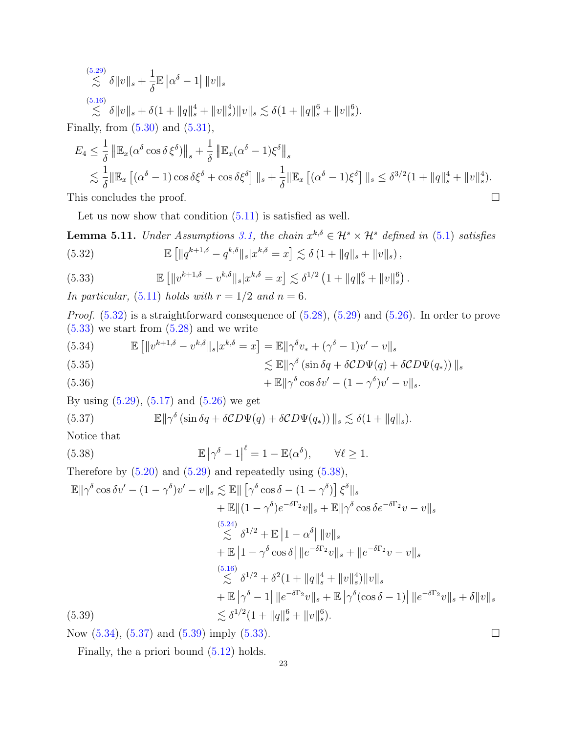$$
\begin{aligned}\n&\stackrel{(5.29)}{\lesssim} \delta \|v\|_{s} + \frac{1}{\delta} \mathbb{E} \left| \alpha^{\delta} - 1 \right| \|v\|_{s} \\
&\stackrel{(5.16)}{\lesssim} \delta \|v\|_{s} + \delta \left( 1 + \|q\|_{s}^{4} + \|v\|_{s}^{4} \right) \|v\|_{s} \lesssim \delta \left( 1 + \|q\|_{s}^{6} + \|v\|_{s}^{6} \right).\n\end{aligned}
$$

Finally, from  $(5.30)$  and  $(5.31)$ ,

$$
E_4 \leq \frac{1}{\delta} \left\| \mathbb{E}_x (\alpha^{\delta} \cos \delta \xi^{\delta}) \right\|_s + \frac{1}{\delta} \left\| \mathbb{E}_x (\alpha^{\delta} - 1) \xi^{\delta} \right\|_s
$$
  
\$\lesssim \frac{1}{\delta} \|\mathbb{E}\_x [(\alpha^{\delta} - 1) \cos \delta \xi^{\delta} + \cos \delta \xi^{\delta}] \|\_s + \frac{1}{\delta} \|\mathbb{E}\_x [(\alpha^{\delta} - 1) \xi^{\delta}] \|\_s \leq \delta^{3/2} (1 + \|q\|\_s^4 + \|v\|\_s^4).  
This concludes the proof.

Let us now show that condition  $(5.11)$  is satisfied as well.

<span id="page-22-1"></span><span id="page-22-0"></span>**Lemma 5.11.** Under Assumptions [3.1,](#page-11-0) the chain  $x^{k,\delta} \in \mathcal{H}^s \times \mathcal{H}^s$  defined in [\(5.1\)](#page-15-3) satisfies (5.32)  $\mathbb{E} \left[ \|q^{k+1,\delta} - q^{k,\delta} \|_{s} | x^{k,\delta} = x \right] \lesssim \delta \left( 1 + \|q\|_{s} + \|v\|_{s} \right),$ 

<span id="page-22-2"></span>(5.33) 
$$
\mathbb{E} [||v^{k+1,\delta} - v^{k,\delta}||_{s} |x^{k,\delta} = x] \lesssim \delta^{1/2} (1 + ||q||_{s}^{6} + ||v||_{s}^{6}).
$$

In particular, [\(5.11\)](#page-17-4) holds with  $r = 1/2$  and  $n = 6$ .

Proof. [\(5.32\)](#page-22-1) is a straightforward consequence of [\(5.28\)](#page-20-6), [\(5.29\)](#page-21-2) and [\(5.26\)](#page-20-5). In order to prove  $(5.33)$  we start from  $(5.28)$  and we write

<span id="page-22-4"></span>(5.34) 
$$
\mathbb{E} \left[ \|v^{k+1,\delta} - v^{k,\delta} \|_{s} | x^{k,\delta} = x \right] = \mathbb{E} \| \gamma^{\delta} v_{*} + (\gamma^{\delta} - 1) v' - v \|_{s}
$$
  

$$
\lesssim \mathbb{E} \| \gamma^{\delta} (\sin \delta q + \delta CD\Psi(q) + \delta CD\Psi(q_{*})) \|_{s}
$$

(5.36) 
$$
+\mathbb{E}\|\gamma^{\delta}\cos\delta v'-(1-\gamma^{\delta})v'-v\|_{s}.
$$

By using  $(5.29)$ ,  $(5.17)$  and  $(5.26)$  we get

<span id="page-22-5"></span>(5.37) 
$$
\mathbb{E} \|\gamma^{\delta} (\sin \delta q + \delta CD\Psi(q) + \delta CD\Psi(q_*)) \|_{s} \lesssim \delta(1 + \|q\|_{s}).
$$

Notice that

<span id="page-22-3"></span>(5.38) 
$$
\mathbb{E} |\gamma^{\delta} - 1|^{\ell} = 1 - \mathbb{E}(\alpha^{\delta}), \qquad \forall \ell \ge 1.
$$

Therefore by  $(5.20)$  and  $(5.29)$  and repeatedly using  $(5.38)$ ,

$$
\mathbb{E} \|\gamma^{\delta} \cos \delta v' - (1 - \gamma^{\delta})v' - v\|_{s} \lesssim \mathbb{E} \|\left[\gamma^{\delta} \cos \delta - (1 - \gamma^{\delta})\right] \xi^{\delta} \|_{s} \n+ \mathbb{E} \|(1 - \gamma^{\delta})e^{-\delta \Gamma_{2}}v\|_{s} + \mathbb{E} \|\gamma^{\delta} \cos \delta e^{-\delta \Gamma_{2}}v - v\|_{s} \n\lesssim \delta^{1/2} + \mathbb{E} \|1 - \alpha^{\delta} \| \|v\|_{s} \n+ \mathbb{E} \|1 - \gamma^{\delta} \cos \delta \| \|e^{-\delta \Gamma_{2}}v\|_{s} + \|e^{-\delta \Gamma_{2}}v - v\|_{s} \n\lesssim \delta^{1/2} + \delta^{2} (1 + \|q\|_{s}^{4} + \|v\|_{s}^{4})\|v\|_{s} \n+ \mathbb{E} \|\gamma^{\delta} - 1\| \|e^{-\delta \Gamma_{2}}v\|_{s} + \mathbb{E} \|\gamma^{\delta} (\cos \delta - 1)\| \|e^{-\delta \Gamma_{2}}v\|_{s} + \delta \|v\|_{s} \n\lesssim \delta^{1/2} (1 + \|q\|_{s}^{6} + \|v\|_{s}^{6}).
$$

<span id="page-22-6"></span>Now  $(5.34)$ ,  $(5.37)$  and  $(5.39)$  imply  $(5.33)$ .

Finally, the a priori bound  $(5.12)$  holds.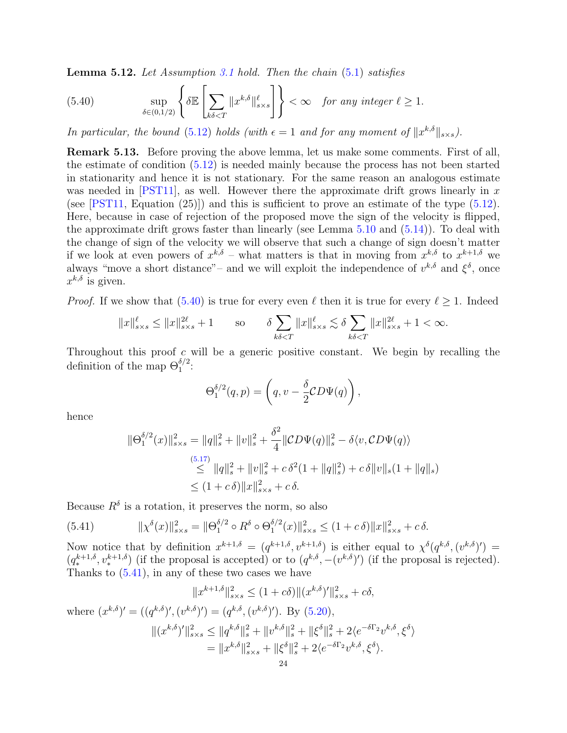<span id="page-23-1"></span>**Lemma 5.12.** Let Assumption [3.1](#page-11-0) hold. Then the chain  $(5.1)$  satisfies

<span id="page-23-2"></span>(5.40) 
$$
\sup_{\delta \in (0,1/2)} \left\{ \delta \mathbb{E} \left[ \sum_{k\delta < T} \|x^{k,\delta}\|_{s \times s}^{\ell} \right] \right\} < \infty \quad \text{for any integer } \ell \ge 1.
$$

In particular, the bound [\(5.12\)](#page-17-7) holds (with  $\epsilon = 1$  and for any moment of  $||x^{k,\delta}||_{s \times s}$ ).

<span id="page-23-0"></span>Remark 5.13. Before proving the above lemma, let us make some comments. First of all, the estimate of condition [\(5.12\)](#page-17-7) is needed mainly because the process has not been started in stationarity and hence it is not stationary. For the same reason an analogous estimate was needed in [\[PST11\]](#page-40-2), as well. However there the approximate drift grows linearly in  $x$ (see [\[PST11,](#page-40-2) Equation  $(25)$ ]) and this is sufficient to prove an estimate of the type  $(5.12)$ . Here, because in case of rejection of the proposed move the sign of the velocity is flipped, the approximate drift grows faster than linearly (see Lemma [5.10](#page-20-1) and [\(5.14\)](#page-17-5)). To deal with the change of sign of the velocity we will observe that such a change of sign doesn't matter if we look at even powers of  $x^{k,\delta}$  – what matters is that in moving from  $x^{k,\delta}$  to  $x^{k+1,\delta}$  we always "move a short distance"– and we will exploit the independence of  $v^{k,\delta}$  and  $\xi^{\delta}$ , once  $x^{k,\delta}$  is given.

*Proof.* If we show that [\(5.40\)](#page-23-2) is true for every even  $\ell$  then it is true for every  $\ell > 1$ . Indeed

$$
||x||_{s \times s}^{\ell} \le ||x||_{s \times s}^{2\ell} + 1 \qquad \text{so} \qquad \delta \sum_{k\delta < T} ||x||_{s \times s}^{\ell} \lesssim \delta \sum_{k\delta < T} ||x||_{s \times s}^{2\ell} + 1 < \infty.
$$

Throughout this proof  $c$  will be a generic positive constant. We begin by recalling the definition of the map  $\Theta_1^{\delta/2}$ :

$$
\Theta_1^{\delta/2}(q,p) = \left(q, v - \frac{\delta}{2} CD\Psi(q)\right),\,
$$

hence

$$
\|\Theta_1^{\delta/2}(x)\|_{s\times s}^2 = \|q\|_s^2 + \|v\|_s^2 + \frac{\delta^2}{4} \|\mathcal{CD}\Psi(q)\|_s^2 - \delta \langle v, \mathcal{CD}\Psi(q) \rangle
$$
  
\n
$$
\leq \|\mathbf{q}\|_s^2 + \|\mathbf{v}\|_s^2 + c\,\delta^2(1 + \|q\|_s^2) + c\,\delta \|\mathbf{v}\|_s (1 + \|q\|_s)
$$
  
\n
$$
\leq (1 + c\,\delta) \|x\|_{s\times s}^2 + c\,\delta.
$$

Because  $R^{\delta}$  is a rotation, it preserves the norm, so also

<span id="page-23-3"></span>(5.41) 
$$
\|\chi^{\delta}(x)\|_{s\times s}^{2} = \|\Theta_{1}^{\delta/2} \circ R^{\delta} \circ \Theta_{1}^{\delta/2}(x)\|_{s\times s}^{2} \leq (1+c\delta) \|x\|_{s\times s}^{2} + c\delta.
$$

Now notice that by definition  $x^{k+1,\delta} = (q^{k+1,\delta}, v^{k+1,\delta})$  is either equal to  $\chi^{\delta}(q^{k,\delta}, (v^{k,\delta})') =$  $(q_{*}^{k+1,\delta}, v_{*}^{k+1,\delta})$  (if the proposal is accepted) or to  $(q^{k,\delta}, -(v^{k,\delta})')$  (if the proposal is rejected). Thanks to  $(5.41)$ , in any of these two cases we have

$$
||x^{k+1,\delta}||_{s \times s}^{2} \le (1+c\delta) ||(x^{k,\delta})'||_{s \times s}^{2} + c\delta,
$$

where 
$$
(x^{k,\delta})' = ((q^{k,\delta})', (v^{k,\delta})') = (q^{k,\delta}, (v^{k,\delta})')
$$
. By (5.20),  
\n
$$
||(x^{k,\delta})'||_{s \times s}^2 \le ||q^{k,\delta}||_s^2 + ||v^{k,\delta}||_s^2 + ||\xi^{\delta}||_s^2 + 2\langle e^{-\delta\Gamma_2}v^{k,\delta}, \xi^{\delta}\rangle
$$
\n
$$
= ||x^{k,\delta}||_{s \times s}^2 + ||\xi^{\delta}||_s^2 + 2\langle e^{-\delta\Gamma_2}v^{k,\delta}, \xi^{\delta}\rangle.
$$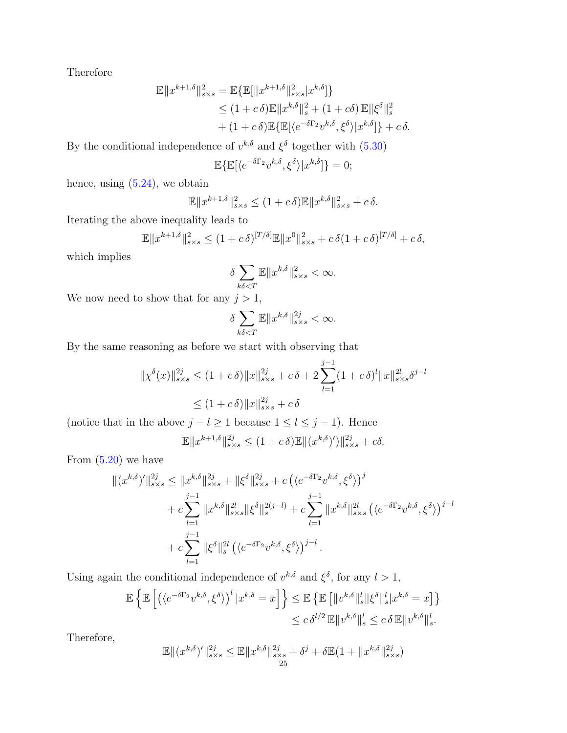Therefore

$$
\mathbb{E}||x^{k+1,\delta}||_{s\times s}^{2} = \mathbb{E}\{\mathbb{E}[\|x^{k+1,\delta}\|_{s\times s}^{2}|x^{k,\delta}]\}\leq (1+c\delta)\mathbb{E}||x^{k,\delta}||_{s}^{2} + (1+c\delta)\mathbb{E}||\xi^{\delta}||_{s}^{2}+ (1+c\delta)\mathbb{E}\{\mathbb{E}[\langle e^{-\delta\Gamma_{2}}v^{k,\delta}, \xi^{\delta}\rangle|x^{k,\delta}]\} + c\delta.
$$

By the conditional independence of  $v^{k,\delta}$  and  $\xi^{\delta}$  together with  $(5.30)$ 

$$
\mathbb{E}\{\mathbb{E}[\langle e^{-\delta\Gamma_2}v^{k,\delta},\xi^\delta\rangle|x^{k,\delta}]\}=0;
$$

hence, using  $(5.24)$ , we obtain

$$
\mathbb{E} \|x^{k+1,\delta}\|_{s \times s}^2 \le (1+c\,\delta)\mathbb{E} \|x^{k,\delta}\|_{s \times s}^2 + c\,\delta.
$$

Iterating the above inequality leads to

$$
\mathbb{E} \|x^{k+1,\delta}\|_{s \times s}^2 \le (1+c\,\delta)^{[T/\delta]}\mathbb{E} \|x^0\|_{s \times s}^2 + c\,\delta(1+c\,\delta)^{[T/\delta]} + c\,\delta,
$$

which implies

$$
\delta \sum_{k\delta
$$

We now need to show that for any  $j > 1$ ,

$$
\delta \sum_{k\delta < T} \mathbb{E} \|x^{k,\delta}\|_{s \times s}^{2j} < \infty.
$$

By the same reasoning as before we start with observing that

$$
\|\chi^{\delta}(x)\|_{s\times s}^{2j} \le (1+c\delta) \|x\|_{s\times s}^{2j} + c\delta + 2 \sum_{l=1}^{j-1} (1+c\delta)^l \|x\|_{s\times s}^{2l} \delta^{j-l}
$$
  

$$
\le (1+c\delta) \|x\|_{s\times s}^{2j} + c\delta
$$

(notice that in the above  $j - l \ge 1$  because  $1 \le l \le j - 1$ ). Hence

$$
\mathbb{E} \|x^{k+1,\delta}\|_{s \times s}^{2j} \le (1+c\,\delta)\mathbb{E} \|(x^{k,\delta})'\|_{s \times s}^{2j} + c\delta.
$$

From  $(5.20)$  we have

$$
\begin{split} \|(x^{k,\delta})'\|_{s\times s}^{2j} &\leq \|x^{k,\delta}\|_{s\times s}^{2j} + \|\xi^{\delta}\|_{s\times s}^{2j} + c\left(\langle e^{-\delta\Gamma_{2}}v^{k,\delta}, \xi^{\delta}\rangle\right)^{j} \\ &+ c\sum_{l=1}^{j-1} \|x^{k,\delta}\|_{s\times s}^{2l} \|\xi^{\delta}\|_{s}^{2(j-l)} + c\sum_{l=1}^{j-1} \|x^{k,\delta}\|_{s\times s}^{2l} \left(\langle e^{-\delta\Gamma_{2}}v^{k,\delta}, \xi^{\delta}\rangle\right)^{j-l} \\ &+ c\sum_{l=1}^{j-1} \|\xi^{\delta}\|_{s}^{2l} \left(\langle e^{-\delta\Gamma_{2}}v^{k,\delta}, \xi^{\delta}\rangle\right)^{j-l} .\end{split}
$$

Using again the conditional independence of  $v^{k,\delta}$  and  $\xi^{\delta}$ , for any  $l > 1$ ,

$$
\mathbb{E}\left\{\mathbb{E}\left[\left(\langle e^{-\delta\Gamma_2}v^{k,\delta},\xi^{\delta}\rangle\right)^l|x^{k,\delta}=x\right]\right\}\leq \mathbb{E}\left\{\mathbb{E}\left[\|v^{k,\delta}\|_{s}^{l}\|\xi^{\delta}\|_{s}^{l}|x^{k,\delta}=x\right]\right\}
$$

$$
\leq c\,\delta^{l/2}\,\mathbb{E}\|v^{k,\delta}\|_{s}^{l} \leq c\,\delta\,\mathbb{E}\|v^{k,\delta}\|_{s}^{l}.
$$

Therefore,

$$
\mathbb{E}\|(x^{k,\delta})'\|_{s\times s}^{2j}\leq \mathbb{E}\|x^{k,\delta}\|_{s\times s}^{2j}+\delta^j+\delta \mathbb{E}(1+\|x^{k,\delta}\|_{s\times s}^{2j})
$$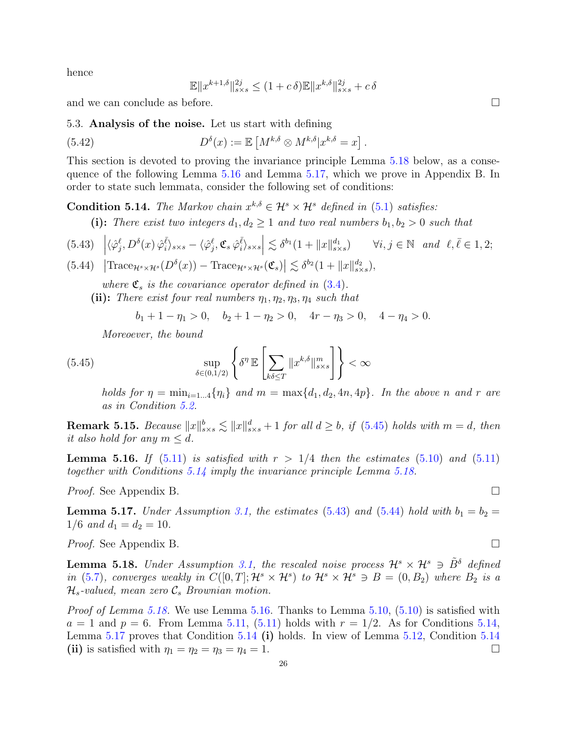hence

$$
\mathbb{E} \|x^{k+1,\delta}\|_{s \times s}^{2j} \le (1+c\,\delta)\mathbb{E} \|x^{k,\delta}\|_{s \times s}^{2j} + c\,\delta
$$

and we can conclude as before.

<span id="page-25-0"></span>5.3. Analysis of the noise. Let us start with defining

<span id="page-25-8"></span>(5.42) 
$$
D^{\delta}(x) := \mathbb{E}\left[M^{k,\delta} \otimes M^{k,\delta}|x^{k,\delta} = x\right].
$$

This section is devoted to proving the invariance principle Lemma [5.18](#page-25-1) below, as a consequence of the following Lemma [5.16](#page-25-2) and Lemma [5.17,](#page-25-3) which we prove in Appendix B. In order to state such lemmata, consider the following set of conditions:

<span id="page-25-5"></span>**Condition 5.14.** The Markov chain  $x^{k,\delta} \in \mathcal{H}^s \times \mathcal{H}^s$  defined in [\(5.1\)](#page-15-3) satisfies:

(i): There exist two integers  $d_1, d_2 \geq 1$  and two real numbers  $b_1, b_2 > 0$  such that

<span id="page-25-6"></span>
$$
(5.43)\quad \left| \langle \hat{\varphi}_j^{\ell}, D^{\delta}(x) \hat{\varphi}_i^{\bar{\ell}} \rangle_{s \times s} - \langle \hat{\varphi}_j^{\ell}, \mathfrak{C}_s \hat{\varphi}_i^{\bar{\ell}} \rangle_{s \times s} \right| \lesssim \delta^{b_1} (1 + \|x\|_{s \times s}^{d_1}) \qquad \forall i, j \in \mathbb{N} \quad and \quad \ell, \bar{\ell} \in 1, 2;
$$

<span id="page-25-7"></span>(5.44) 
$$
\left| \text{Trace}_{\mathcal{H}^s \times \mathcal{H}^s}(D^\delta(x)) - \text{Trace}_{\mathcal{H}^s \times \mathcal{H}^s}(\mathfrak{C}_s) \right| \lesssim \delta^{b_2} (1 + \|x\|_{s \times s}^{d_2}),
$$

where  $\mathfrak{C}_s$  is the covariance operator defined in [\(3.4\)](#page-10-2).

(ii): There exist four real numbers  $\eta_1, \eta_2, \eta_3, \eta_4$  such that

$$
b_1 + 1 - \eta_1 > 0
$$
,  $b_2 + 1 - \eta_2 > 0$ ,  $4r - \eta_3 > 0$ ,  $4 - \eta_4 > 0$ .

Moreoever, the bound

<span id="page-25-4"></span>(5.45) 
$$
\sup_{\delta \in (0,1/2)} \left\{ \delta^{\eta} \mathbb{E} \left[ \sum_{k\delta \leq T} ||x^{k,\delta}||_{s \times s}^m \right] \right\} < \infty
$$

holds for  $\eta = \min_{i=1...4} \{\eta_i\}$  and  $m = \max\{d_1, d_2, 4n, 4p\}$ . In the above n and r are as in Condition [5.2.](#page-17-6)

**Remark 5.15.** Because  $||x||_{s \times s}^{b} \lesssim ||x||_{s \times s}^{d} + 1$  for all  $d \geq b$ , if [\(5.45\)](#page-25-4) holds with  $m = d$ , then it also hold for any  $m \leq d$ .

<span id="page-25-2"></span>**Lemma 5.16.** If  $(5.11)$  is satisfied with  $r > 1/4$  then the estimates  $(5.10)$  and  $(5.11)$ together with Conditions [5.14](#page-25-5) imply the invariance principle Lemma [5.18.](#page-25-1)

*Proof.* See Appendix B. □

<span id="page-25-3"></span>**Lemma 5.17.** Under Assumption [3.1,](#page-11-0) the estimates [\(5.43\)](#page-25-6) and [\(5.44\)](#page-25-7) hold with  $b_1 = b_2$  =  $1/6$  and  $d_1 = d_2 = 10$ .

*Proof.* See Appendix B. □

<span id="page-25-1"></span>**Lemma 5.18.** Under Assumption [3.1,](#page-11-0) the rescaled noise process  $\mathcal{H}^s \times \mathcal{H}^s \ni \tilde{B}^{\delta}$  defined in [\(5.7\)](#page-16-1), converges weakly in  $C([0,T];\mathcal{H}^s\times\mathcal{H}^s)$  to  $\mathcal{H}^s\times\mathcal{H}^s\ni B=(0,B_2)$  where  $B_2$  is a  $\mathcal{H}_s$ -valued, mean zero  $\mathcal{C}_s$  Brownian motion.

Proof of Lemma [5.18.](#page-25-1) We use Lemma [5.16.](#page-25-2) Thanks to Lemma [5.10,](#page-20-1) [\(5.10\)](#page-17-3) is satisfied with  $a = 1$  and  $p = 6$ . From Lemma [5.11,](#page-22-0) [\(5.11\)](#page-17-4) holds with  $r = 1/2$ . As for Conditions [5.14,](#page-25-5) Lemma [5.17](#page-25-3) proves that Condition [5.14](#page-25-5) (i) holds. In view of Lemma [5.12,](#page-23-1) Condition [5.14](#page-25-5) (ii) is satisfied with  $\eta_1 = \eta_2 = \eta_3 = \eta_4 = 1$ .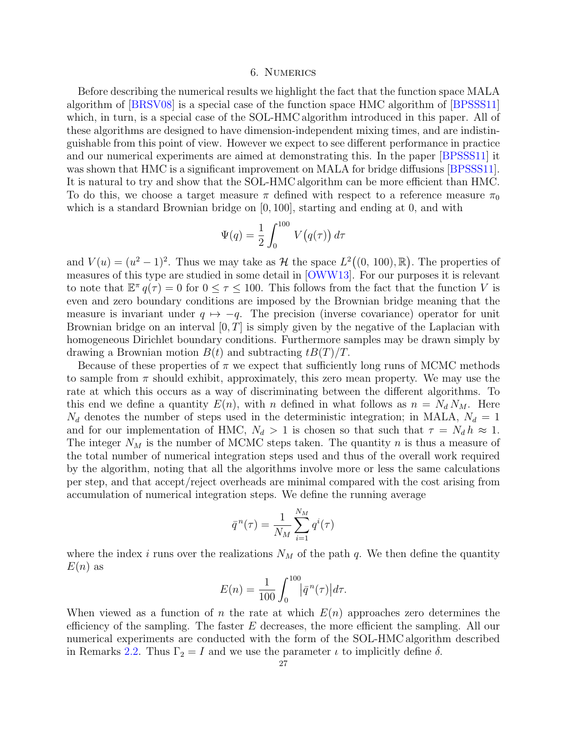# 6. Numerics

<span id="page-26-0"></span>Before describing the numerical results we highlight the fact that the function space MALA algorithm of [\[BRSV08\]](#page-39-13) is a special case of the function space HMC algorithm of [\[BPSSS11\]](#page-39-12) which, in turn, is a special case of the SOL-HMC algorithm introduced in this paper. All of these algorithms are designed to have dimension-independent mixing times, and are indistinguishable from this point of view. However we expect to see different performance in practice and our numerical experiments are aimed at demonstrating this. In the paper [\[BPSSS11\]](#page-39-12) it was shown that HMC is a significant improvement on MALA for bridge diffusions [\[BPSSS11\]](#page-39-12). It is natural to try and show that the SOL-HMC algorithm can be more efficient than HMC. To do this, we choose a target measure  $\pi$  defined with respect to a reference measure  $\pi_0$ which is a standard Brownian bridge on  $[0, 100]$ , starting and ending at 0, and with

$$
\Psi(q) = \frac{1}{2} \int_0^{100} V(q(\tau)) d\tau
$$

and  $V(u) = (u^2 - 1)^2$ . Thus we may take as H the space  $L^2((0, 100), \mathbb{R})$ . The properties of measures of this type are studied in some detail in [\[OWW13\]](#page-40-5). For our purposes it is relevant to note that  $\mathbb{E}^{\pi} q(\tau) = 0$  for  $0 \leq \tau \leq 100$ . This follows from the fact that the function V is even and zero boundary conditions are imposed by the Brownian bridge meaning that the measure is invariant under  $q \mapsto -q$ . The precision (inverse covariance) operator for unit Brownian bridge on an interval  $[0, T]$  is simply given by the negative of the Laplacian with homogeneous Dirichlet boundary conditions. Furthermore samples may be drawn simply by drawing a Brownian motion  $B(t)$  and subtracting  $tB(T)/T$ .

Because of these properties of  $\pi$  we expect that sufficiently long runs of MCMC methods to sample from  $\pi$  should exhibit, approximately, this zero mean property. We may use the rate at which this occurs as a way of discriminating between the different algorithms. To this end we define a quantity  $E(n)$ , with n defined in what follows as  $n = N_d N_M$ . Here  $N_d$  denotes the number of steps used in the deterministic integration; in MALA,  $N_d = 1$ and for our implementation of HMC,  $N_d > 1$  is chosen so that such that  $\tau = N_d h \approx 1$ . The integer  $N_M$  is the number of MCMC steps taken. The quantity n is thus a measure of the total number of numerical integration steps used and thus of the overall work required by the algorithm, noting that all the algorithms involve more or less the same calculations per step, and that accept/reject overheads are minimal compared with the cost arising from accumulation of numerical integration steps. We define the running average

$$
\bar{q}^{n}(\tau) = \frac{1}{N_M} \sum_{i=1}^{N_M} q^{i}(\tau)
$$

where the index i runs over the realizations  $N_M$  of the path q. We then define the quantity  $E(n)$  as

$$
E(n) = \frac{1}{100} \int_0^{100} |\bar{q}^n(\tau)| d\tau.
$$

When viewed as a function of n the rate at which  $E(n)$  approaches zero determines the efficiency of the sampling. The faster  $E$  decreases, the more efficient the sampling. All our numerical experiments are conducted with the form of the SOL-HMC algorithm described in Remarks [2.2.](#page-9-3) Thus  $\Gamma_2 = I$  and we use the parameter  $\iota$  to implicitly define  $\delta$ .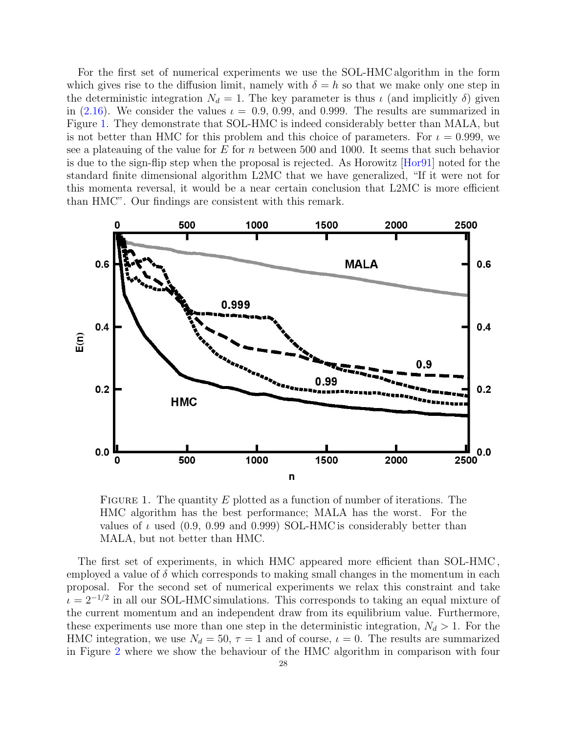For the first set of numerical experiments we use the SOL-HMC algorithm in the form which gives rise to the diffusion limit, namely with  $\delta = h$  so that we make only one step in the deterministic integration  $N_d = 1$ . The key parameter is thus  $\iota$  (and implicitly  $\delta$ ) given in [\(2.16\)](#page-9-4). We consider the values  $\iota = 0.9, 0.99,$  and 0.999. The results are summarized in Figure [1.](#page-27-0) They demonstrate that SOL-HMC is indeed considerably better than MALA, but is not better than HMC for this problem and this choice of parameters. For  $\iota = 0.999$ , we see a plateauing of the value for E for n between 500 and 1000. It seems that such behavior is due to the sign-flip step when the proposal is rejected. As Horowitz [\[Hor91\]](#page-39-2) noted for the standard finite dimensional algorithm L2MC that we have generalized, "If it were not for this momenta reversal, it would be a near certain conclusion that L2MC is more efficient than HMC". Our findings are consistent with this remark.



<span id="page-27-0"></span>FIGURE 1. The quantity E plotted as a function of number of iterations. The HMC algorithm has the best performance; MALA has the worst. For the values of  $\iota$  used (0.9, 0.99 and 0.999) SOL-HMC is considerably better than MALA, but not better than HMC.

The first set of experiments, in which HMC appeared more efficient than SOL-HMC , employed a value of  $\delta$  which corresponds to making small changes in the momentum in each proposal. For the second set of numerical experiments we relax this constraint and take  $\iota = 2^{-1/2}$  in all our SOL-HMC simulations. This corresponds to taking an equal mixture of the current momentum and an independent draw from its equilibrium value. Furthermore, these experiments use more than one step in the deterministic integration,  $N_d > 1$ . For the HMC integration, we use  $N_d = 50$ ,  $\tau = 1$  and of course,  $\iota = 0$ . The results are summarized in Figure [2](#page-28-1) where we show the behaviour of the HMC algorithm in comparison with four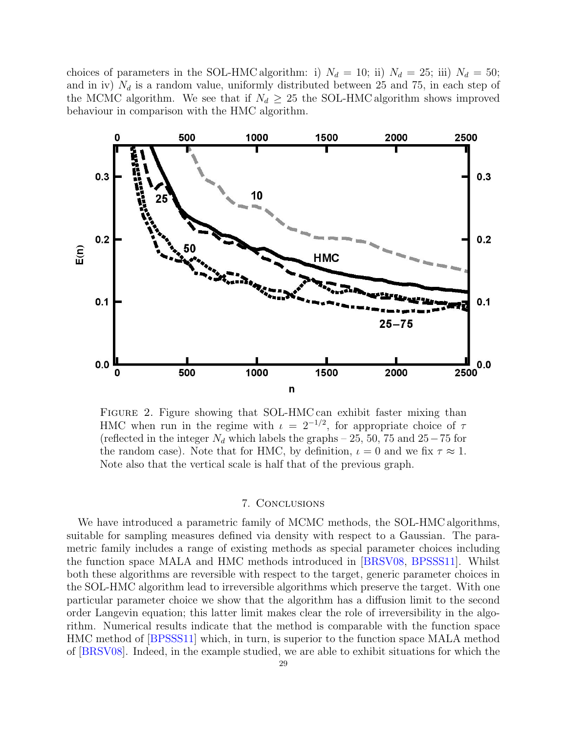choices of parameters in the SOL-HMC algorithm: i)  $N_d = 10$ ; ii)  $N_d = 25$ ; iii)  $N_d = 50$ ; and in iv)  $N_d$  is a random value, uniformly distributed between 25 and 75, in each step of the MCMC algorithm. We see that if  $N_d \geq 25$  the SOL-HMC algorithm shows improved behaviour in comparison with the HMC algorithm.



<span id="page-28-1"></span>Figure 2. Figure showing that SOL-HMC can exhibit faster mixing than HMC when run in the regime with  $\iota = 2^{-1/2}$ , for appropriate choice of  $\tau$ (reflected in the integer  $N_d$  which labels the graphs – 25, 50, 75 and 25 – 75 for the random case). Note that for HMC, by definition,  $\iota = 0$  and we fix  $\tau \approx 1$ . Note also that the vertical scale is half that of the previous graph.

## 7. Conclusions

<span id="page-28-0"></span>We have introduced a parametric family of MCMC methods, the SOL-HMC algorithms, suitable for sampling measures defined via density with respect to a Gaussian. The parametric family includes a range of existing methods as special parameter choices including the function space MALA and HMC methods introduced in [\[BRSV08,](#page-39-13) [BPSSS11\]](#page-39-12). Whilst both these algorithms are reversible with respect to the target, generic parameter choices in the SOL-HMC algorithm lead to irreversible algorithms which preserve the target. With one particular parameter choice we show that the algorithm has a diffusion limit to the second order Langevin equation; this latter limit makes clear the role of irreversibility in the algorithm. Numerical results indicate that the method is comparable with the function space HMC method of [\[BPSSS11\]](#page-39-12) which, in turn, is superior to the function space MALA method of [\[BRSV08\]](#page-39-13). Indeed, in the example studied, we are able to exhibit situations for which the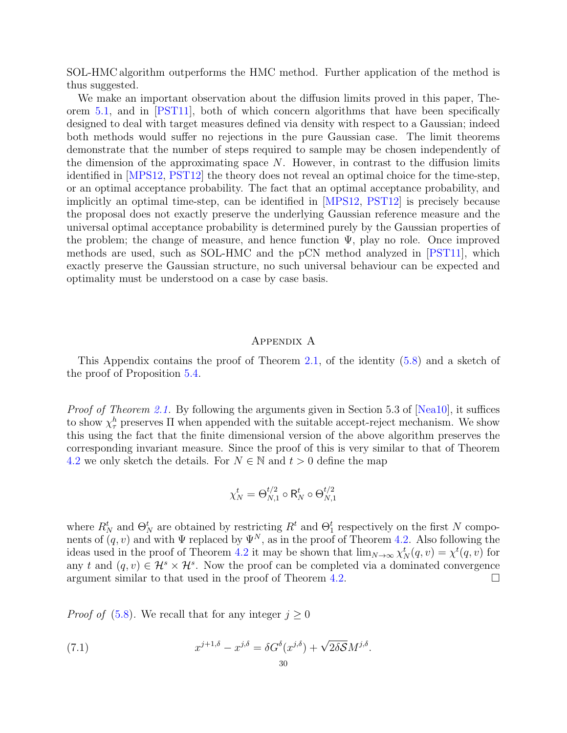SOL-HMC algorithm outperforms the HMC method. Further application of the method is thus suggested.

We make an important observation about the diffusion limits proved in this paper, Theorem [5.1,](#page-17-0) and in [\[PST11\]](#page-40-2), both of which concern algorithms that have been specifically designed to deal with target measures defined via density with respect to a Gaussian; indeed both methods would suffer no rejections in the pure Gaussian case. The limit theorems demonstrate that the number of steps required to sample may be chosen independently of the dimension of the approximating space  $N$ . However, in contrast to the diffusion limits identified in [\[MPS12,](#page-39-8) [PST12\]](#page-40-1) the theory does not reveal an optimal choice for the time-step, or an optimal acceptance probability. The fact that an optimal acceptance probability, and implicitly an optimal time-step, can be identified in [\[MPS12,](#page-39-8) [PST12\]](#page-40-1) is precisely because the proposal does not exactly preserve the underlying Gaussian reference measure and the universal optimal acceptance probability is determined purely by the Gaussian properties of the problem; the change of measure, and hence function  $\Psi$ , play no role. Once improved methods are used, such as SOL-HMC and the pCN method analyzed in [\[PST11\]](#page-40-2), which exactly preserve the Gaussian structure, no such universal behaviour can be expected and optimality must be understood on a case by case basis.

#### Appendix A

This Appendix contains the proof of Theorem [2.1,](#page-8-2) of the identity [\(5.8\)](#page-16-4) and a sketch of the proof of Proposition [5.4.](#page-17-2)

Proof of Theorem [2.1.](#page-8-2) By following the arguments given in Section 5.3 of [\[Nea10\]](#page-39-7), it suffices to show  $\chi^h_\tau$  preserves  $\Pi$  when appended with the suitable accept-reject mechanism. We show this using the fact that the finite dimensional version of the above algorithm preserves the corresponding invariant measure. Since the proof of this is very similar to that of Theorem [4.2](#page-13-0) we only sketch the details. For  $N \in \mathbb{N}$  and  $t > 0$  define the map

$$
\chi_N^t = \Theta_{N,1}^{t/2} \circ \mathsf{R}_N^t \circ \Theta_{N,1}^{t/2}
$$

where  $R_N^t$  and  $\Theta_N^t$  are obtained by restricting  $R^t$  and  $\Theta_1^t$  respectively on the first N components of  $(q, v)$  and with  $\Psi$  replaced by  $\Psi^N$ , as in the proof of Theorem [4.2.](#page-13-0) Also following the ideas used in the proof of Theorem [4.2](#page-13-0) it may be shown that  $\lim_{N\to\infty} \chi^t_N(q, v) = \chi^t(q, v)$  for any t and  $(q, v) \in \mathcal{H}^s \times \mathcal{H}^s$ . Now the proof can be completed via a dominated convergence argument similar to that used in the proof of Theorem [4.2.](#page-13-0)  $\Box$ 

*Proof of* [\(5.8\)](#page-16-4). We recall that for any integer  $j \geq 0$ 

<span id="page-29-0"></span>(7.1) 
$$
x^{j+1,\delta} - x^{j,\delta} = \delta G^{\delta}(x^{j,\delta}) + \sqrt{2\delta S}M^{j,\delta}.
$$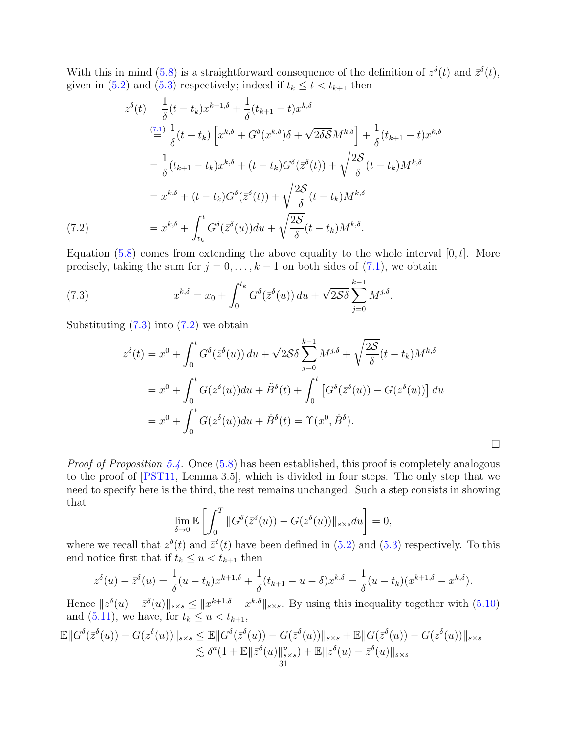With this in mind [\(5.8\)](#page-16-4) is a straightforward consequence of the definition of  $z^{\delta}(t)$  and  $\bar{z}^{\delta}(t)$ , given in [\(5.2\)](#page-16-0) and [\(5.3\)](#page-16-5) respectively; indeed if  $t_k \leq t < t_{k+1}$  then

$$
z^{\delta}(t) = \frac{1}{\delta}(t - t_k)x^{k+1,\delta} + \frac{1}{\delta}(t_{k+1} - t)x^{k,\delta}
$$
  
\n
$$
\stackrel{(7.1)}{=} \frac{1}{\delta}(t - t_k)\left[x^{k,\delta} + G^{\delta}(x^{k,\delta})\delta + \sqrt{2\delta S}M^{k,\delta}\right] + \frac{1}{\delta}(t_{k+1} - t)x^{k,\delta}
$$
  
\n
$$
= \frac{1}{\delta}(t_{k+1} - t_k)x^{k,\delta} + (t - t_k)G^{\delta}(\bar{z}^{\delta}(t)) + \sqrt{\frac{2S}{\delta}}(t - t_k)M^{k,\delta}
$$
  
\n
$$
= x^{k,\delta} + (t - t_k)G^{\delta}(\bar{z}^{\delta}(t)) + \sqrt{\frac{2S}{\delta}}(t - t_k)M^{k,\delta}
$$
  
\n(7.2)  
\n
$$
= x^{k,\delta} + \int_{t_k}^{t} G^{\delta}(\bar{z}^{\delta}(u))du + \sqrt{\frac{2S}{\delta}}(t - t_k)M^{k,\delta}.
$$

<span id="page-30-1"></span>Equation [\(5.8\)](#page-16-4) comes from extending the above equality to the whole interval  $[0, t]$ . More precisely, taking the sum for  $j = 0, \ldots, k - 1$  on both sides of  $(7.1)$ , we obtain

<span id="page-30-0"></span>(7.3) 
$$
x^{k,\delta} = x_0 + \int_0^{t_k} G^{\delta}(\bar{z}^{\delta}(u)) du + \sqrt{2\mathcal{S}\delta} \sum_{j=0}^{k-1} M^{j,\delta}.
$$

Substituting  $(7.3)$  into  $(7.2)$  we obtain

$$
z^{\delta}(t) = x^0 + \int_0^t G^{\delta}(\bar{z}^{\delta}(u)) du + \sqrt{2\delta\delta} \sum_{j=0}^{k-1} M^{j,\delta} + \sqrt{\frac{2\delta}{\delta}} (t - t_k) M^{k,\delta}
$$
  

$$
= x^0 + \int_0^t G(z^{\delta}(u)) du + \tilde{B}^{\delta}(t) + \int_0^t \left[ G^{\delta}(\bar{z}^{\delta}(u)) - G(z^{\delta}(u)) \right] du
$$
  

$$
= x^0 + \int_0^t G(z^{\delta}(u)) du + \hat{B}^{\delta}(t) = \Upsilon(x^0, \hat{B}^{\delta}).
$$

 $\Box$ 

Proof of Proposition [5.4.](#page-17-2) Once [\(5.8\)](#page-16-4) has been established, this proof is completely analogous to the proof of [\[PST11,](#page-40-2) Lemma 3.5], which is divided in four steps. The only step that we need to specify here is the third, the rest remains unchanged. Such a step consists in showing that

$$
\lim_{\delta \to 0} \mathbb{E}\left[\int_0^T \|G^{\delta}(\bar{z}^{\delta}(u)) - G(z^{\delta}(u))\|_{s \times s} du\right] = 0,
$$

where we recall that  $z^{\delta}(t)$  and  $\bar{z}^{\delta}(t)$  have been defined in [\(5.2\)](#page-16-0) and [\(5.3\)](#page-16-5) respectively. To this end notice first that if  $t_k \leq u < t_{k+1}$  then

$$
z^{\delta}(u) - \bar{z}^{\delta}(u) = \frac{1}{\delta}(u - t_k)x^{k+1,\delta} + \frac{1}{\delta}(t_{k+1} - u - \delta)x^{k,\delta} = \frac{1}{\delta}(u - t_k)(x^{k+1,\delta} - x^{k,\delta}).
$$

Hence  $||z^{\delta}(u) - \bar{z}^{\delta}(u)||_{s \times s} \le ||x^{k+1,\delta} - x^{k,\delta}||_{s \times s}$ . By using this inequality together with  $(5.10)$ and [\(5.11\)](#page-17-4), we have, for  $t_k \le u < t_{k+1}$ ,

$$
\mathbb{E}||G^{\delta}(\bar{z}^{\delta}(u)) - G(z^{\delta}(u))||_{s \times s} \leq \mathbb{E}||G^{\delta}(\bar{z}^{\delta}(u)) - G(\bar{z}^{\delta}(u))||_{s \times s} + \mathbb{E}||G(\bar{z}^{\delta}(u)) - G(z^{\delta}(u))||_{s \times s} \n\lesssim \delta^{a}(1 + \mathbb{E}||\bar{z}^{\delta}(u)||_{s \times s}^{p}) + \mathbb{E}||z^{\delta}(u) - \bar{z}^{\delta}(u)||_{s \times s} \n\frac{31}{25}
$$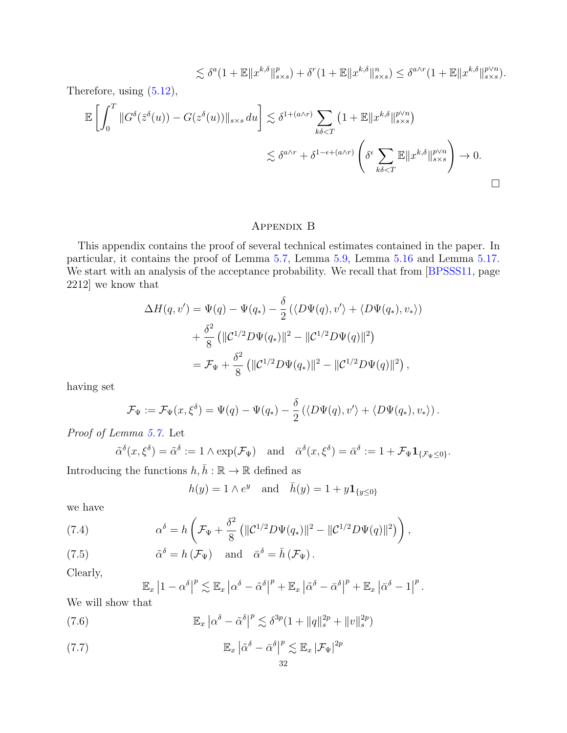$$
\lesssim \delta^a (1 + \mathbb{E} \|x^{k,\delta}\|_{s \times s}^p) + \delta^r (1 + \mathbb{E} \|x^{k,\delta}\|_{s \times s}^n) \leq \delta^{a \wedge r} (1 + \mathbb{E} \|x^{k,\delta}\|_{s \times s}^{p \vee n}).
$$

Therefore, using [\(5.12\)](#page-17-7),

$$
\mathbb{E}\left[\int_0^T \|G^{\delta}(\bar{z}^{\delta}(u)) - G(z^{\delta}(u))\|_{s \times s} du\right] \lesssim \delta^{1 + (a \wedge r)} \sum_{k\delta < T} \left(1 + \mathbb{E}\|x^{k,\delta}\|_{s \times s}^{p \vee n}\right)
$$
\n
$$
\lesssim \delta^{a \wedge r} + \delta^{1 - \epsilon + (a \wedge r)} \left(\delta^{\epsilon} \sum_{k\delta < T} \mathbb{E}\|x^{k,\delta}\|_{s \times s}^{p \vee n}\right) \to 0.
$$

# Appendix B

This appendix contains the proof of several technical estimates contained in the paper. In particular, it contains the proof of Lemma [5.7,](#page-19-0) Lemma [5.9,](#page-20-2) Lemma [5.16](#page-25-2) and Lemma [5.17.](#page-25-3) We start with an analysis of the acceptance probability. We recall that from [\[BPSSS11,](#page-39-12) page 2212] we know that

$$
\Delta H(q, v') = \Psi(q) - \Psi(q_*) - \frac{\delta}{2} (\langle D\Psi(q), v' \rangle + \langle D\Psi(q_*), v_* \rangle)
$$
  
+ 
$$
\frac{\delta^2}{8} (||\mathcal{C}^{1/2} D\Psi(q_*)||^2 - ||\mathcal{C}^{1/2} D\Psi(q)||^2)
$$
  
= 
$$
\mathcal{F}_{\Psi} + \frac{\delta^2}{8} (||\mathcal{C}^{1/2} D\Psi(q_*)||^2 - ||\mathcal{C}^{1/2} D\Psi(q)||^2),
$$

having set

$$
\mathcal{F}_{\Psi} := \mathcal{F}_{\Psi}(x,\xi^{\delta}) = \Psi(q) - \Psi(q_{*}) - \frac{\delta}{2} (\langle D\Psi(q),v'\rangle + \langle D\Psi(q_{*}),v_{*}\rangle).
$$

Proof of Lemma [5.7.](#page-19-0) Let

$$
\tilde{\alpha}^{\delta}(x,\xi^{\delta}) = \tilde{\alpha}^{\delta} := 1 \wedge \exp(\mathcal{F}_{\Psi}) \quad \text{and} \quad \bar{\alpha}^{\delta}(x,\xi^{\delta}) = \bar{\alpha}^{\delta} := 1 + \mathcal{F}_{\Psi} \mathbf{1}_{\{\mathcal{F}_{\Psi} \leq 0\}}.
$$

Introducing the functions  $h, h : \mathbb{R} \to \mathbb{R}$  defined as

$$
h(y) = 1 \wedge e^y \quad \text{and} \quad \bar{h}(y) = 1 + y \mathbf{1}_{\{y \le 0\}}
$$

we have

<span id="page-31-1"></span>(7.4) 
$$
\alpha^{\delta} = h \left( \mathcal{F}_{\Psi} + \frac{\delta^2}{8} \left( \| \mathcal{C}^{1/2} D \Psi(q_*) \|^{2} - \| \mathcal{C}^{1/2} D \Psi(q) \|^{2} \right) \right),
$$

<span id="page-31-2"></span>(7.5) 
$$
\tilde{\alpha}^{\delta} = h(\mathcal{F}_{\Psi}) \text{ and } \tilde{\alpha}^{\delta} = \bar{h}(\mathcal{F}_{\Psi}).
$$

Clearly,

$$
\mathbb{E}_x |1 - \alpha^\delta|^p \lesssim \mathbb{E}_x |\alpha^\delta - \tilde{\alpha}^\delta|^p + \mathbb{E}_x |\tilde{\alpha}^\delta - \bar{\alpha}^\delta|^p + \mathbb{E}_x |\bar{\alpha}^\delta - 1|^p.
$$

We will show that

<span id="page-31-0"></span>(7.6) 
$$
\mathbb{E}_x \left| \alpha^{\delta} - \tilde{\alpha}^{\delta} \right|^p \lesssim \delta^{3p} (1 + \|q\|_s^{2p} + \|v\|_s^{2p})
$$

<span id="page-31-3"></span>(7.7) 
$$
\mathbb{E}_x \left| \tilde{\alpha}^{\delta} - \bar{\alpha}^{\delta} \right|^p \lesssim \mathbb{E}_x \left| \mathcal{F}_{\Psi} \right|^{2p}
$$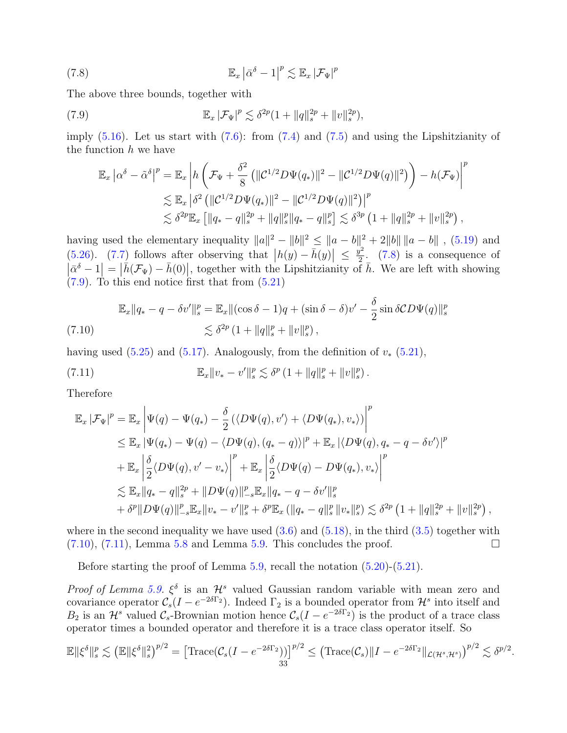<span id="page-32-0"></span>(7.8) 
$$
\mathbb{E}_x \left| \bar{\alpha}^{\delta} - 1 \right|^p \lesssim \mathbb{E}_x \left| \mathcal{F}_{\Psi} \right|^p
$$

The above three bounds, together with

<span id="page-32-1"></span>(7.9) 
$$
\mathbb{E}_x |\mathcal{F}_{\Psi}|^p \lesssim \delta^{2p} (1 + ||q||_s^{2p} + ||v||_s^{2p}),
$$

imply  $(5.16)$ . Let us start with  $(7.6)$ : from  $(7.4)$  and  $(7.5)$  and using the Lipshitzianity of the function  $h$  we have

$$
\mathbb{E}_x \left| \alpha^{\delta} - \tilde{\alpha}^{\delta} \right|^p = \mathbb{E}_x \left| h \left( \mathcal{F}_{\Psi} + \frac{\delta^2}{8} \left( \| \mathcal{C}^{1/2} D \Psi(q_*) \|^2 - \| \mathcal{C}^{1/2} D \Psi(q) \|^2 \right) \right) - h(\mathcal{F}_{\Psi}) \right|^p
$$
  
\$\lesssim \mathbb{E}\_x \left| \delta^2 \left( \| \mathcal{C}^{1/2} D \Psi(q\_\*) \|^2 - \| \mathcal{C}^{1/2} D \Psi(q) \|^2 \right) \right|^p\$  
\$\lesssim \delta^{2p} \mathbb{E}\_x \left[ \| q\_\* - q \|\_s^{2p} + \| q \|\_s^p \| q\_\* - q \|\_s^p \right] \lesssim \delta^{3p} \left( 1 + \| q \|\_s^{2p} + \| v \|\_s^{2p} \right),

having used the elementary inequality  $||a||^2 - ||b||^2 \le ||a - b||^2 + 2||b|| ||a - b||$ , [\(5.19\)](#page-19-7) and [\(5.26\)](#page-20-5). [\(7.7\)](#page-31-3) follows after observing that  $|h(y) - \bar{h}(y)| \leq \frac{y^2}{2}$  $\frac{y^2}{2}$ . [\(7.8\)](#page-32-0) is a consequence of  $\left|\bar{\alpha}^{\delta}-1\right| = \left|\bar{h}(\mathcal{F}_{\Psi}) - \bar{h}(0)\right|$ , together with the Lipshitzianity of  $\bar{h}$ . We are left with showing [\(7.9\)](#page-32-1). To this end notice first that from [\(5.21\)](#page-19-5)

<span id="page-32-2"></span>
$$
\mathbb{E}_x \|q_* - q - \delta v'\|_s^p = \mathbb{E}_x \|(\cos \delta - 1)q + (\sin \delta - \delta)v' - \frac{\delta}{2} \sin \delta CD\Psi(q)\|_s^p
$$
  
(7.10)  

$$
\lesssim \delta^{2p} (1 + \|q\|_s^p + \|v\|_s^p),
$$

having used [\(5.25\)](#page-20-7) and [\(5.17\)](#page-19-6). Analogously, from the definition of  $v_*$  [\(5.21\)](#page-19-5),

<span id="page-32-3"></span>(7.11) 
$$
\mathbb{E}_x \|v_* - v'\|_s^p \lesssim \delta^p (1 + \|q\|_s^p + \|v\|_s^p).
$$

Therefore

$$
\mathbb{E}_{x} |\mathcal{F}_{\Psi}|^{p} = \mathbb{E}_{x} \left| \Psi(q) - \Psi(q_{*}) - \frac{\delta}{2} (\langle D\Psi(q), v' \rangle + \langle D\Psi(q_{*}), v_{*} \rangle) \right|^{p} \n\leq \mathbb{E}_{x} |\Psi(q_{*}) - \Psi(q) - \langle D\Psi(q), (q_{*} - q) \rangle|^{p} + \mathbb{E}_{x} |\langle D\Psi(q), q_{*} - q - \delta v' \rangle|^{p} \n+ \mathbb{E}_{x} \left| \frac{\delta}{2} \langle D\Psi(q), v' - v_{*} \rangle \right|^{p} + \mathbb{E}_{x} \left| \frac{\delta}{2} \langle D\Psi(q) - D\Psi(q_{*}), v_{*} \rangle \right|^{p} \n\leq \mathbb{E}_{x} ||q_{*} - q||_{s}^{2p} + ||D\Psi(q)||_{-s}^{p} \mathbb{E}_{x} ||q_{*} - q - \delta v'||_{s}^{p} \n+ \delta^{p} ||D\Psi(q)||_{-s}^{p} \mathbb{E}_{x} ||v_{*} - v'||_{s}^{p} + \delta^{p} \mathbb{E}_{x} (||q_{*} - q||_{s}^{p} ||v_{*}||_{s}^{p}) \leq \delta^{2p} (1 + ||q||_{s}^{2p} + ||v||_{s}^{2p})
$$

where in the second inequality we have used  $(3.6)$  and  $(5.18)$ , in the third  $(3.5)$  together with  $(7.10)$ ,  $(7.11)$ , Lemma [5.8](#page-19-2) and Lemma [5.9.](#page-20-2) This concludes the proof.

,

Before starting the proof of Lemma [5.9,](#page-20-2) recall the notation [\(5.20\)](#page-19-4)-[\(5.21\)](#page-19-5).

*Proof of Lemma [5.9.](#page-20-2)*  $\xi^{\delta}$  is an  $\mathcal{H}^{s}$  valued Gaussian random variable with mean zero and covariance operator  $\mathcal{C}_s(I - e^{-2\delta\Gamma_2})$ . Indeed  $\Gamma_2$  is a bounded operator from  $\mathcal{H}^s$  into itself and  $B_2$  is an  $\mathcal{H}^s$  valued  $\mathcal{C}_s$ -Brownian motion hence  $\mathcal{C}_s(I - e^{-2\delta\Gamma_2})$  is the product of a trace class operator times a bounded operator and therefore it is a trace class operator itself. So

$$
\mathbb{E} \|\xi^{\delta}\|_{s}^{p} \lesssim \left(\mathbb{E} \|\xi^{\delta}\|_{s}^{2}\right)^{p/2} = \left[\text{Trace}(\mathcal{C}_{s}(I - e^{-2\delta\Gamma_{2}}))\right]^{p/2} \leq \left(\text{Trace}(\mathcal{C}_{s})\|I - e^{-2\delta\Gamma_{2}}\|_{\mathcal{L}(\mathcal{H}^{s}, \mathcal{H}^{s})}\right)^{p/2} \lesssim \delta^{p/2}.
$$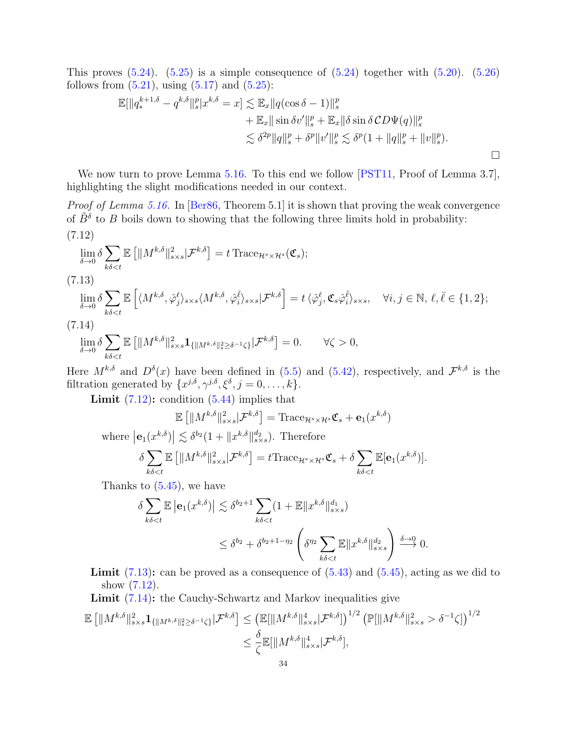This proves  $(5.24)$ .  $(5.25)$  is a simple consequence of  $(5.24)$  together with  $(5.20)$ .  $(5.26)$ follows from  $(5.21)$ , using  $(5.17)$  and  $(5.25)$ :

$$
\mathbb{E}[\|q_*^{k+1,\delta} - q^{k,\delta}\|_{s}^{p}]x^{k,\delta} = x] \lesssim \mathbb{E}_x \|q(\cos \delta - 1)\|_{s}^{p} \n+ \mathbb{E}_x \|\sin \delta v'\|_{s}^{p} + \mathbb{E}_x \|\delta \sin \delta CD\Psi(q)\|_{s}^{p} \n\lesssim \delta^{2p} \|q\|_{s}^{p} + \delta^{p} \|v'\|_{s}^{p} \lesssim \delta^{p} (1 + \|q\|_{s}^{p} + \|v\|_{s}^{p}).
$$

We now turn to prove Lemma [5.16.](#page-25-2) To this end we follow [\[PST11,](#page-40-2) Proof of Lemma 3.7], highlighting the slight modifications needed in our context.

<span id="page-33-0"></span>Proof of Lemma [5.16.](#page-25-2) In [\[Ber86,](#page-39-14) Theorem 5.1] it is shown that proving the weak convergence of  $\tilde{B}^{\delta}$  to B boils down to showing that the following three limits hold in probability: (7.12)

$$
\lim_{\delta \to 0} \delta \sum_{k\delta < t} \mathbb{E} \left[ \| M^{k,\delta} \|_{s \times s}^2 | \mathcal{F}^{k,\delta} \right] = t \operatorname{Trace}_{\mathcal{H}^s \times \mathcal{H}^s}(\mathfrak{C}_s);
$$

<span id="page-33-1"></span>(7.13)

$$
\lim_{\delta \to 0} \delta \sum_{k\delta < t} \mathbb{E}\left[ \langle M^{k,\delta}, \hat{\varphi}_{j}^{\ell} \rangle_{s \times s} \langle M^{k,\delta}, \hat{\varphi}_{i}^{\bar{\ell}} \rangle_{s \times s} | \mathcal{F}^{k,\delta} \right] = t \langle \hat{\varphi}_{j}^{\ell}, \mathfrak{C}_{s} \hat{\varphi}_{i}^{\bar{\ell}} \rangle_{s \times s}, \quad \forall i, j \in \mathbb{N}, \ell, \bar{\ell} \in \{1, 2\};
$$
\n
$$
(5.11)
$$

<span id="page-33-2"></span>(7.14)

$$
\lim_{\delta \to 0} \delta \sum_{k\delta < t} \mathbb{E} \left[ \| M^{k,\delta} \|_{s \times s}^2 \mathbf{1}_{\{\| M^{k,\delta} \|_{s}^2 \ge \delta^{-1} \zeta\}} | \mathcal{F}^{k,\delta} \right] = 0. \qquad \forall \zeta > 0,
$$

Here  $M^{k,\delta}$  and  $D^{\delta}(x)$  have been defined in [\(5.5\)](#page-16-3) and [\(5.42\)](#page-25-8), respectively, and  $\mathcal{F}^{k,\delta}$  is the filtration generated by  $\{x^{j,\delta}, \gamma^{j,\delta}, \xi^{\delta}, j = 0, \ldots, k\}.$ 

**Limit**  $(7.12)$ : condition  $(5.44)$  implies that

$$
\mathbb{E}\left[\|M^{k,\delta}\|_{s\times s}^2|\mathcal{F}^{k,\delta}\right] = \text{Trace}_{\mathcal{H}^s\times\mathcal{H}^s}\mathfrak{C}_s + \mathbf{e}_1(x^{k,\delta})
$$

where  $\left|\mathbf{e}_{1}(x^{k,\delta})\right| \lesssim \delta^{b_{2}}(1+\|x^{k,\delta}\|_{s\times s}^{d_{2}})$ . Therefore

$$
\delta \sum_{k\delta < t} \mathbb{E} \left[ \| M^{k,\delta} \|_{s \times s}^2 | \mathcal{F}^{k,\delta} \right] = t \text{Trace}_{\mathcal{H}^s \times \mathcal{H}^s} \mathfrak{C}_s + \delta \sum_{k\delta < t} \mathbb{E}[\mathbf{e}_1(x^{k,\delta})].
$$

Thanks to [\(5.45\)](#page-25-4), we have

$$
\delta \sum_{k\delta < t} \mathbb{E} \left| \mathbf{e}_1(x^{k,\delta}) \right| \lesssim \delta^{b_2+1} \sum_{k\delta < t} (1 + \mathbb{E} \|x^{k,\delta}\|_{s \times s}^{d_1})
$$
\n
$$
\leq \delta^{b_2} + \delta^{b_2+1-\eta_2} \left( \delta^{\eta_2} \sum_{k\delta < t} \mathbb{E} \|x^{k,\delta}\|_{s \times s}^{d_2} \right) \xrightarrow{\delta \to 0} 0.
$$

**Limit**  $(7.13)$ : can be proved as a consequence of  $(5.43)$  and  $(5.45)$ , acting as we did to show [\(7.12\)](#page-33-0).

Limit  $(7.14)$ : the Cauchy-Schwartz and Markov inequalities give

$$
\mathbb{E} \left[ \|M^{k,\delta}\|_{s\times s}^2 \mathbf{1}_{\{\|M^{k,\delta}\|_{s}^2 \ge \delta^{-1}\zeta\}} |\mathcal{F}^{k,\delta}\right] \le \left( \mathbb{E}[\|M^{k,\delta}\|_{s\times s}^4 |\mathcal{F}^{k,\delta}]\right)^{1/2} \left( \mathbb{P}[\|M^{k,\delta}\|_{s\times s}^2 > \delta^{-1}\zeta] \right)^{1/2}
$$

$$
\le \frac{\delta}{\zeta} \mathbb{E}[\|M^{k,\delta}\|_{s\times s}^4 |\mathcal{F}^{k,\delta}],
$$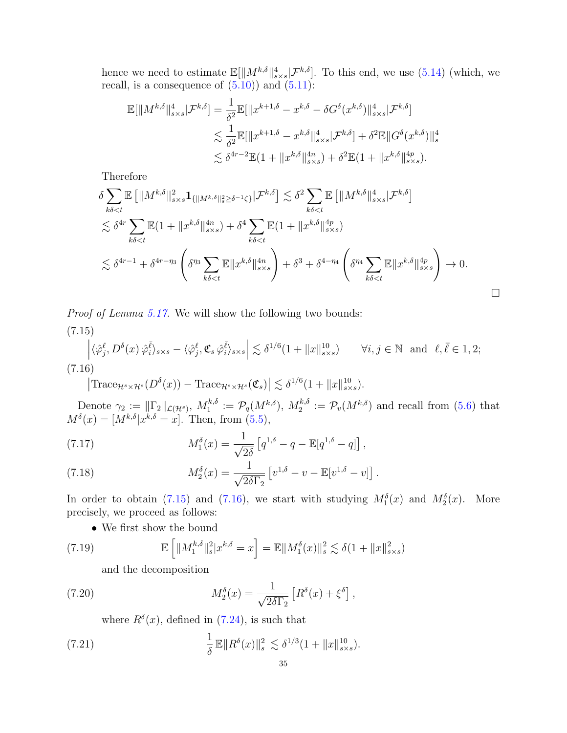hence we need to estimate  $\mathbb{E}[\|M^{k,\delta}\|_{s\times s}^4|\mathcal{F}^{k,\delta}].$  To this end, we use [\(5.14\)](#page-17-5) (which, we recall, is a consequence of  $(5.10)$  and  $(5.11)$ :

$$
\mathbb{E}[\|M^{k,\delta}\|_{s\times s}^4 | \mathcal{F}^{k,\delta}] = \frac{1}{\delta^2} \mathbb{E}[\|x^{k+1,\delta} - x^{k,\delta} - \delta G^{\delta}(x^{k,\delta})\|_{s\times s}^4 | \mathcal{F}^{k,\delta}]
$$
  

$$
\lesssim \frac{1}{\delta^2} \mathbb{E}[\|x^{k+1,\delta} - x^{k,\delta}\|_{s\times s}^4 | \mathcal{F}^{k,\delta}] + \delta^2 \mathbb{E} \|G^{\delta}(x^{k,\delta})\|_{s}^4
$$
  

$$
\lesssim \delta^{4r-2} \mathbb{E}(1 + \|x^{k,\delta}\|_{s\times s}^{4n}) + \delta^2 \mathbb{E}(1 + \|x^{k,\delta}\|_{s\times s}^{4n}).
$$

Therefore

$$
\delta \sum_{k\delta < t} \mathbb{E} \left[ \| M^{k,\delta} \|_{s \times s}^2 \mathbf{1}_{\{\| M^{k,\delta} \|_{s \ge \delta^{-1}\zeta\}}^2 |\mathcal{F}^{k,\delta} \right] \lesssim \delta^2 \sum_{k\delta < t} \mathbb{E} \left[ \| M^{k,\delta} \|_{s \times s}^4 |\mathcal{F}^{k,\delta} \right] \\
\lesssim \delta^{4r} \sum_{k\delta < t} \mathbb{E} (1 + \| x^{k,\delta} \|_{s \times s}^{4n}) + \delta^4 \sum_{k\delta < t} \mathbb{E} (1 + \| x^{k,\delta} \|_{s \times s}^{4n}) \\
\lesssim \delta^{4r-1} + \delta^{4r- \eta_3} \left( \delta^{\eta_3} \sum_{k\delta < t} \mathbb{E} \| x^{k,\delta} \|_{s \times s}^{4n} \right) + \delta^3 + \delta^{4-\eta_4} \left( \delta^{\eta_4} \sum_{k\delta < t} \mathbb{E} \| x^{k,\delta} \|_{s \times s}^{4n} \right) \to 0.
$$

Proof of Lemma [5.17.](#page-25-3) We will show the following two bounds:

<span id="page-34-0"></span>(7.15)  
\n
$$
\left| \langle \hat{\varphi}_j^{\ell}, D^{\delta}(x) \hat{\varphi}_i^{\bar{\ell}} \rangle_{s \times s} - \langle \hat{\varphi}_j^{\ell}, \mathfrak{C}_s \hat{\varphi}_i^{\bar{\ell}} \rangle_{s \times s} \right| \lesssim \delta^{1/6} (1 + \|x\|_{s \times s}^{10}) \qquad \forall i, j \in \mathbb{N} \text{ and } \ell, \bar{\ell} \in 1, 2;
$$
\n(7.16)

<span id="page-34-1"></span> $\left|\text{Trace}_{\mathcal{H}^s\times\mathcal{H}^s}(D^\delta(x)) - \text{Trace}_{\mathcal{H}^s\times\mathcal{H}^s}(\mathfrak{C}_s)\right| \lesssim \delta^{1/6}(1+\|x\|_{s\times s}^{10}).$ 

Denote  $\gamma_2 := \|\Gamma_2\|_{\mathcal{L}(\mathcal{H}^s)}, M_1^{k,\delta}$  $\mathcal{P}_1^{k,\delta}:=\mathcal{P}_q(M^{k,\delta}),\ M_2^{k,\delta}$  $\mathcal{P}_2^{k,\delta} := \mathcal{P}_v(M^{k,\delta})$  and recall from [\(5.6\)](#page-16-6) that  $M^{\delta}(x) = [M^{k,\delta}|x^{k,\delta} = x].$  Then, from [\(5.5\)](#page-16-3),

<span id="page-34-5"></span>(7.17) 
$$
M_1^{\delta}(x) = \frac{1}{\sqrt{2\delta}} \left[ q^{1,\delta} - q - \mathbb{E}[q^{1,\delta} - q] \right],
$$

<span id="page-34-6"></span>(7.18) 
$$
M_2^{\delta}(x) = \frac{1}{\sqrt{2\delta\Gamma_2}} \left[ v^{1,\delta} - v - \mathbb{E}[v^{1,\delta} - v] \right].
$$

In order to obtain [\(7.15\)](#page-34-0) and [\(7.16\)](#page-34-1), we start with studying  $M_1^{\delta}(x)$  and  $M_2^{\delta}(x)$ . More precisely, we proceed as follows:

• We first show the bound

<span id="page-34-2"></span>(7.19) 
$$
\mathbb{E}\left[\|M_1^{k,\delta}\|_{s}^{2}|x^{k,\delta}=x\right]=\mathbb{E}\|M_1^{\delta}(x)\|_{s}^{2} \lesssim \delta(1+\|x\|_{s\times s}^{2})
$$

and the decomposition

<span id="page-34-3"></span>(7.20) 
$$
M_2^{\delta}(x) = \frac{1}{\sqrt{2\delta\Gamma_2}} \left[ R^{\delta}(x) + \xi^{\delta} \right],
$$

where  $R^{\delta}(x)$ , defined in [\(7.24\)](#page-36-0), is such that

<span id="page-34-4"></span>(7.21) 
$$
\frac{1}{\delta} \mathbb{E} \| R^{\delta}(x) \|_{s}^{2} \lesssim \delta^{1/3} (1 + \|x\|_{s \times s}^{10}).
$$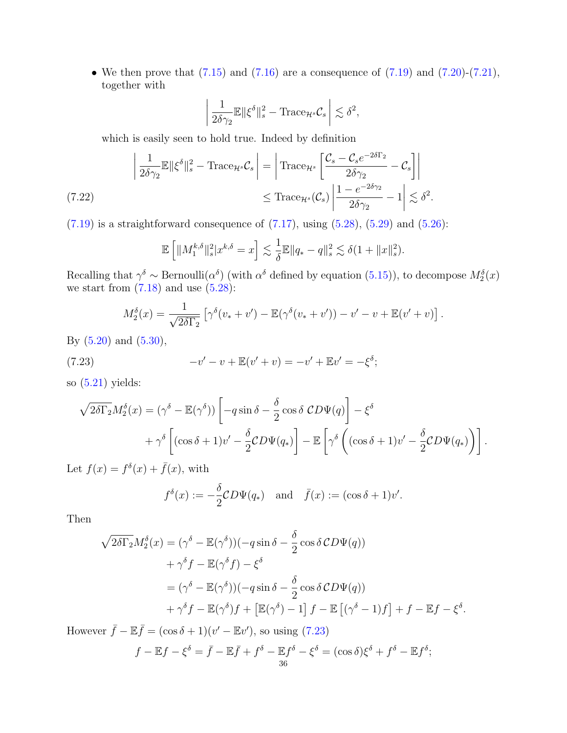• We then prove that  $(7.15)$  and  $(7.16)$  are a consequence of  $(7.19)$  and  $(7.20)-(7.21)$  $(7.20)-(7.21)$ , together with

$$
\left| \frac{1}{2\delta\gamma_2} \mathbb{E} \| \xi^{\delta} \|_s^2 - \text{Trace}_{\mathcal{H}^s} \mathcal{C}_s \right| \lesssim \delta^2,
$$

which is easily seen to hold true. Indeed by definition

<span id="page-35-1"></span>
$$
\left| \frac{1}{2\delta\gamma_2} \mathbb{E} \| \xi^{\delta} \|_s^2 - \text{Trace}_{\mathcal{H}^s} \mathcal{C}_s \right| = \left| \text{Trace}_{\mathcal{H}^s} \left[ \frac{\mathcal{C}_s - \mathcal{C}_s e^{-2\delta\Gamma_2}}{2\delta\gamma_2} - \mathcal{C}_s \right] \right|
$$
  

$$
\leq \text{Trace}_{\mathcal{H}^s} (\mathcal{C}_s) \left| \frac{1 - e^{-2\delta\gamma_2}}{2\delta\gamma_2} - 1 \right| \lesssim \delta^2.
$$

 $(7.19)$  is a straightforward consequence of  $(7.17)$ , using  $(5.28)$ ,  $(5.29)$  and  $(5.26)$ :

$$
\mathbb{E}\left[\|M_1^{k,\delta}\|_s^2|x^{k,\delta}=x\right] \lesssim \frac{1}{\delta}\mathbb{E}\|q_*-q\|_s^2 \lesssim \delta(1+\|x\|_s^2).
$$

Recalling that  $\gamma^{\delta} \sim \text{Bernoulli}(\alpha^{\delta})$  (with  $\alpha^{\delta}$  defined by equation [\(5.15\)](#page-18-3)), to decompose  $M_2^{\delta}(x)$ we start from  $(7.18)$  and use  $(5.28)$ :

$$
M_2^{\delta}(x) = \frac{1}{\sqrt{2\delta\Gamma_2}} \left[ \gamma^{\delta}(v_* + v') - \mathbb{E}(\gamma^{\delta}(v_* + v')) - v' - v + \mathbb{E}(v' + v) \right].
$$

By [\(5.20\)](#page-19-4) and [\(5.30\)](#page-21-3),

<span id="page-35-0"></span>(7.23) 
$$
-v' - v + \mathbb{E}(v' + v) = -v' + \mathbb{E}v' = -\xi^{\delta};
$$

so  $(5.21)$  yields:

$$
\sqrt{2\delta\Gamma_2}M_2^{\delta}(x) = (\gamma^{\delta} - \mathbb{E}(\gamma^{\delta})) \left[ -q\sin\delta - \frac{\delta}{2}\cos\delta \ CD\Psi(q) \right] - \xi^{\delta} + \gamma^{\delta} \left[ (\cos\delta + 1)v' - \frac{\delta}{2}CD\Psi(q_*) \right] - \mathbb{E} \left[ \gamma^{\delta} \left( (\cos\delta + 1)v' - \frac{\delta}{2}CD\Psi(q_*) \right) \right].
$$

Let  $f(x) = f^{\delta}(x) + \bar{f}(x)$ , with

$$
f^{\delta}(x) := -\frac{\delta}{2}CD\Psi(q_*)
$$
 and  $\bar{f}(x) := (\cos \delta + 1)v'.$ 

Then

$$
\sqrt{2\delta\Gamma_2}M_2^{\delta}(x) = (\gamma^{\delta} - \mathbb{E}(\gamma^{\delta}))(-q\sin\delta - \frac{\delta}{2}\cos\delta CD\Psi(q))
$$
  
+  $\gamma^{\delta}f - \mathbb{E}(\gamma^{\delta}f) - \xi^{\delta}$   
=  $(\gamma^{\delta} - \mathbb{E}(\gamma^{\delta}))(-q\sin\delta - \frac{\delta}{2}\cos\delta CD\Psi(q))$   
+  $\gamma^{\delta}f - \mathbb{E}(\gamma^{\delta})f + [\mathbb{E}(\gamma^{\delta}) - 1]f - \mathbb{E}[(\gamma^{\delta} - 1)f] + f - \mathbb{E}f - \xi^{\delta}.$ 

However  $\bar{f} - \mathbb{E}\bar{f} = (\cos \delta + 1)(v' - \mathbb{E}v')$ , so using [\(7.23\)](#page-35-0)

$$
f - \mathbb{E}f - \xi^{\delta} = \bar{f} - \mathbb{E}\bar{f} + f^{\delta} - \mathbb{E}f^{\delta} - \xi^{\delta} = (\cos \delta)\xi^{\delta} + f^{\delta} - \mathbb{E}f^{\delta};
$$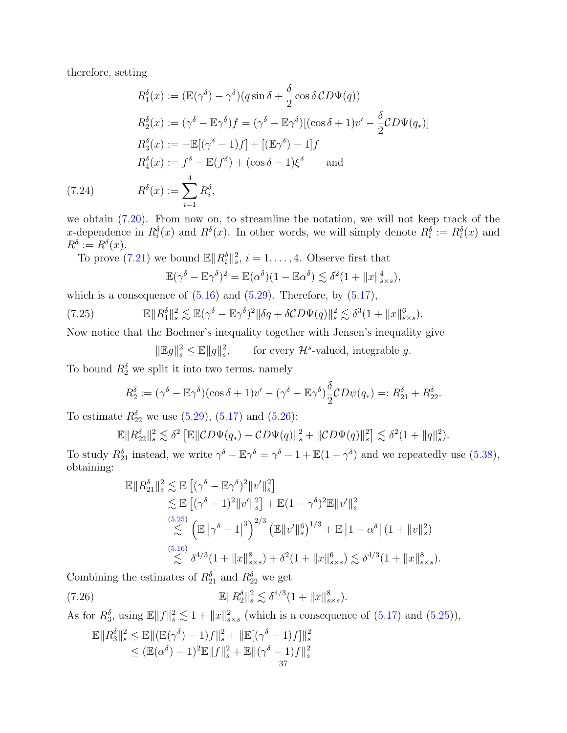therefore, setting

$$
R_1^{\delta}(x) := (\mathbb{E}(\gamma^{\delta}) - \gamma^{\delta})(q \sin \delta + \frac{\delta}{2} \cos \delta CD\Psi(q))
$$
  
\n
$$
R_2^{\delta}(x) := (\gamma^{\delta} - \mathbb{E}\gamma^{\delta})f = (\gamma^{\delta} - \mathbb{E}\gamma^{\delta})[(\cos \delta + 1)v' - \frac{\delta}{2}CD\Psi(q_{*})]
$$
  
\n
$$
R_3^{\delta}(x) := -\mathbb{E}[(\gamma^{\delta} - 1)f] + [(\mathbb{E}\gamma^{\delta}) - 1]f
$$
  
\n
$$
R_4^{\delta}(x) := f^{\delta} - \mathbb{E}(f^{\delta}) + (\cos \delta - 1)\xi^{\delta} \quad \text{and}
$$
  
\n(7.24) 
$$
R^{\delta}(x) := \sum_{i=1}^{4} R_i^{\delta},
$$

<span id="page-36-0"></span>we obtain [\(7.20\)](#page-34-3). From now on, to streamline the notation, we will not keep track of the x-dependence in  $R_i^{\delta}(x)$  and  $R_i^{\delta}(x)$ . In other words, we will simply denote  $R_i^{\delta} := R_i^{\delta}(x)$  and  $R^{\delta} := R^{\delta}(x).$ 

To prove [\(7.21\)](#page-34-4) we bound  $\mathbb{E} \|R_i^{\delta}\|_{s}^2$ ,  $i = 1, \ldots, 4$ . Observe first that

$$
\mathbb{E}(\gamma^{\delta} - \mathbb{E}\gamma^{\delta})^2 = \mathbb{E}(\alpha^{\delta})(1 - \mathbb{E}\alpha^{\delta}) \lesssim \delta^2(1 + ||x||_{s \times s}^4),
$$

which is a consequence of  $(5.16)$  and  $(5.29)$ . Therefore, by  $(5.17)$ ,

(7.25) 
$$
\mathbb{E} \|R_1^{\delta}\|_{s}^2 \lesssim \mathbb{E}(\gamma^{\delta} - \mathbb{E}\gamma^{\delta})^2 \|\delta q + \delta CD\Psi(q)\|_{s}^2 \lesssim \delta^3 (1 + \|x\|_{s \times s}^6).
$$

Now notice that the Bochner's inequality together with Jensen's inequality give

<span id="page-36-1"></span>
$$
\|\mathbb{E}g\|_{s}^{2} \le \mathbb{E} \|g\|_{s}^{2}, \qquad \text{for every } \mathcal{H}^{s}\text{-valued, integrable } g.
$$

To bound  $R_2^{\delta}$  we split it into two terms, namely

$$
R_2^{\delta} := (\gamma^{\delta} - \mathbb{E}\gamma^{\delta})(\cos\delta + 1)v' - (\gamma^{\delta} - \mathbb{E}\gamma^{\delta})\frac{\delta}{2}CD\psi(q_*) =: R_{21}^{\delta} + R_{22}^{\delta}.
$$

To estimate  $R_{22}^{\delta}$  we use [\(5.29\)](#page-21-2), [\(5.17\)](#page-19-6) and [\(5.26\)](#page-20-5):

$$
\mathbb{E}||R_{22}^{\delta}||_s^2 \lesssim \delta^2 \left[\mathbb{E}||CD\Psi(q_*) - CD\Psi(q)||_s^2 + ||CD\Psi(q)||_s^2\right] \lesssim \delta^2(1 + ||q||_s^2).
$$

To study  $R_{21}^{\delta}$  instead, we write  $\gamma^{\delta} - \mathbb{E}\gamma^{\delta} = \gamma^{\delta} - 1 + \mathbb{E}(1 - \gamma^{\delta})$  and we repeatedly use [\(5.38\)](#page-22-3), obtaining:

$$
\mathbb{E}||R_{21}^{\delta}||_{s}^{2} \lesssim \mathbb{E}\left[(\gamma^{\delta} - \mathbb{E}\gamma^{\delta})^{2}||v'||_{s}^{2}\right] \n\lesssim \mathbb{E}\left[(\gamma^{\delta} - 1)^{2}||v'||_{s}^{2}\right] + \mathbb{E}(1 - \gamma^{\delta})^{2}\mathbb{E}||v'||_{s}^{2} \n\lesssim \left(\mathbb{E}|\gamma^{\delta} - 1|^{3}\right)^{2/3}\left(\mathbb{E}||v'||_{s}^{6}\right)^{1/3} + \mathbb{E}\left[1 - \alpha^{\delta}\right](1 + ||v||_{s}^{2}) \n\lesssim \delta^{4/3}(1 + ||x||_{s\times s}^{8}) + \delta^{2}(1 + ||x||_{s\times s}^{6}) \lesssim \delta^{4/3}(1 + ||x||_{s\times s}^{8}).
$$

Combining the estimates of  $R_{21}^{\delta}$  and  $R_{22}^{\delta}$  we get

(7.26) 
$$
\mathbb{E} \|R_2^{\delta}\|_{s}^2 \lesssim \delta^{4/3} (1 + \|x\|_{s \times s}^8).
$$

As for  $R_3^{\delta}$ , using  $\mathbb{E}||f||_s^2 \lesssim 1 + ||x||_{s \times s}^2$  (which is a consequence of [\(5.17\)](#page-19-6) and [\(5.25\)](#page-20-7)),

<span id="page-36-2"></span>
$$
\mathbb{E}||R_3^{\delta}||_s^2 \le \mathbb{E}||(\mathbb{E}(\gamma^{\delta}) - 1)f||_s^2 + ||\mathbb{E}[(\gamma^{\delta} - 1)f]||_s^2 \le (\mathbb{E}(\alpha^{\delta}) - 1)^2 \mathbb{E}||f||_s^2 + \mathbb{E}||(\gamma^{\delta} - 1)f||_s^2 \n\frac{37}{}
$$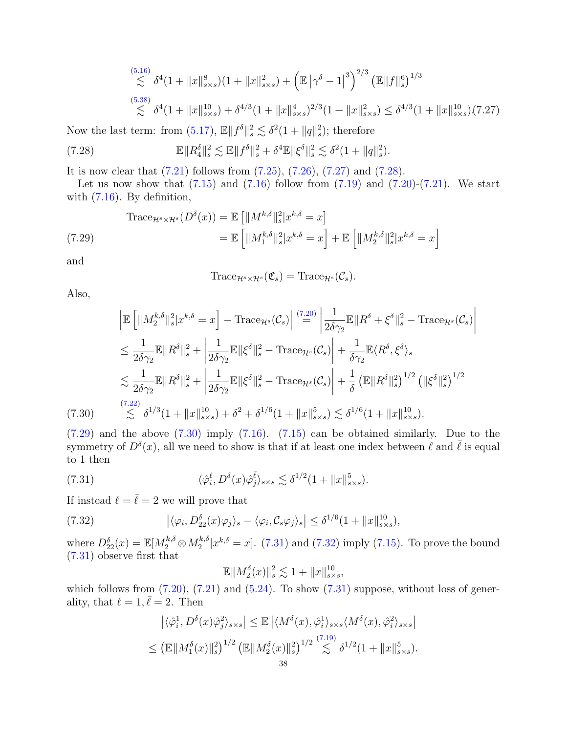$$
\begin{aligned} &\stackrel{(5.16)}{\lesssim} \delta^4 (1 + \|x\|_{s \times s}^8)(1 + \|x\|_{s \times s}^2) + \left(\mathbb{E} \left|\gamma^\delta - 1\right|^3\right)^{2/3} \left(\mathbb{E} \|f\|_{s}^6\right)^{1/3} \\ &\stackrel{(5.38)}{\lesssim} \delta^4 (1 + \|x\|_{s \times s}^{10}) + \delta^{4/3} (1 + \|x\|_{s \times s}^4)^{2/3} (1 + \|x\|_{s \times s}^2) \le \delta^{4/3} (1 + \|x\|_{s \times s}^{10}) \tag{7.27} \end{aligned}
$$

Now the last term: from [\(5.17\)](#page-19-6),  $\mathbb{E} \| f^{\delta} \|_{s}^{2} \lesssim \delta^{2} (1 + \| q \|_{s}^{2})$ ; therefore

<span id="page-37-1"></span>(7.28) 
$$
\mathbb{E} \|R_4^{\delta}\|_{s}^2 \lesssim \mathbb{E} \|f^{\delta}\|_{s}^2 + \delta^4 \mathbb{E} \|\xi^{\delta}\|_{s}^2 \lesssim \delta^2 (1 + \|q\|_{s}^2).
$$

It is now clear that [\(7.21\)](#page-34-4) follows from [\(7.25\)](#page-36-1), [\(7.26\)](#page-36-2), [\(7.27\)](#page-37-0) and [\(7.28\)](#page-37-1).

Let us now show that  $(7.15)$  and  $(7.16)$  follow from  $(7.19)$  and  $(7.20)-(7.21)$  $(7.20)-(7.21)$ . We start with [\(7.16\)](#page-34-1). By definition,

<span id="page-37-2"></span>
$$
\begin{aligned} \text{Trace}_{\mathcal{H}^s \times \mathcal{H}^s} (D^\delta(x)) &= \mathbb{E} \left[ \|M^{k,\delta}\|_s^2 |x^{k,\delta} = x \right] \\ &= \mathbb{E} \left[ \|M_1^{k,\delta}\|_s^2 |x^{k,\delta} = x \right] + \mathbb{E} \left[ \|M_2^{k,\delta}\|_s^2 |x^{k,\delta} = x \right] \end{aligned}
$$
\n(7.29)

and

<span id="page-37-0"></span>
$$
\text{Trace}_{\mathcal{H}^s \times \mathcal{H}^s}(\mathfrak{C}_s) = \text{Trace}_{\mathcal{H}^s}(\mathcal{C}_s).
$$

Also,

$$
\begin{split}\n& \left| \mathbb{E} \left[ \|M_{2}^{k,\delta} \|_{s}^{2} | x^{k,\delta} = x \right] - \text{Trace}_{\mathcal{H}^{s}}(\mathcal{C}_{s}) \right| \stackrel{(7.20)}{=} \left| \frac{1}{2\delta\gamma_{2}} \mathbb{E} \| R^{\delta} + \xi^{\delta} \|_{s}^{2} - \text{Trace}_{\mathcal{H}^{s}}(\mathcal{C}_{s}) \right| \\
& \leq \frac{1}{2\delta\gamma_{2}} \mathbb{E} \| R^{\delta} \|_{s}^{2} + \left| \frac{1}{2\delta\gamma_{2}} \mathbb{E} \| \xi^{\delta} \|_{s}^{2} - \text{Trace}_{\mathcal{H}^{s}}(\mathcal{C}_{s}) \right| + \frac{1}{\delta\gamma_{2}} \mathbb{E} \langle R^{\delta}, \xi^{\delta} \rangle_{s} \\
& \lesssim \frac{1}{2\delta\gamma_{2}} \mathbb{E} \| R^{\delta} \|_{s}^{2} + \left| \frac{1}{2\delta\gamma_{2}} \mathbb{E} \| \xi^{\delta} \|_{s}^{2} - \text{Trace}_{\mathcal{H}^{s}}(\mathcal{C}_{s}) \right| + \frac{1}{\delta} \left( \mathbb{E} \| R^{\delta} \|_{s}^{2} \right)^{1/2} \left( \| \xi^{\delta} \|_{s}^{2} \right)^{1/2} \\
& \lesssim \delta^{1/3} (1 + \| x \|_{s \times s}^{10}) + \delta^{2} + \delta^{1/6} (1 + \| x \|_{s \times s}^{5}) \lesssim \delta^{1/6} (1 + \| x \|_{s \times s}^{10}).\n\end{split}
$$

<span id="page-37-3"></span> $(7.29)$  and the above  $(7.30)$  imply  $(7.16)$ .  $(7.15)$  can be obtained similarly. Due to the symmetry of  $D^{\delta}(x)$ , all we need to show is that if at least one index between  $\ell$  and  $\bar{\ell}$  is equal to 1 then

<span id="page-37-4"></span>(7.31) 
$$
\langle \hat{\varphi}_i^{\ell}, D^{\delta}(x) \hat{\varphi}_j^{\bar{\ell}} \rangle_{s \times s} \lesssim \delta^{1/2} (1 + \|x\|_{s \times s}^5).
$$

If instead  $\ell = \overline{\ell} = 2$  we will prove that

<span id="page-37-5"></span>(7.32) 
$$
\left| \langle \varphi_i, D_{22}^{\delta}(x) \varphi_j \rangle_s - \langle \varphi_i, C_s \varphi_j \rangle_s \right| \leq \delta^{1/6} (1 + \|x\|_{s \times s}^{10}),
$$

where  $D_{22}^{\delta}(x) = \mathbb{E}[M_2^{k,\delta} \otimes M_2^{k,\delta}]$  $x_2^{k,\delta}|x^{k,\delta}=x$ . [\(7.31\)](#page-37-4) and [\(7.32\)](#page-37-5) imply [\(7.15\)](#page-34-0). To prove the bound [\(7.31\)](#page-37-4) observe first that

$$
\mathbb{E} \|M_2^{\delta}(x)\|_s^2 \lesssim 1 + \|x\|_{s \times s}^{10},
$$

which follows from  $(7.20)$ ,  $(7.21)$  and  $(5.24)$ . To show  $(7.31)$  suppose, without loss of generality, that  $\ell = 1, \bar{\ell} = 2$ . Then

$$
\left| \langle \hat{\varphi}_i^1, D^\delta(x)\hat{\varphi}_j^2 \rangle_{s \times s} \right| \le \mathbb{E} \left| \langle M^\delta(x), \hat{\varphi}_i^1 \rangle_{s \times s} \langle M^\delta(x), \hat{\varphi}_i^2 \rangle_{s \times s} \right|
$$
  

$$
\le \left( \mathbb{E} \| M_1^\delta(x) \|_s^2 \right)^{1/2} \left( \mathbb{E} \| M_2^\delta(x) \|_s^2 \right)^{1/2} \lesssim \delta^{1/2} (1 + \|x\|_{s \times s}^5).
$$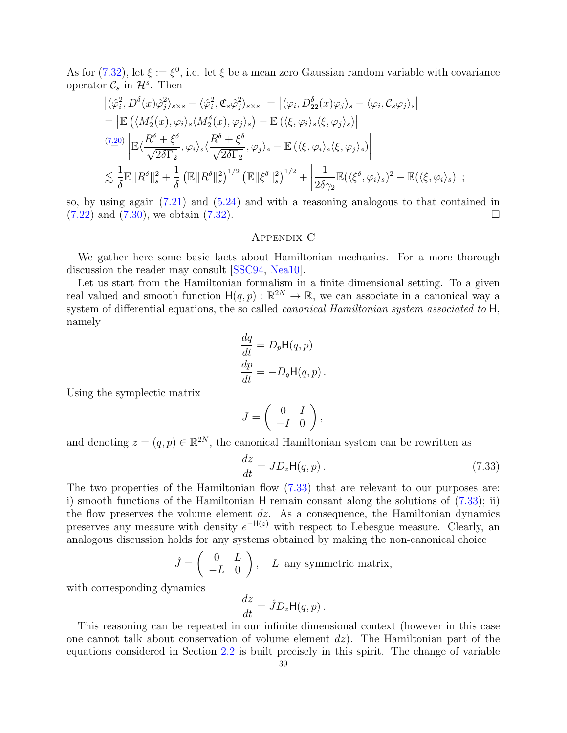As for [\(7.32\)](#page-37-5), let  $\xi := \xi^0$ , i.e. let  $\xi$  be a mean zero Gaussian random variable with covariance operator  $\mathcal{C}_s$  in  $\mathcal{H}^s$ . Then

$$
\begin{split}\n&\left|\langle \hat{\varphi}_i^2, D^\delta(x)\hat{\varphi}_j^2\rangle_{s\times s} - \langle \hat{\varphi}_i^2, \mathfrak{C}_s\hat{\varphi}_j^2\rangle_{s\times s}\right| = \left|\langle \varphi_i, D^\delta_{22}(x)\varphi_j\rangle_s - \langle \varphi_i, C_s\varphi_j\rangle_s\right| \\
&= \left|\mathbb{E}\left(\langle M^\delta_2(x), \varphi_i\rangle_s \langle M^\delta_2(x), \varphi_j\rangle_s\right) - \mathbb{E}\left(\langle \xi, \varphi_i\rangle_s \langle \xi, \varphi_j\rangle_s\right)\right| \\
&\stackrel{(7.20)}{=} \left|\mathbb{E}\langle \frac{R^\delta + \xi^\delta}{\sqrt{2\delta\Gamma_2}}, \varphi_i\rangle_s \langle \frac{R^\delta + \xi^\delta}{\sqrt{2\delta\Gamma_2}}, \varphi_j\rangle_s - \mathbb{E}\left(\langle \xi, \varphi_i\rangle_s \langle \xi, \varphi_j\rangle_s\right)\right| \\
&\lesssim \frac{1}{\delta} \mathbb{E}\|R^\delta\|_s^2 + \frac{1}{\delta} \left(\mathbb{E}\|R^\delta\|_s^2\right)^{1/2} \left(\mathbb{E}\|\xi^\delta\|_s^2\right)^{1/2} + \left|\frac{1}{2\delta\gamma_2} \mathbb{E}(\langle \xi^\delta, \varphi_i\rangle_s)^2 - \mathbb{E}(\langle \xi, \varphi_i\rangle_s)\right|; \n\end{split}
$$

so, by using again  $(7.21)$  and  $(5.24)$  and with a reasoning analogous to that contained in  $(7.22)$  and  $(7.30)$ , we obtain  $(7.32)$ .

# Appendix C

We gather here some basic facts about Hamiltonian mechanics. For a more thorough discussion the reader may consult [\[SSC94,](#page-40-3) [Nea10\]](#page-39-7).

Let us start from the Hamiltonian formalism in a finite dimensional setting. To a given real valued and smooth function  $H(q, p) : \mathbb{R}^{2N} \to \mathbb{R}$ , we can associate in a canonical way a system of differential equations, the so called *canonical Hamiltonian system associated to* H, namely

$$
\frac{dq}{dt} = D_p \mathsf{H}(q, p)
$$

$$
\frac{dp}{dt} = -D_q \mathsf{H}(q, p).
$$

Using the symplectic matrix

$$
J=\left(\begin{array}{cc} 0 & I \\ -I & 0 \end{array}\right),
$$

and denoting  $z = (q, p) \in \mathbb{R}^{2N}$ , the canonical Hamiltonian system can be rewritten as

<span id="page-38-0"></span>
$$
\frac{dz}{dt} = JD_z H(q, p). \tag{7.33}
$$

The two properties of the Hamiltonian flow [\(7.33\)](#page-38-0) that are relevant to our purposes are: i) smooth functions of the Hamiltonian H remain consant along the solutions of [\(7.33\)](#page-38-0); ii) the flow preserves the volume element  $dz$ . As a consequence, the Hamiltonian dynamics preserves any measure with density  $e^{-H(z)}$  with respect to Lebesgue measure. Clearly, an analogous discussion holds for any systems obtained by making the non-canonical choice

$$
\hat{J} = \begin{pmatrix} 0 & L \\ -L & 0 \end{pmatrix}, \quad L \text{ any symmetric matrix,}
$$

with corresponding dynamics

$$
\frac{dz}{dt} = \hat{J}D_z \mathsf{H}(q, p) \, .
$$

This reasoning can be repeated in our infinite dimensional context (however in this case one cannot talk about conservation of volume element  $dz$ ). The Hamiltonian part of the equations considered in Section [2.2](#page-5-4) is built precisely in this spirit. The change of variable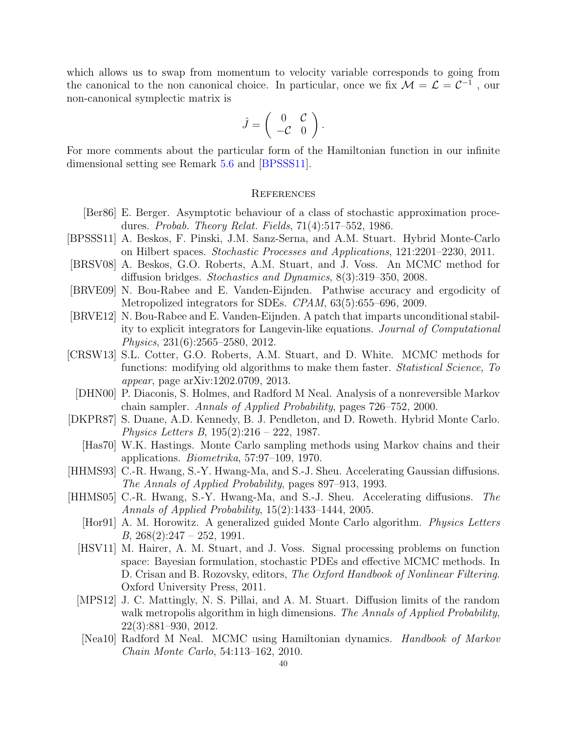which allows us to swap from momentum to velocity variable corresponds to going from the canonical to the non canonical choice. In particular, once we fix  $\mathcal{M} = \mathcal{L} = \mathcal{C}^{-1}$ , our non-canonical symplectic matrix is

$$
\hat{J} = \left( \begin{array}{cc} 0 & \mathcal{C} \\ -\mathcal{C} & 0 \end{array} \right).
$$

For more comments about the particular form of the Hamiltonian function in our infinite dimensional setting see Remark [5.6](#page-18-0) and [\[BPSSS11\]](#page-39-12).

# **REFERENCES**

- <span id="page-39-14"></span>[Ber86] E. Berger. Asymptotic behaviour of a class of stochastic approximation procedures. Probab. Theory Relat. Fields, 71(4):517–552, 1986.
- <span id="page-39-12"></span>[BPSSS11] A. Beskos, F. Pinski, J.M. Sanz-Serna, and A.M. Stuart. Hybrid Monte-Carlo on Hilbert spaces. Stochastic Processes and Applications, 121:2201–2230, 2011.
- <span id="page-39-13"></span>[BRSV08] A. Beskos, G.O. Roberts, A.M. Stuart, and J. Voss. An MCMC method for diffusion bridges. Stochastics and Dynamics, 8(3):319–350, 2008.
- <span id="page-39-11"></span>[BRVE09] N. Bou-Rabee and E. Vanden-Eijnden. Pathwise accuracy and ergodicity of Metropolized integrators for SDEs. CPAM, 63(5):655–696, 2009.
- <span id="page-39-10"></span>[BRVE12] N. Bou-Rabee and E. Vanden-Eijnden. A patch that imparts unconditional stability to explicit integrators for Langevin-like equations. Journal of Computational Physics, 231(6):2565–2580, 2012.
- <span id="page-39-3"></span>[CRSW13] S.L. Cotter, G.O. Roberts, A.M. Stuart, and D. White. MCMC methods for functions: modifying old algorithms to make them faster. *Statistical Science*, To appear, page arXiv:1202.0709, 2013.
- <span id="page-39-6"></span>[DHN00] P. Diaconis, S. Holmes, and Radford M Neal. Analysis of a nonreversible Markov chain sampler. Annals of Applied Probability, pages 726–752, 2000.
- <span id="page-39-9"></span><span id="page-39-1"></span>[DKPR87] S. Duane, A.D. Kennedy, B. J. Pendleton, and D. Roweth. Hybrid Monte Carlo. Physics Letters B, 195(2):216 – 222, 1987.
	- [Has70] W.K. Hastings. Monte Carlo sampling methods using Markov chains and their applications. Biometrika, 57:97–109, 1970.
- <span id="page-39-4"></span>[HHMS93] C.-R. Hwang, S.-Y. Hwang-Ma, and S.-J. Sheu. Accelerating Gaussian diffusions. The Annals of Applied Probability, pages 897–913, 1993.
- <span id="page-39-8"></span><span id="page-39-7"></span><span id="page-39-5"></span><span id="page-39-2"></span><span id="page-39-0"></span>[HHMS05] C.-R. Hwang, S.-Y. Hwang-Ma, and S.-J. Sheu. Accelerating diffusions. The Annals of Applied Probability, 15(2):1433–1444, 2005.
	- [Hor91] A. M. Horowitz. A generalized guided Monte Carlo algorithm. Physics Letters  $B, 268(2):247 - 252, 1991.$
	- [HSV11] M. Hairer, A. M. Stuart, and J. Voss. Signal processing problems on function space: Bayesian formulation, stochastic PDEs and effective MCMC methods. In D. Crisan and B. Rozovsky, editors, The Oxford Handbook of Nonlinear Filtering. Oxford University Press, 2011.
	- [MPS12] J. C. Mattingly, N. S. Pillai, and A. M. Stuart. Diffusion limits of the random walk metropolis algorithm in high dimensions. The Annals of Applied Probability, 22(3):881–930, 2012.
	- [Nea10] Radford M Neal. MCMC using Hamiltonian dynamics. Handbook of Markov Chain Monte Carlo, 54:113–162, 2010.